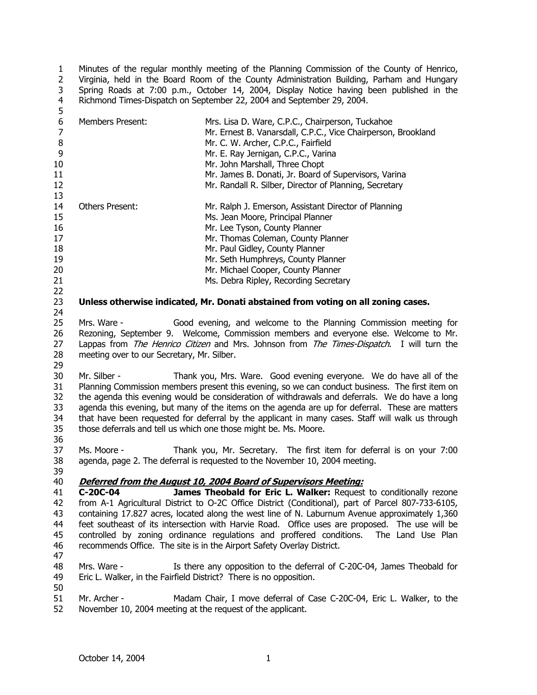1 2 3 4 5 Minutes of the regular monthly meeting of the Planning Commission of the County of Henrico, Virginia, held in the Board Room of the County Administration Building, Parham and Hungary Spring Roads at 7:00 p.m., October 14, 2004, Display Notice having been published in the Richmond Times-Dispatch on September 22, 2004 and September 29, 2004.

| 6<br>7<br>$\,8\,$<br>9           | <b>Members Present:</b>                                                                                                                                                                                                                                                                                            | Mrs. Lisa D. Ware, C.P.C., Chairperson, Tuckahoe<br>Mr. Ernest B. Vanarsdall, C.P.C., Vice Chairperson, Brookland<br>Mr. C. W. Archer, C.P.C., Fairfield<br>Mr. E. Ray Jernigan, C.P.C., Varina                                                                                                                                                                                                                                                                                                                                                    |  |
|----------------------------------|--------------------------------------------------------------------------------------------------------------------------------------------------------------------------------------------------------------------------------------------------------------------------------------------------------------------|----------------------------------------------------------------------------------------------------------------------------------------------------------------------------------------------------------------------------------------------------------------------------------------------------------------------------------------------------------------------------------------------------------------------------------------------------------------------------------------------------------------------------------------------------|--|
| 10                               |                                                                                                                                                                                                                                                                                                                    | Mr. John Marshall, Three Chopt                                                                                                                                                                                                                                                                                                                                                                                                                                                                                                                     |  |
| 11                               |                                                                                                                                                                                                                                                                                                                    | Mr. James B. Donati, Jr. Board of Supervisors, Varina                                                                                                                                                                                                                                                                                                                                                                                                                                                                                              |  |
| 12                               |                                                                                                                                                                                                                                                                                                                    | Mr. Randall R. Silber, Director of Planning, Secretary                                                                                                                                                                                                                                                                                                                                                                                                                                                                                             |  |
| 13                               |                                                                                                                                                                                                                                                                                                                    |                                                                                                                                                                                                                                                                                                                                                                                                                                                                                                                                                    |  |
| 14                               | Others Present:                                                                                                                                                                                                                                                                                                    | Mr. Ralph J. Emerson, Assistant Director of Planning                                                                                                                                                                                                                                                                                                                                                                                                                                                                                               |  |
| 15                               |                                                                                                                                                                                                                                                                                                                    | Ms. Jean Moore, Principal Planner                                                                                                                                                                                                                                                                                                                                                                                                                                                                                                                  |  |
| 16                               |                                                                                                                                                                                                                                                                                                                    | Mr. Lee Tyson, County Planner                                                                                                                                                                                                                                                                                                                                                                                                                                                                                                                      |  |
| 17                               |                                                                                                                                                                                                                                                                                                                    | Mr. Thomas Coleman, County Planner                                                                                                                                                                                                                                                                                                                                                                                                                                                                                                                 |  |
| 18                               |                                                                                                                                                                                                                                                                                                                    | Mr. Paul Gidley, County Planner                                                                                                                                                                                                                                                                                                                                                                                                                                                                                                                    |  |
| 19                               |                                                                                                                                                                                                                                                                                                                    | Mr. Seth Humphreys, County Planner                                                                                                                                                                                                                                                                                                                                                                                                                                                                                                                 |  |
| 20                               |                                                                                                                                                                                                                                                                                                                    | Mr. Michael Cooper, County Planner                                                                                                                                                                                                                                                                                                                                                                                                                                                                                                                 |  |
| 21                               |                                                                                                                                                                                                                                                                                                                    | Ms. Debra Ripley, Recording Secretary                                                                                                                                                                                                                                                                                                                                                                                                                                                                                                              |  |
| 22<br>23<br>24                   | Unless otherwise indicated, Mr. Donati abstained from voting on all zoning cases.                                                                                                                                                                                                                                  |                                                                                                                                                                                                                                                                                                                                                                                                                                                                                                                                                    |  |
| 25<br>26<br>27<br>28<br>29       | Mrs. Ware -<br>Good evening, and welcome to the Planning Commission meeting for<br>Rezoning, September 9. Welcome, Commission members and everyone else. Welcome to Mr.<br>Lappas from The Henrico Citizen and Mrs. Johnson from The Times-Dispatch. I will turn the<br>meeting over to our Secretary, Mr. Silber. |                                                                                                                                                                                                                                                                                                                                                                                                                                                                                                                                                    |  |
| 30<br>31<br>32<br>33<br>34<br>35 | Mr. Silber -                                                                                                                                                                                                                                                                                                       | Thank you, Mrs. Ware. Good evening everyone. We do have all of the<br>Planning Commission members present this evening, so we can conduct business. The first item on<br>the agenda this evening would be consideration of withdrawals and deferrals. We do have a long<br>agenda this evening, but many of the items on the agenda are up for deferral. These are matters<br>that have been requested for deferral by the applicant in many cases. Staff will walk us through<br>those deferrals and tell us which one those might be. Ms. Moore. |  |
| 36<br>37                         | Ms. Moore -                                                                                                                                                                                                                                                                                                        | Thank you, Mr. Secretary. The first item for deferral is on your 7:00                                                                                                                                                                                                                                                                                                                                                                                                                                                                              |  |
| 38                               |                                                                                                                                                                                                                                                                                                                    | agenda, page 2. The deferral is requested to the November 10, 2004 meeting.                                                                                                                                                                                                                                                                                                                                                                                                                                                                        |  |
| 39                               |                                                                                                                                                                                                                                                                                                                    |                                                                                                                                                                                                                                                                                                                                                                                                                                                                                                                                                    |  |
| 40                               |                                                                                                                                                                                                                                                                                                                    | Deferred from the August 10, 2004 Board of Supervisors Meeting:                                                                                                                                                                                                                                                                                                                                                                                                                                                                                    |  |
| 41                               | C-20C-04                                                                                                                                                                                                                                                                                                           | James Theobald for Eric L. Walker: Request to conditionally rezone                                                                                                                                                                                                                                                                                                                                                                                                                                                                                 |  |
| 42                               |                                                                                                                                                                                                                                                                                                                    | from A-1 Agricultural District to O-2C Office District (Conditional), part of Parcel 807-733-6105,                                                                                                                                                                                                                                                                                                                                                                                                                                                 |  |
| 43                               | containing 17.827 acres, located along the west line of N. Laburnum Avenue approximately 1,360                                                                                                                                                                                                                     |                                                                                                                                                                                                                                                                                                                                                                                                                                                                                                                                                    |  |
| 44                               | feet southeast of its intersection with Harvie Road. Office uses are proposed. The use will be                                                                                                                                                                                                                     |                                                                                                                                                                                                                                                                                                                                                                                                                                                                                                                                                    |  |
| 45                               |                                                                                                                                                                                                                                                                                                                    | controlled by zoning ordinance regulations and proffered conditions. The Land Use Plan                                                                                                                                                                                                                                                                                                                                                                                                                                                             |  |
| 46<br>47                         |                                                                                                                                                                                                                                                                                                                    | recommends Office. The site is in the Airport Safety Overlay District.                                                                                                                                                                                                                                                                                                                                                                                                                                                                             |  |
| 48                               | Mrs. Ware -                                                                                                                                                                                                                                                                                                        | Is there any opposition to the deferral of C-20C-04, James Theobald for                                                                                                                                                                                                                                                                                                                                                                                                                                                                            |  |
| 49                               | Eric L. Walker, in the Fairfield District? There is no opposition.                                                                                                                                                                                                                                                 |                                                                                                                                                                                                                                                                                                                                                                                                                                                                                                                                                    |  |
| 50                               |                                                                                                                                                                                                                                                                                                                    |                                                                                                                                                                                                                                                                                                                                                                                                                                                                                                                                                    |  |
| 51<br>につ                         | Mr. Archer -<br>November 10, 2004 meeting at the request of the applicant                                                                                                                                                                                                                                          | Madam Chair, I move deferral of Case C-20C-04, Eric L. Walker, to the                                                                                                                                                                                                                                                                                                                                                                                                                                                                              |  |

52 November 10, 2004 meeting at the request of the applicant.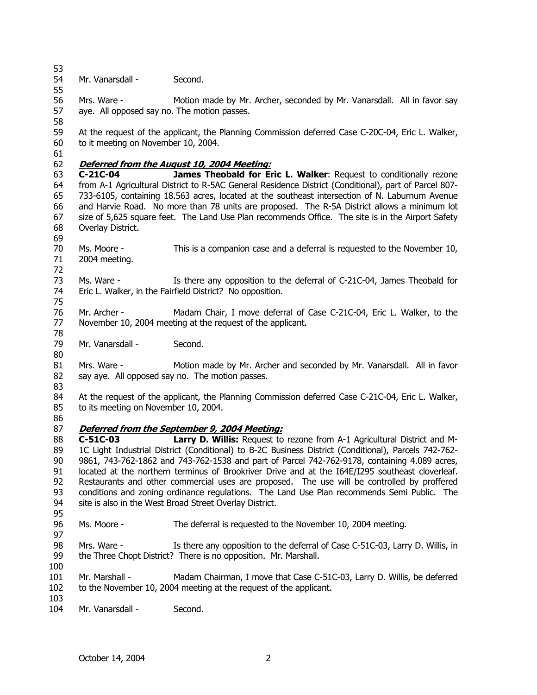53 54 Mr. Vanarsdall - Second.

56 57 58 Mrs. Ware - Motion made by Mr. Archer, seconded by Mr. Vanarsdall. All in favor say aye. All opposed say no. The motion passes.

59 60 At the request of the applicant, the Planning Commission deferred Case C-20C-04, Eric L. Walker, to it meeting on November 10, 2004.

61

72

55

### 62 **Deferred from the August 10, 2004 Meeting:**

63 64 65 66 67 68 69 **C-21C-04 James Theobald for Eric L. Walker**: Request to conditionally rezone from A-1 Agricultural District to R-5AC General Residence District (Conditional), part of Parcel 807- 733-6105, containing 18.563 acres, located at the southeast intersection of N. Laburnum Avenue and Harvie Road. No more than 78 units are proposed. The R-5A District allows a minimum lot size of 5,625 square feet. The Land Use Plan recommends Office. The site is in the Airport Safety Overlay District.

70 71 Ms. Moore - This is a companion case and a deferral is requested to the November 10, 2004 meeting.

73 74 75 Ms. Ware - Is there any opposition to the deferral of C-21C-04, James Theobald for Eric L. Walker, in the Fairfield District? No opposition.

76 77 78 Mr. Archer - Madam Chair, I move deferral of Case C-21C-04, Eric L. Walker, to the November 10, 2004 meeting at the request of the applicant.

79 Mr. Vanarsdall - Second.

81 82 83 Mrs. Ware - Motion made by Mr. Archer and seconded by Mr. Vanarsdall. All in favor say aye. All opposed say no. The motion passes.

84 85 At the request of the applicant, the Planning Commission deferred Case C-21C-04, Eric L. Walker, to its meeting on November 10, 2004.

86

80

## 87 **Deferred from the September 9, 2004 Meeting:**

88 89 90 91 92 93 94 95 **C-51C-03 Larry D. Willis:** Request to rezone from A-1 Agricultural District and M-1C Light Industrial District (Conditional) to B-2C Business District (Conditional), Parcels 742-762- 9861, 743-762-1862 and 743-762-1538 and part of Parcel 742-762-9178, containing 4.089 acres, located at the northern terminus of Brookriver Drive and at the I64E/I295 southeast cloverleaf. Restaurants and other commercial uses are proposed. The use will be controlled by proffered conditions and zoning ordinance regulations. The Land Use Plan recommends Semi Public. The site is also in the West Broad Street Overlay District.

96 Ms. Moore - The deferral is requested to the November 10, 2004 meeting.

98 99 100 Mrs. Ware - Is there any opposition to the deferral of Case C-51C-03, Larry D. Willis, in the Three Chopt District? There is no opposition. Mr. Marshall.

101 102 Mr. Marshall - Madam Chairman, I move that Case C-51C-03, Larry D. Willis, be deferred to the November 10, 2004 meeting at the request of the applicant.

103

97

104 Mr. Vanarsdall - Second.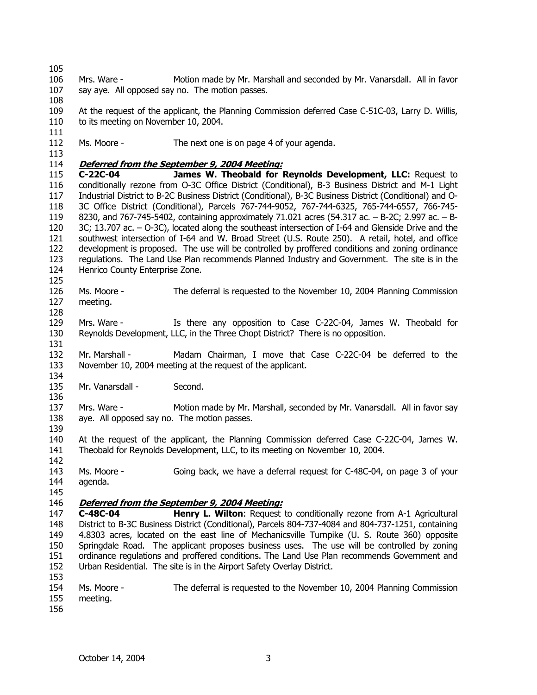105 106 107 108 109 110 111 112 113 Mrs. Ware - Motion made by Mr. Marshall and seconded by Mr. Vanarsdall. All in favor say aye. All opposed say no. The motion passes. At the request of the applicant, the Planning Commission deferred Case C-51C-03, Larry D. Willis, to its meeting on November 10, 2004. Ms. Moore - The next one is on page 4 of your agenda. 114 **Deferred from the September 9, 2004 Meeting:** 115 116 117 118 119 120 121 122 123 124 125 126 127 128 129 130 131 132 133 134 135 136 137 138 139 140 141 142 143 144 145 **C-22C-04 James W. Theobald for Reynolds Development, LLC:** Request to conditionally rezone from O-3C Office District (Conditional), B-3 Business District and M-1 Light Industrial District to B-2C Business District (Conditional), B-3C Business District (Conditional) and O-3C Office District (Conditional), Parcels 767-744-9052, 767-744-6325, 765-744-6557, 766-745- 8230, and 767-745-5402, containing approximately 71.021 acres (54.317 ac. – B-2C; 2.997 ac. – B-3C; 13.707 ac. – O-3C), located along the southeast intersection of I-64 and Glenside Drive and the southwest intersection of I-64 and W. Broad Street (U.S. Route 250). A retail, hotel, and office development is proposed. The use will be controlled by proffered conditions and zoning ordinance regulations. The Land Use Plan recommends Planned Industry and Government. The site is in the Henrico County Enterprise Zone. Ms. Moore - The deferral is requested to the November 10, 2004 Planning Commission meeting. Mrs. Ware - Is there any opposition to Case C-22C-04, James W. Theobald for Reynolds Development, LLC, in the Three Chopt District? There is no opposition. Mr. Marshall - Madam Chairman, I move that Case C-22C-04 be deferred to the November 10, 2004 meeting at the request of the applicant. Mr. Vanarsdall - Second. Mrs. Ware - Motion made by Mr. Marshall, seconded by Mr. Vanarsdall. All in favor say aye. All opposed say no. The motion passes. At the request of the applicant, the Planning Commission deferred Case C-22C-04, James W. Theobald for Reynolds Development, LLC, to its meeting on November 10, 2004. Ms. Moore - Going back, we have a deferral request for C-48C-04, on page 3 of your agenda. 146 **Deferred from the September 9, 2004 Meeting:** 147 148 149 150 151 152 153 154 155 156 **C-48C-04 Henry L. Wilton**: Request to conditionally rezone from A-1 Agricultural District to B-3C Business District (Conditional), Parcels 804-737-4084 and 804-737-1251, containing 4.8303 acres, located on the east line of Mechanicsville Turnpike (U. S. Route 360) opposite Springdale Road. The applicant proposes business uses. The use will be controlled by zoning ordinance regulations and proffered conditions. The Land Use Plan recommends Government and Urban Residential. The site is in the Airport Safety Overlay District. Ms. Moore - The deferral is requested to the November 10, 2004 Planning Commission meeting.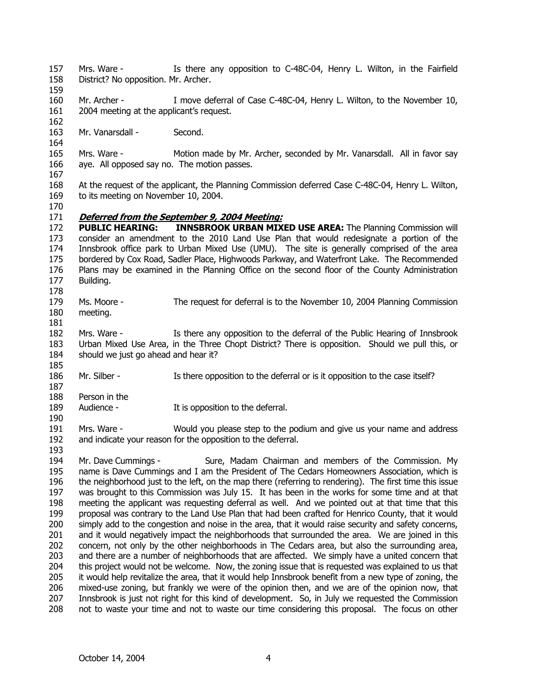- 157 158 Mrs. Ware - Is there any opposition to C-48C-04, Henry L. Wilton, in the Fairfield District? No opposition. Mr. Archer.
- 159 160 Mr. Archer - I move deferral of Case C-48C-04, Henry L. Wilton, to the November 10,
- 161 162 2004 meeting at the applicant's request.
- 163 Mr. Vanarsdall - Second.
- 165 166 Mrs. Ware - Motion made by Mr. Archer, seconded by Mr. Vanarsdall. All in favor say aye. All opposed say no. The motion passes.
- 167

164

- 168 169 At the request of the applicant, the Planning Commission deferred Case C-48C-04, Henry L. Wilton, to its meeting on November 10, 2004.
- 170

### 171 **Deferred from the September 9, 2004 Meeting:**

172 173 174 175 176 177 178 **PUBLIC HEARING: INNSBROOK URBAN MIXED USE AREA:** The Planning Commission will consider an amendment to the 2010 Land Use Plan that would redesignate a portion of the Innsbrook office park to Urban Mixed Use (UMU). The site is generally comprised of the area bordered by Cox Road, Sadler Place, Highwoods Parkway, and Waterfront Lake. The Recommended Plans may be examined in the Planning Office on the second floor of the County Administration Building.

- 179 180 Ms. Moore - The request for deferral is to the November 10, 2004 Planning Commission meeting.
- 181

190

193

- 182 183 184 185 Mrs. Ware - Is there any opposition to the deferral of the Public Hearing of Innsbrook Urban Mixed Use Area, in the Three Chopt District? There is opposition. Should we pull this, or should we just go ahead and hear it?
- 186 Mr. Silber - Is there opposition to the deferral or is it opposition to the case itself?
- 187 188 Person in the
- 189 Audience - The It is opposition to the deferral.
- 191 192 Mrs. Ware - Would you please step to the podium and give us your name and address and indicate your reason for the opposition to the deferral.

194 195 196 197 198 199 200 201 202 203 204 205 206 207 208 Mr. Dave Cummings - Sure, Madam Chairman and members of the Commission. My name is Dave Cummings and I am the President of The Cedars Homeowners Association, which is the neighborhood just to the left, on the map there (referring to rendering). The first time this issue was brought to this Commission was July 15. It has been in the works for some time and at that meeting the applicant was requesting deferral as well. And we pointed out at that time that this proposal was contrary to the Land Use Plan that had been crafted for Henrico County, that it would simply add to the congestion and noise in the area, that it would raise security and safety concerns, and it would negatively impact the neighborhoods that surrounded the area. We are joined in this concern, not only by the other neighborhoods in The Cedars area, but also the surrounding area, and there are a number of neighborhoods that are affected. We simply have a united concern that this project would not be welcome. Now, the zoning issue that is requested was explained to us that it would help revitalize the area, that it would help Innsbrook benefit from a new type of zoning, the mixed-use zoning, but frankly we were of the opinion then, and we are of the opinion now, that Innsbrook is just not right for this kind of development. So, in July we requested the Commission not to waste your time and not to waste our time considering this proposal. The focus on other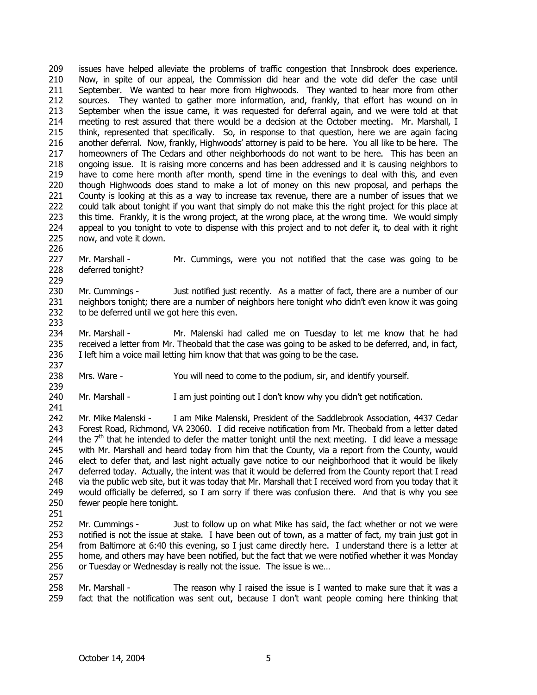209 210 211 212 213 214 215 216 217 218 219 220 221 222 223 224 225 issues have helped alleviate the problems of traffic congestion that Innsbrook does experience. Now, in spite of our appeal, the Commission did hear and the vote did defer the case until September. We wanted to hear more from Highwoods. They wanted to hear more from other sources. They wanted to gather more information, and, frankly, that effort has wound on in September when the issue came, it was requested for deferral again, and we were told at that meeting to rest assured that there would be a decision at the October meeting. Mr. Marshall, I think, represented that specifically. So, in response to that question, here we are again facing another deferral. Now, frankly, Highwoods' attorney is paid to be here. You all like to be here. The homeowners of The Cedars and other neighborhoods do not want to be here. This has been an ongoing issue. It is raising more concerns and has been addressed and it is causing neighbors to have to come here month after month, spend time in the evenings to deal with this, and even though Highwoods does stand to make a lot of money on this new proposal, and perhaps the County is looking at this as a way to increase tax revenue, there are a number of issues that we could talk about tonight if you want that simply do not make this the right project for this place at this time. Frankly, it is the wrong project, at the wrong place, at the wrong time. We would simply appeal to you tonight to vote to dispense with this project and to not defer it, to deal with it right now, and vote it down.

227 228 229 Mr. Marshall - Mr. Cummings, were you not notified that the case was going to be deferred tonight?

230 231 232 Mr. Cummings - Just notified just recently. As a matter of fact, there are a number of our neighbors tonight; there are a number of neighbors here tonight who didn't even know it was going to be deferred until we got here this even.

233

241

226

234 235 236 237 Mr. Marshall - Mr. Malenski had called me on Tuesday to let me know that he had received a letter from Mr. Theobald that the case was going to be asked to be deferred, and, in fact, I left him a voice mail letting him know that that was going to be the case.

- 238 239 Mrs. Ware - You will need to come to the podium, sir, and identify yourself.
- 240 Mr. Marshall - I am just pointing out I don't know why you didn't get notification.

242 243 244 245 246 247 248 249 250 Mr. Mike Malenski - I am Mike Malenski, President of the Saddlebrook Association, 4437 Cedar Forest Road, Richmond, VA 23060. I did receive notification from Mr. Theobald from a letter dated the  $7<sup>th</sup>$  that he intended to defer the matter tonight until the next meeting. I did leave a message with Mr. Marshall and heard today from him that the County, via a report from the County, would elect to defer that, and last night actually gave notice to our neighborhood that it would be likely deferred today. Actually, the intent was that it would be deferred from the County report that I read via the public web site, but it was today that Mr. Marshall that I received word from you today that it would officially be deferred, so I am sorry if there was confusion there. And that is why you see fewer people here tonight.

- 251
- 252 253 254 255 256 257 Mr. Cummings - Just to follow up on what Mike has said, the fact whether or not we were notified is not the issue at stake. I have been out of town, as a matter of fact, my train just got in from Baltimore at 6:40 this evening, so I just came directly here. I understand there is a letter at home, and others may have been notified, but the fact that we were notified whether it was Monday or Tuesday or Wednesday is really not the issue. The issue is we…
- 258 259 Mr. Marshall - The reason why I raised the issue is I wanted to make sure that it was a fact that the notification was sent out, because I don't want people coming here thinking that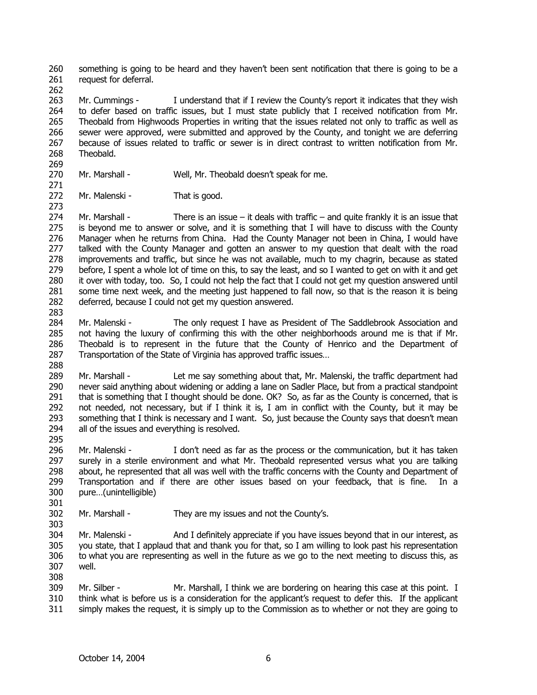260 261 something is going to be heard and they haven't been sent notification that there is going to be a request for deferral.

262

263 264 265 266 267 268 Mr. Cummings - I understand that if I review the County's report it indicates that they wish to defer based on traffic issues, but I must state publicly that I received notification from Mr. Theobald from Highwoods Properties in writing that the issues related not only to traffic as well as sewer were approved, were submitted and approved by the County, and tonight we are deferring because of issues related to traffic or sewer is in direct contrast to written notification from Mr. Theobald.

269 270

271

273

Mr. Marshall - Well, Mr. Theobald doesn't speak for me.

272 Mr. Malenski - That is good.

274 275 276 277 278 279 280 281 282 Mr. Marshall - There is an issue – it deals with traffic – and quite frankly it is an issue that is beyond me to answer or solve, and it is something that I will have to discuss with the County Manager when he returns from China. Had the County Manager not been in China, I would have talked with the County Manager and gotten an answer to my question that dealt with the road improvements and traffic, but since he was not available, much to my chagrin, because as stated before, I spent a whole lot of time on this, to say the least, and so I wanted to get on with it and get it over with today, too. So, I could not help the fact that I could not get my question answered until some time next week, and the meeting just happened to fall now, so that is the reason it is being deferred, because I could not get my question answered.

- 284 285 286 287 Mr. Malenski - The only request I have as President of The Saddlebrook Association and not having the luxury of confirming this with the other neighborhoods around me is that if Mr. Theobald is to represent in the future that the County of Henrico and the Department of Transportation of the State of Virginia has approved traffic issues…
- 288

283

289 290 291 292 293 294 Mr. Marshall - Let me say something about that, Mr. Malenski, the traffic department had never said anything about widening or adding a lane on Sadler Place, but from a practical standpoint that is something that I thought should be done. OK? So, as far as the County is concerned, that is not needed, not necessary, but if I think it is, I am in conflict with the County, but it may be something that I think is necessary and I want. So, just because the County says that doesn't mean all of the issues and everything is resolved.

295

301

303

308

296 297 298 299 300 Mr. Malenski - I don't need as far as the process or the communication, but it has taken surely in a sterile environment and what Mr. Theobald represented versus what you are talking about, he represented that all was well with the traffic concerns with the County and Department of Transportation and if there are other issues based on your feedback, that is fine. In a pure…(unintelligible)

302 Mr. Marshall - They are my issues and not the County's.

304 305 306 307 Mr. Malenski - And I definitely appreciate if you have issues beyond that in our interest, as you state, that I applaud that and thank you for that, so I am willing to look past his representation to what you are representing as well in the future as we go to the next meeting to discuss this, as well.

309 310 311 Mr. Silber - Mr. Marshall, I think we are bordering on hearing this case at this point. I think what is before us is a consideration for the applicant's request to defer this. If the applicant simply makes the request, it is simply up to the Commission as to whether or not they are going to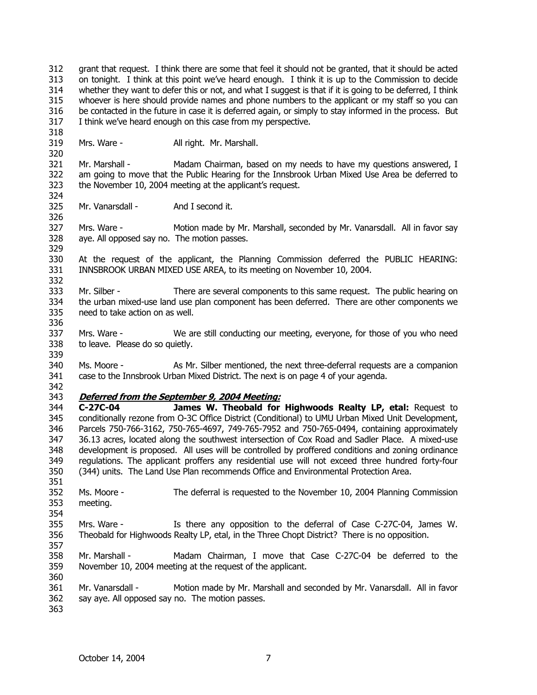312 313 314 315 316 317 grant that request. I think there are some that feel it should not be granted, that it should be acted on tonight. I think at this point we've heard enough. I think it is up to the Commission to decide whether they want to defer this or not, and what I suggest is that if it is going to be deferred, I think whoever is here should provide names and phone numbers to the applicant or my staff so you can be contacted in the future in case it is deferred again, or simply to stay informed in the process. But I think we've heard enough on this case from my perspective.

318 319 320

324

326

329

332

Mrs. Ware - All right. Mr. Marshall.

321 322 323 Mr. Marshall - Madam Chairman, based on my needs to have my questions answered, I am going to move that the Public Hearing for the Innsbrook Urban Mixed Use Area be deferred to the November 10, 2004 meeting at the applicant's request.

325 Mr. Vanarsdall - And I second it.

327 328 Mrs. Ware - Motion made by Mr. Marshall, seconded by Mr. Vanarsdall. All in favor say aye. All opposed say no. The motion passes.

330 331 At the request of the applicant, the Planning Commission deferred the PUBLIC HEARING: INNSBROOK URBAN MIXED USE AREA, to its meeting on November 10, 2004.

333 334 335 336 Mr. Silber - There are several components to this same request. The public hearing on the urban mixed-use land use plan component has been deferred. There are other components we need to take action on as well.

337 338 Mrs. Ware - We are still conducting our meeting, everyone, for those of you who need to leave. Please do so quietly.

340 341 Ms. Moore - As Mr. Silber mentioned, the next three-deferral requests are a companion case to the Innsbrook Urban Mixed District. The next is on page 4 of your agenda.

342

351

354

357

360

339

### 343 **Deferred from the September 9, 2004 Meeting:**

344 345 346 347 348 349 350 **C-27C-04 James W. Theobald for Highwoods Realty LP, etal:** Request to conditionally rezone from O-3C Office District (Conditional) to UMU Urban Mixed Unit Development, Parcels 750-766-3162, 750-765-4697, 749-765-7952 and 750-765-0494, containing approximately 36.13 acres, located along the southwest intersection of Cox Road and Sadler Place. A mixed-use development is proposed. All uses will be controlled by proffered conditions and zoning ordinance regulations. The applicant proffers any residential use will not exceed three hundred forty-four (344) units. The Land Use Plan recommends Office and Environmental Protection Area.

352 353 Ms. Moore - The deferral is requested to the November 10, 2004 Planning Commission meeting.

355 356 Mrs. Ware - Is there any opposition to the deferral of Case C-27C-04, James W. Theobald for Highwoods Realty LP, etal, in the Three Chopt District? There is no opposition.

358 359 Mr. Marshall - Madam Chairman, I move that Case C-27C-04 be deferred to the November 10, 2004 meeting at the request of the applicant.

361 362 Mr. Vanarsdall - Motion made by Mr. Marshall and seconded by Mr. Vanarsdall. All in favor say aye. All opposed say no. The motion passes.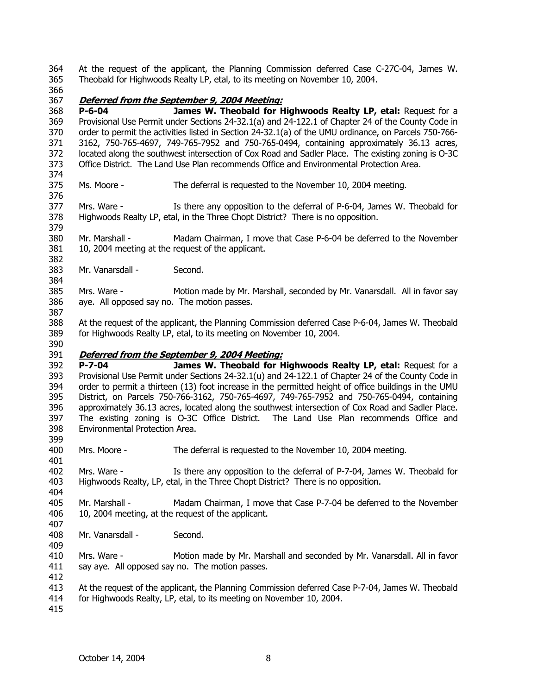364 365 At the request of the applicant, the Planning Commission deferred Case C-27C-04, James W. Theobald for Highwoods Realty LP, etal, to its meeting on November 10, 2004.

366

374

376

382

384

387

### 367 **Deferred from the September 9, 2004 Meeting:**

368 369 370 371 372 373 **P-6-04 James W. Theobald for Highwoods Realty LP, etal:** Request for a Provisional Use Permit under Sections 24-32.1(a) and 24-122.1 of Chapter 24 of the County Code in order to permit the activities listed in Section 24-32.1(a) of the UMU ordinance, on Parcels 750-766- 3162, 750-765-4697, 749-765-7952 and 750-765-0494, containing approximately 36.13 acres, located along the southwest intersection of Cox Road and Sadler Place. The existing zoning is O-3C Office District. The Land Use Plan recommends Office and Environmental Protection Area.

- 375 Ms. Moore - The deferral is requested to the November 10, 2004 meeting.
- 377 378 379 Mrs. Ware - Is there any opposition to the deferral of P-6-04, James W. Theobald for Highwoods Realty LP, etal, in the Three Chopt District? There is no opposition.
- 380 381 Mr. Marshall - Madam Chairman, I move that Case P-6-04 be deferred to the November 10, 2004 meeting at the request of the applicant.
- 383 Mr. Vanarsdall - Second.
- 385 386 Mrs. Ware - Motion made by Mr. Marshall, seconded by Mr. Vanarsdall. All in favor say aye. All opposed say no. The motion passes.
- 388 389 At the request of the applicant, the Planning Commission deferred Case P-6-04, James W. Theobald for Highwoods Realty LP, etal, to its meeting on November 10, 2004.
- 390

401

407

409

### 391 **Deferred from the September 9, 2004 Meeting:**

392 393 394 395 396 397 398 399 **P-7-04 James W. Theobald for Highwoods Realty LP, etal:** Request for a Provisional Use Permit under Sections 24-32.1(u) and 24-122.1 of Chapter 24 of the County Code in order to permit a thirteen (13) foot increase in the permitted height of office buildings in the UMU District, on Parcels 750-766-3162, 750-765-4697, 749-765-7952 and 750-765-0494, containing approximately 36.13 acres, located along the southwest intersection of Cox Road and Sadler Place. The existing zoning is O-3C Office District. The Land Use Plan recommends Office and Environmental Protection Area.

400 Mrs. Moore - The deferral is requested to the November 10, 2004 meeting.

402 403 404 Mrs. Ware - Is there any opposition to the deferral of P-7-04, James W. Theobald for Highwoods Realty, LP, etal, in the Three Chopt District? There is no opposition.

- 405 406 Mr. Marshall - Madam Chairman, I move that Case P-7-04 be deferred to the November 10, 2004 meeting, at the request of the applicant.
- 408 Mr. Vanarsdall - Second.
- 410 411 412 Mrs. Ware - Motion made by Mr. Marshall and seconded by Mr. Vanarsdall. All in favor say aye. All opposed say no. The motion passes.
- 413 At the request of the applicant, the Planning Commission deferred Case P-7-04, James W. Theobald
- 414 for Highwoods Realty, LP, etal, to its meeting on November 10, 2004.
- 415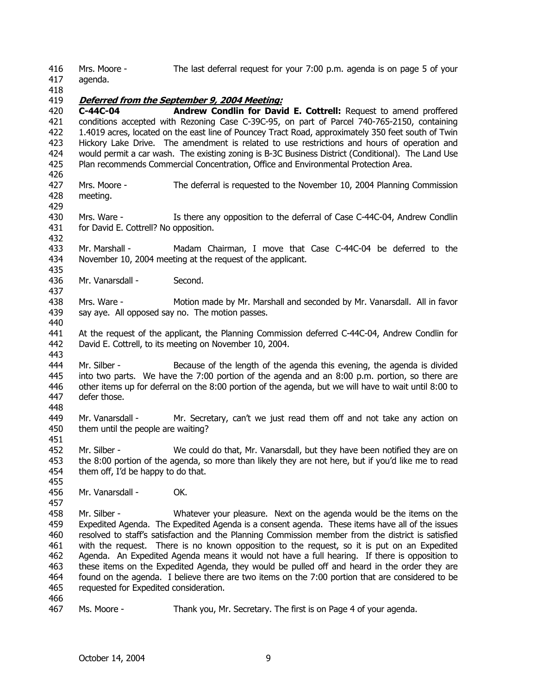416 Mrs. Moore - The last deferral request for your 7:00 p.m. agenda is on page 5 of your agenda.

417 418

426

429

437

443

451

457

### 419 **Deferred from the September 9, 2004 Meeting:**

420 421 422 423 424 425 **C-44C-04 Andrew Condlin for David E. Cottrell:** Request to amend proffered conditions accepted with Rezoning Case C-39C-95, on part of Parcel 740-765-2150, containing 1.4019 acres, located on the east line of Pouncey Tract Road, approximately 350 feet south of Twin Hickory Lake Drive. The amendment is related to use restrictions and hours of operation and would permit a car wash. The existing zoning is B-3C Business District (Conditional). The Land Use Plan recommends Commercial Concentration, Office and Environmental Protection Area.

- 427 428 Mrs. Moore - The deferral is requested to the November 10, 2004 Planning Commission meeting.
- 430 431 432 Mrs. Ware - Is there any opposition to the deferral of Case C-44C-04, Andrew Condlin for David E. Cottrell? No opposition.

433 434 435 Mr. Marshall - Madam Chairman, I move that Case C-44C-04 be deferred to the November 10, 2004 meeting at the request of the applicant.

- 436 Mr. Vanarsdall - Second.
- 438 439 440 Mrs. Ware - Motion made by Mr. Marshall and seconded by Mr. Vanarsdall. All in favor say aye. All opposed say no. The motion passes.
- 441 442 At the request of the applicant, the Planning Commission deferred C-44C-04, Andrew Condlin for David E. Cottrell, to its meeting on November 10, 2004.
- 444 445 446 447 448 Mr. Silber - Because of the length of the agenda this evening, the agenda is divided into two parts. We have the 7:00 portion of the agenda and an 8:00 p.m. portion, so there are other items up for deferral on the 8:00 portion of the agenda, but we will have to wait until 8:00 to defer those.
- 449 450 Mr. Vanarsdall - Mr. Secretary, can't we just read them off and not take any action on them until the people are waiting?
- 452 453 454 Mr. Silber - We could do that, Mr. Vanarsdall, but they have been notified they are on the 8:00 portion of the agenda, so more than likely they are not here, but if you'd like me to read them off, I'd be happy to do that.
- 455 456 Mr. Vanarsdall - OK.
- 458 459 460 461 462 463 464 465 Mr. Silber - Whatever your pleasure. Next on the agenda would be the items on the Expedited Agenda. The Expedited Agenda is a consent agenda. These items have all of the issues resolved to staff's satisfaction and the Planning Commission member from the district is satisfied with the request. There is no known opposition to the request, so it is put on an Expedited Agenda. An Expedited Agenda means it would not have a full hearing. If there is opposition to these items on the Expedited Agenda, they would be pulled off and heard in the order they are found on the agenda. I believe there are two items on the 7:00 portion that are considered to be requested for Expedited consideration.
- 466

467 Ms. Moore - Thank you, Mr. Secretary. The first is on Page 4 of your agenda.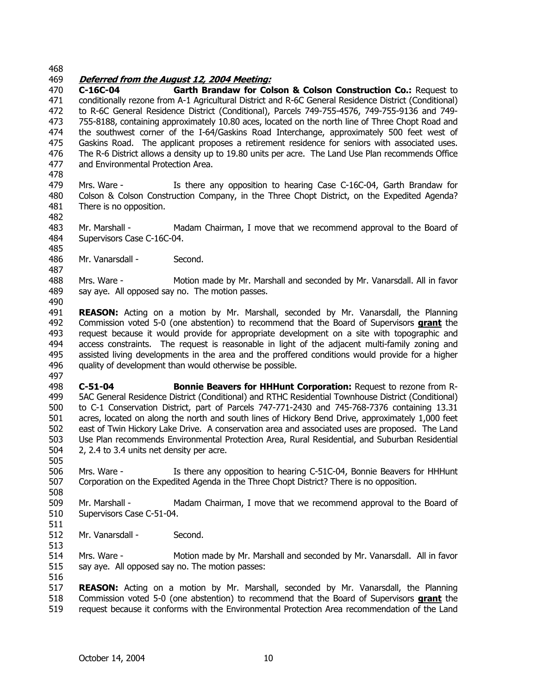468

### 469 **Deferred from the August 12, 2004 Meeting:**

470 471 472 473 474 475 476 477 **C-16C-04 Garth Brandaw for Colson & Colson Construction Co.:** Request to conditionally rezone from A-1 Agricultural District and R-6C General Residence District (Conditional) to R-6C General Residence District (Conditional), Parcels 749-755-4576, 749-755-9136 and 749- 755-8188, containing approximately 10.80 aces, located on the north line of Three Chopt Road and the southwest corner of the I-64/Gaskins Road Interchange, approximately 500 feet west of Gaskins Road. The applicant proposes a retirement residence for seniors with associated uses. The R-6 District allows a density up to 19.80 units per acre. The Land Use Plan recommends Office and Environmental Protection Area.

478

485

487

490

- 479 480 481 482 Mrs. Ware - Is there any opposition to hearing Case C-16C-04, Garth Brandaw for Colson & Colson Construction Company, in the Three Chopt District, on the Expedited Agenda? There is no opposition.
- 483 484 Mr. Marshall - Madam Chairman, I move that we recommend approval to the Board of Supervisors Case C-16C-04.
- 486 Mr. Vanarsdall - Second.

488 489 Mrs. Ware - Motion made by Mr. Marshall and seconded by Mr. Vanarsdall. All in favor say aye. All opposed say no. The motion passes.

491 **REASON:** Acting on a motion by Mr. Marshall, seconded by Mr. Vanarsdall, the Planning Commission voted 5-0 (one abstention) to recommend that the Board of Supervisors **grant** the request because it would provide for appropriate development on a site with topographic and access constraints. The request is reasonable in light of the adjacent multi-family zoning and assisted living developments in the area and the proffered conditions would provide for a higher quality of development than would otherwise be possible. 492 493 494 495 496 497

498 499 500 501 502 503 504 **C-51-04 Bonnie Beavers for HHHunt Corporation:** Request to rezone from R-5AC General Residence District (Conditional) and RTHC Residential Townhouse District (Conditional) to C-1 Conservation District, part of Parcels 747-771-2430 and 745-768-7376 containing 13.31 acres, located on along the north and south lines of Hickory Bend Drive, approximately 1,000 feet east of Twin Hickory Lake Drive. A conservation area and associated uses are proposed. The Land Use Plan recommends Environmental Protection Area, Rural Residential, and Suburban Residential 2, 2.4 to 3.4 units net density per acre.

506 507 508 Mrs. Ware - Is there any opposition to hearing C-51C-04, Bonnie Beavers for HHHunt Corporation on the Expedited Agenda in the Three Chopt District? There is no opposition.

509 510 Mr. Marshall - Madam Chairman, I move that we recommend approval to the Board of Supervisors Case C-51-04.

511 512

513

516

505

Mr. Vanarsdall - Second.

514 515 Mrs. Ware - Motion made by Mr. Marshall and seconded by Mr. Vanarsdall. All in favor say aye. All opposed say no. The motion passes:

517 **REASON:** Acting on a motion by Mr. Marshall, seconded by Mr. Vanarsdall, the Planning Commission voted 5-0 (one abstention) to recommend that the Board of Supervisors **grant** the request because it conforms with the Environmental Protection Area recommendation of the Land 518 519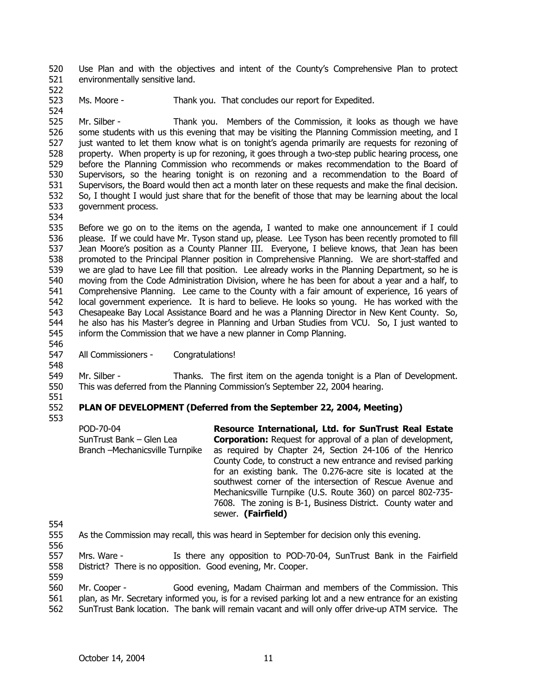520 521 Use Plan and with the objectives and intent of the County's Comprehensive Plan to protect environmentally sensitive land.

523 524 Ms. Moore - Thank you. That concludes our report for Expedited.

525 526 527 528 529 530 531 532 533 Mr. Silber - Thank you. Members of the Commission, it looks as though we have some students with us this evening that may be visiting the Planning Commission meeting, and I just wanted to let them know what is on tonight's agenda primarily are requests for rezoning of property. When property is up for rezoning, it goes through a two-step public hearing process, one before the Planning Commission who recommends or makes recommendation to the Board of Supervisors, so the hearing tonight is on rezoning and a recommendation to the Board of Supervisors, the Board would then act a month later on these requests and make the final decision. So, I thought I would just share that for the benefit of those that may be learning about the local government process.

534

522

535 536 537 538 539 540 541 542 543 544 545 Before we go on to the items on the agenda, I wanted to make one announcement if I could please. If we could have Mr. Tyson stand up, please. Lee Tyson has been recently promoted to fill Jean Moore's position as a County Planner III. Everyone, I believe knows, that Jean has been promoted to the Principal Planner position in Comprehensive Planning. We are short-staffed and we are glad to have Lee fill that position. Lee already works in the Planning Department, so he is moving from the Code Administration Division, where he has been for about a year and a half, to Comprehensive Planning. Lee came to the County with a fair amount of experience, 16 years of local government experience. It is hard to believe. He looks so young. He has worked with the Chesapeake Bay Local Assistance Board and he was a Planning Director in New Kent County. So, he also has his Master's degree in Planning and Urban Studies from VCU. So, I just wanted to inform the Commission that we have a new planner in Comp Planning.

- 547 All Commissioners - Congratulations!
- 548

546

549 550 Mr. Silber - Thanks. The first item on the agenda tonight is a Plan of Development. This was deferred from the Planning Commission's September 22, 2004 hearing.

551

#### 552 553 **PLAN OF DEVELOPMENT (Deferred from the September 22, 2004, Meeting)**

POD-70-04 SunTrust Bank – Glen Lea Branch –Mechanicsville Turnpike **Resource International, Ltd. for SunTrust Real Estate Corporation:** Request for approval of a plan of development, as required by Chapter 24, Section 24-106 of the Henrico County Code, to construct a new entrance and revised parking for an existing bank. The 0.276-acre site is located at the southwest corner of the intersection of Rescue Avenue and Mechanicsville Turnpike (U.S. Route 360) on parcel 802-735- 7608. The zoning is B-1, Business District. County water and sewer. **(Fairfield)** 

554

555 As the Commission may recall, this was heard in September for decision only this evening.

556

557 558 559 Mrs. Ware - Is there any opposition to POD-70-04, SunTrust Bank in the Fairfield District? There is no opposition. Good evening, Mr. Cooper.

560 561 562 Mr. Cooper - Good evening, Madam Chairman and members of the Commission. This plan, as Mr. Secretary informed you, is for a revised parking lot and a new entrance for an existing SunTrust Bank location. The bank will remain vacant and will only offer drive-up ATM service. The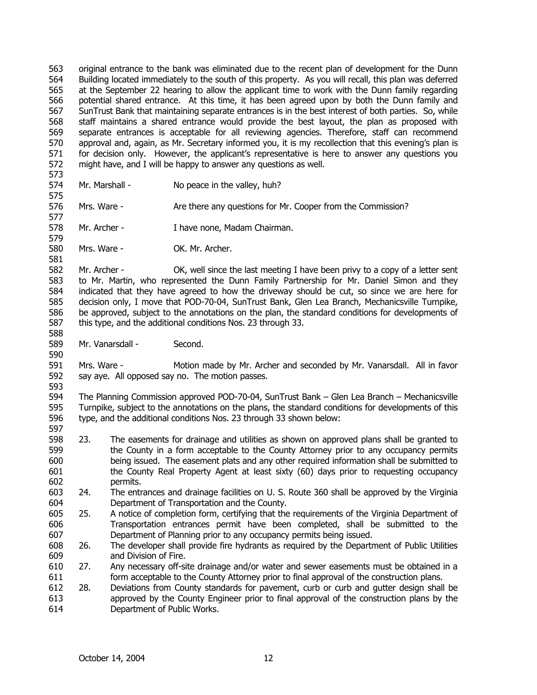563 564 565 566 567 568 569 570 571 572 original entrance to the bank was eliminated due to the recent plan of development for the Dunn Building located immediately to the south of this property. As you will recall, this plan was deferred at the September 22 hearing to allow the applicant time to work with the Dunn family regarding potential shared entrance. At this time, it has been agreed upon by both the Dunn family and SunTrust Bank that maintaining separate entrances is in the best interest of both parties. So, while staff maintains a shared entrance would provide the best layout, the plan as proposed with separate entrances is acceptable for all reviewing agencies. Therefore, staff can recommend approval and, again, as Mr. Secretary informed you, it is my recollection that this evening's plan is for decision only. However, the applicant's representative is here to answer any questions you might have, and I will be happy to answer any questions as well.

573 574

575

577

579

581

588

590

593

597

Mr. Marshall - No peace in the valley, huh?

576 Mrs. Ware - Are there any questions for Mr. Cooper from the Commission?

578 Mr. Archer - I have none, Madam Chairman.

580 Mrs. Ware - **OK. Mr. Archer.** 

582 583 584 585 586 587 Mr. Archer - OK, well since the last meeting I have been privy to a copy of a letter sent to Mr. Martin, who represented the Dunn Family Partnership for Mr. Daniel Simon and they indicated that they have agreed to how the driveway should be cut, so since we are here for decision only, I move that POD-70-04, SunTrust Bank, Glen Lea Branch, Mechanicsville Turnpike, be approved, subject to the annotations on the plan, the standard conditions for developments of this type, and the additional conditions Nos. 23 through 33.

589 Mr. Vanarsdall - Second.

591 592 Mrs. Ware - Motion made by Mr. Archer and seconded by Mr. Vanarsdall. All in favor say aye. All opposed say no. The motion passes.

594 595 596 The Planning Commission approved POD-70-04, SunTrust Bank – Glen Lea Branch – Mechanicsville Turnpike, subject to the annotations on the plans, the standard conditions for developments of this type, and the additional conditions Nos. 23 through 33 shown below:

- 598 599 600 601 602 23. The easements for drainage and utilities as shown on approved plans shall be granted to the County in a form acceptable to the County Attorney prior to any occupancy permits being issued. The easement plats and any other required information shall be submitted to the County Real Property Agent at least sixty (60) days prior to requesting occupancy permits.
- 603 604 24. The entrances and drainage facilities on U. S. Route 360 shall be approved by the Virginia Department of Transportation and the County.
- 605 606 607 25. A notice of completion form, certifying that the requirements of the Virginia Department of Transportation entrances permit have been completed, shall be submitted to the Department of Planning prior to any occupancy permits being issued.
- 608 609 26. The developer shall provide fire hydrants as required by the Department of Public Utilities and Division of Fire.
- 610 611 27. Any necessary off-site drainage and/or water and sewer easements must be obtained in a form acceptable to the County Attorney prior to final approval of the construction plans.
- 612 613 614 28. Deviations from County standards for pavement, curb or curb and gutter design shall be approved by the County Engineer prior to final approval of the construction plans by the Department of Public Works.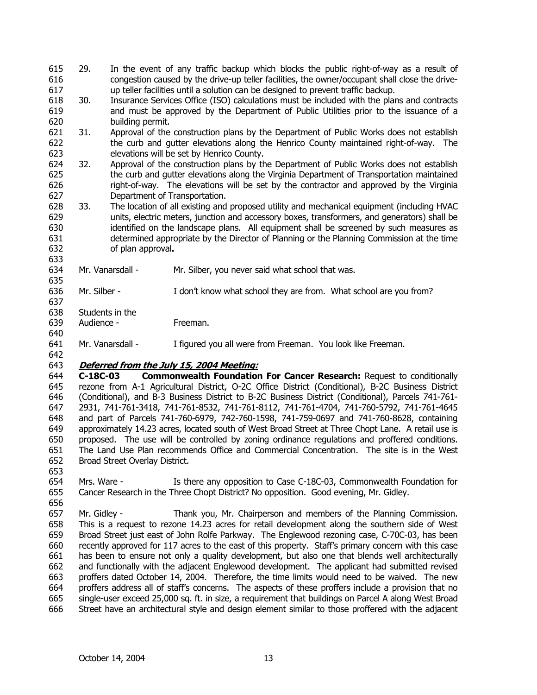- 615 616 617 29. In the event of any traffic backup which blocks the public right-of-way as a result of congestion caused by the drive-up teller facilities, the owner/occupant shall close the driveup teller facilities until a solution can be designed to prevent traffic backup.
- 618 619 620 30. Insurance Services Office (ISO) calculations must be included with the plans and contracts and must be approved by the Department of Public Utilities prior to the issuance of a building permit.
- 621 622 623 31. Approval of the construction plans by the Department of Public Works does not establish the curb and gutter elevations along the Henrico County maintained right-of-way. The elevations will be set by Henrico County.
- 624 625 626 627 32. Approval of the construction plans by the Department of Public Works does not establish the curb and gutter elevations along the Virginia Department of Transportation maintained right-of-way. The elevations will be set by the contractor and approved by the Virginia Department of Transportation.
- 628 629 630 631 632 33. The location of all existing and proposed utility and mechanical equipment (including HVAC units, electric meters, junction and accessory boxes, transformers, and generators) shall be identified on the landscape plans. All equipment shall be screened by such measures as determined appropriate by the Director of Planning or the Planning Commission at the time of plan approval**.**
- 634 Mr. Vanarsdall - Mr. Silber, you never said what school that was.
- 636 Mr. Silber - I don't know what school they are from. What school are you from?
- 637 638
- 639 Students in the Audience - Freeman.
- 640

633

635

- 641 Mr. Vanarsdall - I figured you all were from Freeman. You look like Freeman.
- 642 643 **Deferred from the July 15, 2004 Meeting:**

644 645 646 647 648 649 650 651 652 **C-18C-03 Commonwealth Foundation For Cancer Research:** Request to conditionally rezone from A-1 Agricultural District, O-2C Office District (Conditional), B-2C Business District (Conditional), and B-3 Business District to B-2C Business District (Conditional), Parcels 741-761- 2931, 741-761-3418, 741-761-8532, 741-761-8112, 741-761-4704, 741-760-5792, 741-761-4645 and part of Parcels 741-760-6979, 742-760-1598, 741-759-0697 and 741-760-8628, containing approximately 14.23 acres, located south of West Broad Street at Three Chopt Lane. A retail use is proposed. The use will be controlled by zoning ordinance regulations and proffered conditions. The Land Use Plan recommends Office and Commercial Concentration. The site is in the West Broad Street Overlay District.

653

- 654 655 Mrs. Ware - Is there any opposition to Case C-18C-03, Commonwealth Foundation for Cancer Research in the Three Chopt District? No opposition. Good evening, Mr. Gidley.
- 657 658 659 660 661 662 663 664 665 666 Mr. Gidley - Thank you, Mr. Chairperson and members of the Planning Commission. This is a request to rezone 14.23 acres for retail development along the southern side of West Broad Street just east of John Rolfe Parkway. The Englewood rezoning case, C-70C-03, has been recently approved for 117 acres to the east of this property. Staff's primary concern with this case has been to ensure not only a quality development, but also one that blends well architecturally and functionally with the adjacent Englewood development. The applicant had submitted revised proffers dated October 14, 2004. Therefore, the time limits would need to be waived. The new proffers address all of staff's concerns. The aspects of these proffers include a provision that no single-user exceed 25,000 sq. ft. in size, a requirement that buildings on Parcel A along West Broad Street have an architectural style and design element similar to those proffered with the adjacent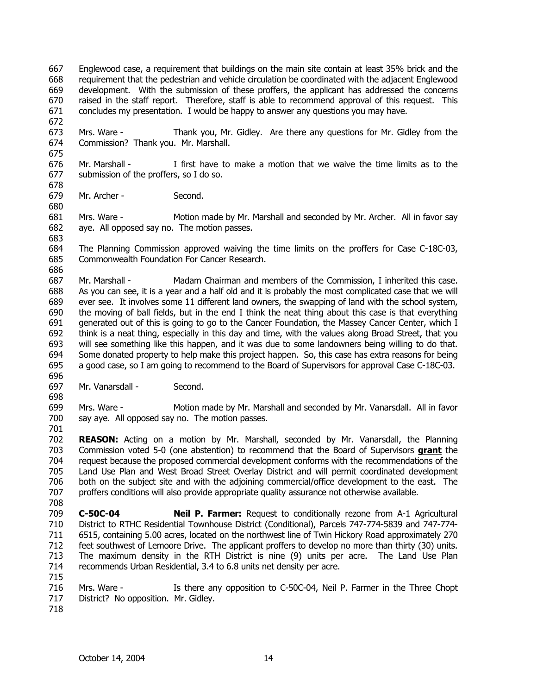667 668 669 670 671 Englewood case, a requirement that buildings on the main site contain at least 35% brick and the requirement that the pedestrian and vehicle circulation be coordinated with the adjacent Englewood development. With the submission of these proffers, the applicant has addressed the concerns raised in the staff report. Therefore, staff is able to recommend approval of this request. This concludes my presentation. I would be happy to answer any questions you may have.

673 674 675 Mrs. Ware - Thank you, Mr. Gidley. Are there any questions for Mr. Gidley from the Commission? Thank you. Mr. Marshall.

676 677 678 Mr. Marshall - I first have to make a motion that we waive the time limits as to the submission of the proffers, so I do so.

679 Mr. Archer - Second.

672

680

683

681 682 Mrs. Ware - Motion made by Mr. Marshall and seconded by Mr. Archer. All in favor say aye. All opposed say no. The motion passes.

684 685 The Planning Commission approved waiving the time limits on the proffers for Case C-18C-03, Commonwealth Foundation For Cancer Research.

686 687 688 689 690 691 692 693 694 695 696 Mr. Marshall - Madam Chairman and members of the Commission, I inherited this case. As you can see, it is a year and a half old and it is probably the most complicated case that we will ever see. It involves some 11 different land owners, the swapping of land with the school system, the moving of ball fields, but in the end I think the neat thing about this case is that everything generated out of this is going to go to the Cancer Foundation, the Massey Cancer Center, which I think is a neat thing, especially in this day and time, with the values along Broad Street, that you will see something like this happen, and it was due to some landowners being willing to do that. Some donated property to help make this project happen. So, this case has extra reasons for being a good case, so I am going to recommend to the Board of Supervisors for approval Case C-18C-03.

697 Mr. Vanarsdall - Second.

698 699 700 Mrs. Ware - Motion made by Mr. Marshall and seconded by Mr. Vanarsdall. All in favor say aye. All opposed say no. The motion passes.

702 **REASON:** Acting on a motion by Mr. Marshall, seconded by Mr. Vanarsdall, the Planning Commission voted 5-0 (one abstention) to recommend that the Board of Supervisors **grant** the request because the proposed commercial development conforms with the recommendations of the Land Use Plan and West Broad Street Overlay District and will permit coordinated development both on the subject site and with the adjoining commercial/office development to the east. The proffers conditions will also provide appropriate quality assurance not otherwise available. 703 704 705 706 707 708

709 710 711 712 713 714 **C-50C-04 Neil P. Farmer:** Request to conditionally rezone from A-1 Agricultural District to RTHC Residential Townhouse District (Conditional), Parcels 747-774-5839 and 747-774- 6515, containing 5.00 acres, located on the northwest line of Twin Hickory Road approximately 270 feet southwest of Lemoore Drive. The applicant proffers to develop no more than thirty (30) units. The maximum density in the RTH District is nine (9) units per acre. The Land Use Plan recommends Urban Residential, 3.4 to 6.8 units net density per acre.

- 716 717 Mrs. Ware - Is there any opposition to C-50C-04, Neil P. Farmer in the Three Chopt District? No opposition. Mr. Gidley.
- 718

715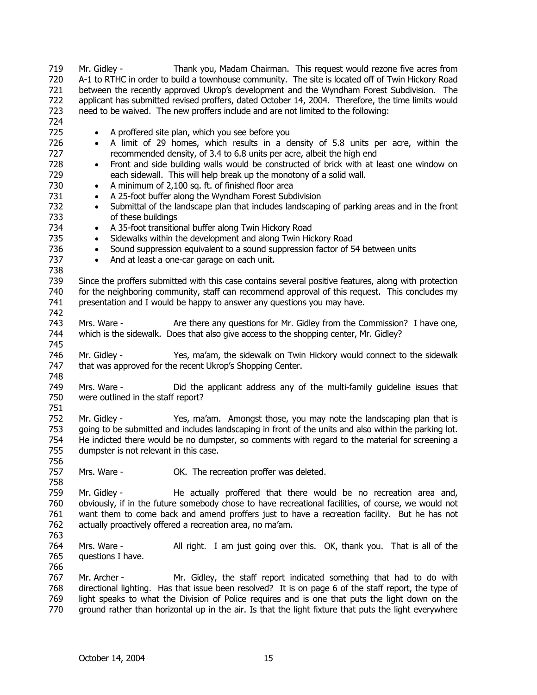719 720 721 722 723 724 725 726 727 728 729 730 731 732 733 734 735 736 737 738 739 740 741 742 743 744 745 746 747 748 749 750 751 752 753 754 755 756 757 758 759 760 761 762 763 764 765 766 767 768 769 770 Mr. Gidley - Thank you, Madam Chairman. This request would rezone five acres from A-1 to RTHC in order to build a townhouse community. The site is located off of Twin Hickory Road between the recently approved Ukrop's development and the Wyndham Forest Subdivision. The applicant has submitted revised proffers, dated October 14, 2004. Therefore, the time limits would need to be waived. The new proffers include and are not limited to the following: • A proffered site plan, which you see before you • A limit of 29 homes, which results in a density of 5.8 units per acre, within the recommended density, of 3.4 to 6.8 units per acre, albeit the high end • Front and side building walls would be constructed of brick with at least one window on each sidewall. This will help break up the monotony of a solid wall. • A minimum of 2,100 sq. ft. of finished floor area • A 25-foot buffer along the Wyndham Forest Subdivision • Submittal of the landscape plan that includes landscaping of parking areas and in the front of these buildings • A 35-foot transitional buffer along Twin Hickory Road • Sidewalks within the development and along Twin Hickory Road • Sound suppression equivalent to a sound suppression factor of 54 between units • And at least a one-car garage on each unit. Since the proffers submitted with this case contains several positive features, along with protection for the neighboring community, staff can recommend approval of this request. This concludes my presentation and I would be happy to answer any questions you may have. Mrs. Ware - Are there any questions for Mr. Gidley from the Commission? I have one, which is the sidewalk. Does that also give access to the shopping center, Mr. Gidley? Mr. Gidley - Yes, ma'am, the sidewalk on Twin Hickory would connect to the sidewalk that was approved for the recent Ukrop's Shopping Center. Mrs. Ware - Did the applicant address any of the multi-family guideline issues that were outlined in the staff report? Mr. Gidley - Yes, ma'am. Amongst those, you may note the landscaping plan that is going to be submitted and includes landscaping in front of the units and also within the parking lot. He indicted there would be no dumpster, so comments with regard to the material for screening a dumpster is not relevant in this case. Mrs. Ware - **OK.** The recreation proffer was deleted. Mr. Gidley - The actually proffered that there would be no recreation area and, obviously, if in the future somebody chose to have recreational facilities, of course, we would not want them to come back and amend proffers just to have a recreation facility. But he has not actually proactively offered a recreation area, no ma'am. Mrs. Ware - All right. I am just going over this. OK, thank you. That is all of the questions I have. Mr. Archer - Mr. Gidley, the staff report indicated something that had to do with directional lighting. Has that issue been resolved? It is on page 6 of the staff report, the type of light speaks to what the Division of Police requires and is one that puts the light down on the ground rather than horizontal up in the air. Is that the light fixture that puts the light everywhere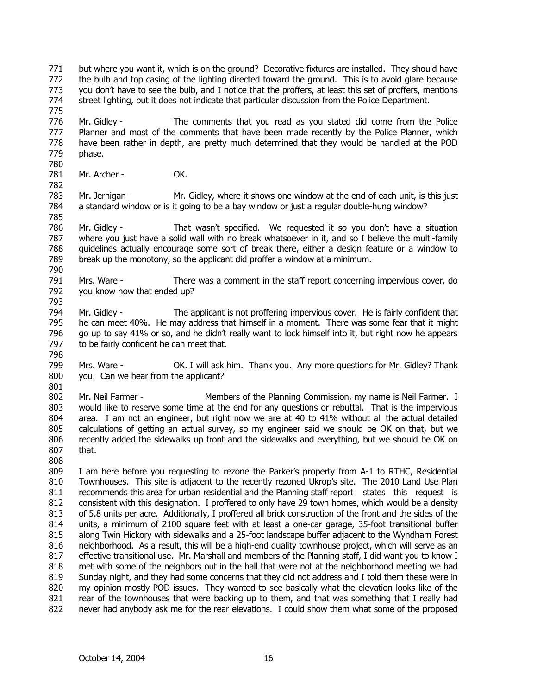771 772 773 774 775 but where you want it, which is on the ground? Decorative fixtures are installed. They should have the bulb and top casing of the lighting directed toward the ground. This is to avoid glare because you don't have to see the bulb, and I notice that the proffers, at least this set of proffers, mentions street lighting, but it does not indicate that particular discussion from the Police Department.

776 777 778 779 780 Mr. Gidley - The comments that you read as you stated did come from the Police Planner and most of the comments that have been made recently by the Police Planner, which have been rather in depth, are pretty much determined that they would be handled at the POD phase.

781 Mr. Archer - OK.

783 784 785 Mr. Jernigan - Mr. Gidley, where it shows one window at the end of each unit, is this just a standard window or is it going to be a bay window or just a regular double-hung window?

786 787 788 789 790 Mr. Gidley - That wasn't specified. We requested it so you don't have a situation where you just have a solid wall with no break whatsoever in it, and so I believe the multi-family guidelines actually encourage some sort of break there, either a design feature or a window to break up the monotony, so the applicant did proffer a window at a minimum.

791 792 Mrs. Ware - There was a comment in the staff report concerning impervious cover, do you know how that ended up?

794 795 796 797 Mr. Gidley - The applicant is not proffering impervious cover. He is fairly confident that he can meet 40%. He may address that himself in a moment. There was some fear that it might go up to say 41% or so, and he didn't really want to lock himself into it, but right now he appears to be fairly confident he can meet that.

798

808

793

782

799 800 Mrs. Ware - OK. I will ask him. Thank you. Any more questions for Mr. Gidley? Thank you. Can we hear from the applicant?

801 802 803 804 805 806 807 Mr. Neil Farmer - The Members of the Planning Commission, my name is Neil Farmer. I would like to reserve some time at the end for any questions or rebuttal. That is the impervious area. I am not an engineer, but right now we are at 40 to 41% without all the actual detailed calculations of getting an actual survey, so my engineer said we should be OK on that, but we recently added the sidewalks up front and the sidewalks and everything, but we should be OK on that.

809 810 811 812 813 814 815 816 817 818 819 820 821 822 I am here before you requesting to rezone the Parker's property from A-1 to RTHC, Residential Townhouses. This site is adjacent to the recently rezoned Ukrop's site. The 2010 Land Use Plan recommends this area for urban residential and the Planning staff report states this request is consistent with this designation. I proffered to only have 29 town homes, which would be a density of 5.8 units per acre. Additionally, I proffered all brick construction of the front and the sides of the units, a minimum of 2100 square feet with at least a one-car garage, 35-foot transitional buffer along Twin Hickory with sidewalks and a 25-foot landscape buffer adjacent to the Wyndham Forest neighborhood. As a result, this will be a high-end quality townhouse project, which will serve as an effective transitional use. Mr. Marshall and members of the Planning staff, I did want you to know I met with some of the neighbors out in the hall that were not at the neighborhood meeting we had Sunday night, and they had some concerns that they did not address and I told them these were in my opinion mostly POD issues. They wanted to see basically what the elevation looks like of the rear of the townhouses that were backing up to them, and that was something that I really had never had anybody ask me for the rear elevations. I could show them what some of the proposed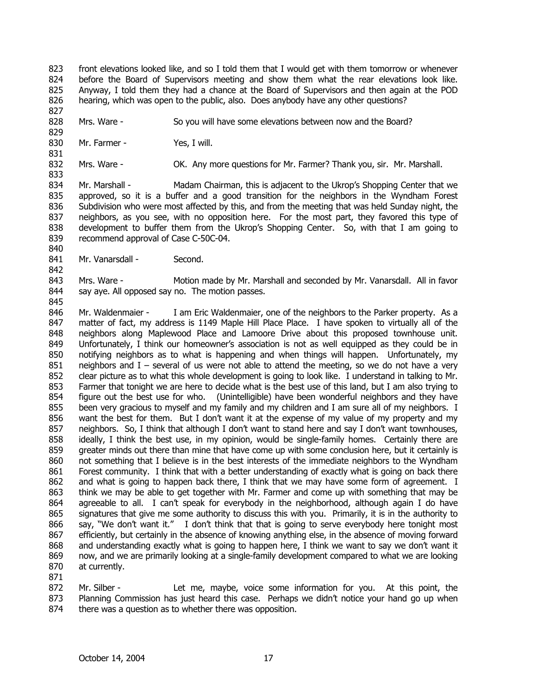823 824 825 826 827 front elevations looked like, and so I told them that I would get with them tomorrow or whenever before the Board of Supervisors meeting and show them what the rear elevations look like. Anyway, I told them they had a chance at the Board of Supervisors and then again at the POD hearing, which was open to the public, also. Does anybody have any other questions?

828 Mrs. Ware - So you will have some elevations between now and the Board?

830 Mr. Farmer - Yes, I will.

829

831

842

845

832 833 Mrs. Ware - OK. Any more questions for Mr. Farmer? Thank you, sir. Mr. Marshall.

834 835 836 837 838 839 840 Mr. Marshall - Madam Chairman, this is adjacent to the Ukrop's Shopping Center that we approved, so it is a buffer and a good transition for the neighbors in the Wyndham Forest Subdivision who were most affected by this, and from the meeting that was held Sunday night, the neighbors, as you see, with no opposition here. For the most part, they favored this type of development to buffer them from the Ukrop's Shopping Center. So, with that I am going to recommend approval of Case C-50C-04.

841 Mr. Vanarsdall - Second.

843 844 Mrs. Ware - Motion made by Mr. Marshall and seconded by Mr. Vanarsdall. All in favor say aye. All opposed say no. The motion passes.

846 847 848 849 850 851 852 853 854 855 856 857 858 859 860 861 862 863 864 865 866 867 868 869 870 Mr. Waldenmaier - I am Eric Waldenmaier, one of the neighbors to the Parker property. As a matter of fact, my address is 1149 Maple Hill Place Place. I have spoken to virtually all of the neighbors along Maplewood Place and Lamoore Drive about this proposed townhouse unit. Unfortunately, I think our homeowner's association is not as well equipped as they could be in notifying neighbors as to what is happening and when things will happen. Unfortunately, my neighbors and I – several of us were not able to attend the meeting, so we do not have a very clear picture as to what this whole development is going to look like. I understand in talking to Mr. Farmer that tonight we are here to decide what is the best use of this land, but I am also trying to figure out the best use for who. (Unintelligible) have been wonderful neighbors and they have been very gracious to myself and my family and my children and I am sure all of my neighbors. I want the best for them. But I don't want it at the expense of my value of my property and my neighbors. So, I think that although I don't want to stand here and say I don't want townhouses, ideally, I think the best use, in my opinion, would be single-family homes. Certainly there are greater minds out there than mine that have come up with some conclusion here, but it certainly is not something that I believe is in the best interests of the immediate neighbors to the Wyndham Forest community. I think that with a better understanding of exactly what is going on back there and what is going to happen back there, I think that we may have some form of agreement. I think we may be able to get together with Mr. Farmer and come up with something that may be agreeable to all. I can't speak for everybody in the neighborhood, although again I do have signatures that give me some authority to discuss this with you. Primarily, it is in the authority to say, "We don't want it." I don't think that that is going to serve everybody here tonight most efficiently, but certainly in the absence of knowing anything else, in the absence of moving forward and understanding exactly what is going to happen here, I think we want to say we don't want it now, and we are primarily looking at a single-family development compared to what we are looking at currently.

871

872 873 874 Mr. Silber - Let me, maybe, voice some information for you. At this point, the Planning Commission has just heard this case. Perhaps we didn't notice your hand go up when there was a question as to whether there was opposition.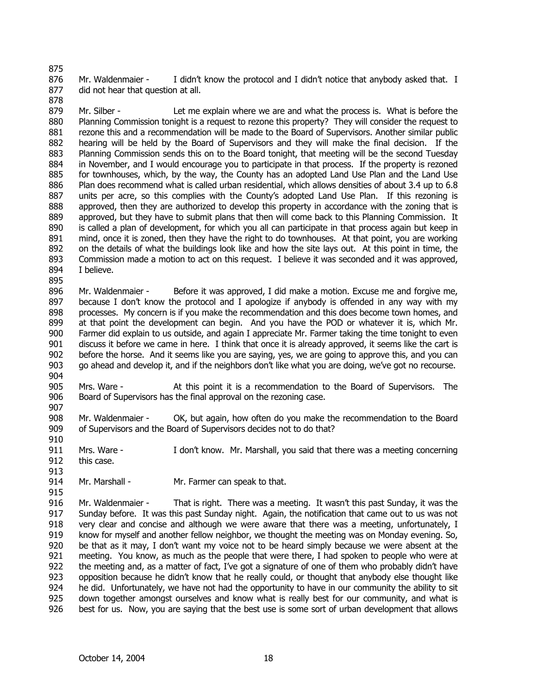876 877 Mr. Waldenmaier - I didn't know the protocol and I didn't notice that anybody asked that. I did not hear that question at all.

879 880 881 882 883 884 885 886 887 888 889 890 891 892 893 894 895 Mr. Silber - Let me explain where we are and what the process is. What is before the Planning Commission tonight is a request to rezone this property? They will consider the request to rezone this and a recommendation will be made to the Board of Supervisors. Another similar public hearing will be held by the Board of Supervisors and they will make the final decision. If the Planning Commission sends this on to the Board tonight, that meeting will be the second Tuesday in November, and I would encourage you to participate in that process. If the property is rezoned for townhouses, which, by the way, the County has an adopted Land Use Plan and the Land Use Plan does recommend what is called urban residential, which allows densities of about 3.4 up to 6.8 units per acre, so this complies with the County's adopted Land Use Plan. If this rezoning is approved, then they are authorized to develop this property in accordance with the zoning that is approved, but they have to submit plans that then will come back to this Planning Commission. It is called a plan of development, for which you all can participate in that process again but keep in mind, once it is zoned, then they have the right to do townhouses. At that point, you are working on the details of what the buildings look like and how the site lays out. At this point in time, the Commission made a motion to act on this request. I believe it was seconded and it was approved, I believe.

896 897 898 899 900 901 902 903 904 Mr. Waldenmaier - Before it was approved, I did make a motion. Excuse me and forgive me, because I don't know the protocol and I apologize if anybody is offended in any way with my processes. My concern is if you make the recommendation and this does become town homes, and at that point the development can begin. And you have the POD or whatever it is, which Mr. Farmer did explain to us outside, and again I appreciate Mr. Farmer taking the time tonight to even discuss it before we came in here. I think that once it is already approved, it seems like the cart is before the horse. And it seems like you are saying, yes, we are going to approve this, and you can go ahead and develop it, and if the neighbors don't like what you are doing, we've got no recourse.

905 906 Mrs. Ware - At this point it is a recommendation to the Board of Supervisors. The Board of Supervisors has the final approval on the rezoning case.

907

913

915

875

878

908 909 Mr. Waldenmaier - OK, but again, how often do you make the recommendation to the Board of Supervisors and the Board of Supervisors decides not to do that?

910 911 912 Mrs. Ware - I don't know. Mr. Marshall, you said that there was a meeting concerning this case.

914 Mr. Marshall - Mr. Farmer can speak to that.

916 917 918 919 920 921 922 923 924 925 926 Mr. Waldenmaier - That is right. There was a meeting. It wasn't this past Sunday, it was the Sunday before. It was this past Sunday night. Again, the notification that came out to us was not very clear and concise and although we were aware that there was a meeting, unfortunately, I know for myself and another fellow neighbor, we thought the meeting was on Monday evening. So, be that as it may, I don't want my voice not to be heard simply because we were absent at the meeting. You know, as much as the people that were there, I had spoken to people who were at the meeting and, as a matter of fact, I've got a signature of one of them who probably didn't have opposition because he didn't know that he really could, or thought that anybody else thought like he did. Unfortunately, we have not had the opportunity to have in our community the ability to sit down together amongst ourselves and know what is really best for our community, and what is best for us. Now, you are saying that the best use is some sort of urban development that allows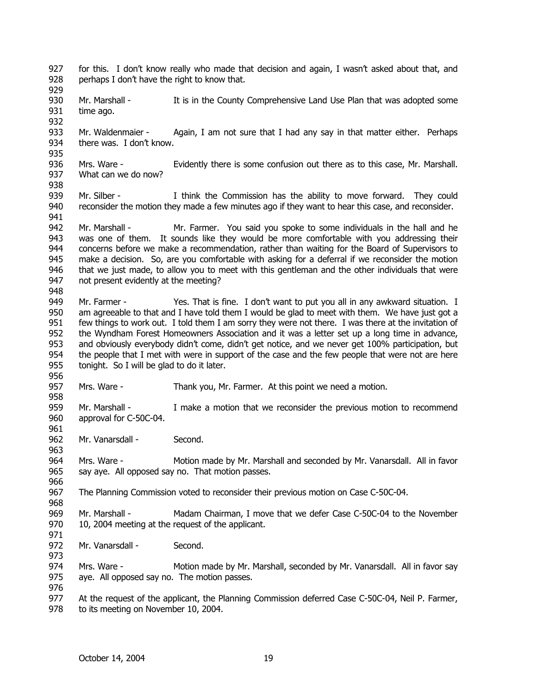927 928 929 930 931 932 933 934 935 936 937 938 939 940 941 942 943 944 945 946 947 948 949 950 951 952 953 954 955 956 957 958 959 960 961 962 963 964 965 966 967 968 969 970 971 972 973 974 975 976 977 978 for this. I don't know really who made that decision and again, I wasn't asked about that, and perhaps I don't have the right to know that. Mr. Marshall - It is in the County Comprehensive Land Use Plan that was adopted some time ago. Mr. Waldenmaier - Again, I am not sure that I had any say in that matter either. Perhaps there was. I don't know. Mrs. Ware - Evidently there is some confusion out there as to this case, Mr. Marshall. What can we do now? Mr. Silber - I think the Commission has the ability to move forward. They could reconsider the motion they made a few minutes ago if they want to hear this case, and reconsider. Mr. Marshall - Mr. Farmer. You said you spoke to some individuals in the hall and he was one of them. It sounds like they would be more comfortable with you addressing their concerns before we make a recommendation, rather than waiting for the Board of Supervisors to make a decision. So, are you comfortable with asking for a deferral if we reconsider the motion that we just made, to allow you to meet with this gentleman and the other individuals that were not present evidently at the meeting? Mr. Farmer - Yes. That is fine. I don't want to put you all in any awkward situation. I am agreeable to that and I have told them I would be glad to meet with them. We have just got a few things to work out. I told them I am sorry they were not there. I was there at the invitation of the Wyndham Forest Homeowners Association and it was a letter set up a long time in advance, and obviously everybody didn't come, didn't get notice, and we never get 100% participation, but the people that I met with were in support of the case and the few people that were not are here tonight. So I will be glad to do it later. Mrs. Ware - Thank you, Mr. Farmer. At this point we need a motion. Mr. Marshall - I make a motion that we reconsider the previous motion to recommend approval for C-50C-04. Mr. Vanarsdall - Second. Mrs. Ware - Motion made by Mr. Marshall and seconded by Mr. Vanarsdall. All in favor say aye. All opposed say no. That motion passes. The Planning Commission voted to reconsider their previous motion on Case C-50C-04. Mr. Marshall - Madam Chairman, I move that we defer Case C-50C-04 to the November 10, 2004 meeting at the request of the applicant. Mr. Vanarsdall - Second. Mrs. Ware - Motion made by Mr. Marshall, seconded by Mr. Vanarsdall. All in favor say aye. All opposed say no. The motion passes. At the request of the applicant, the Planning Commission deferred Case C-50C-04, Neil P. Farmer, to its meeting on November 10, 2004.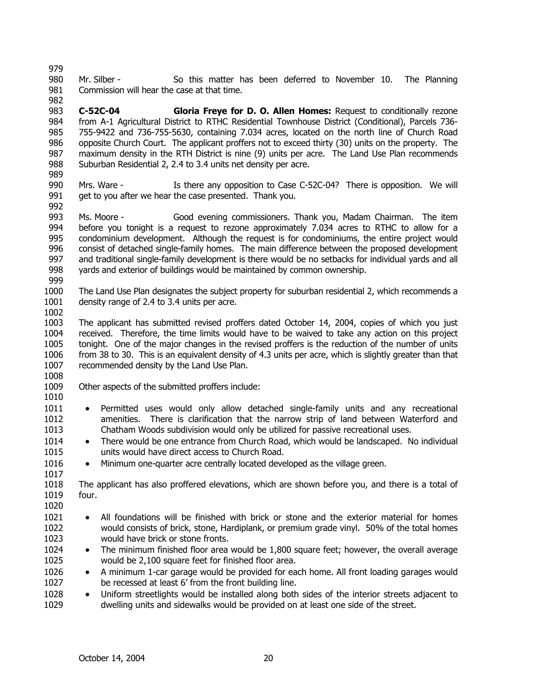979

- 980 981 982 Mr. Silber - So this matter has been deferred to November 10. The Planning Commission will hear the case at that time.
- 983 984 985 986 987 988 **C-52C-04 Gloria Freye for D. O. Allen Homes:** Request to conditionally rezone from A-1 Agricultural District to RTHC Residential Townhouse District (Conditional), Parcels 736- 755-9422 and 736-755-5630, containing 7.034 acres, located on the north line of Church Road opposite Church Court. The applicant proffers not to exceed thirty (30) units on the property. The maximum density in the RTH District is nine (9) units per acre. The Land Use Plan recommends Suburban Residential 2, 2.4 to 3.4 units net density per acre.
- 989
- 990 991 Mrs. Ware - The Matchen any opposition to Case C-52C-04? There is opposition. We will get to you after we hear the case presented. Thank you.
- 992
- 993 994 995 996 997 998 Ms. Moore - Good evening commissioners. Thank you, Madam Chairman. The item before you tonight is a request to rezone approximately 7.034 acres to RTHC to allow for a condominium development. Although the request is for condominiums, the entire project would consist of detached single-family homes. The main difference between the proposed development and traditional single-family development is there would be no setbacks for individual yards and all yards and exterior of buildings would be maintained by common ownership.
- 999

1002

- 1000 1001 The Land Use Plan designates the subject property for suburban residential 2, which recommends a density range of 2.4 to 3.4 units per acre.
- 1003 1004 1005 1006 1007 1008 The applicant has submitted revised proffers dated October 14, 2004, copies of which you just received. Therefore, the time limits would have to be waived to take any action on this project tonight. One of the major changes in the revised proffers is the reduction of the number of units from 38 to 30. This is an equivalent density of 4.3 units per acre, which is slightly greater than that recommended density by the Land Use Plan.
- 1009 Other aspects of the submitted proffers include:
- 1010

- 1011 1012 1013 • Permitted uses would only allow detached single-family units and any recreational amenities. There is clarification that the narrow strip of land between Waterford and Chatham Woods subdivision would only be utilized for passive recreational uses.
- 1014 1015 • There would be one entrance from Church Road, which would be landscaped. No individual units would have direct access to Church Road.
- 1016 1017 • Minimum one-quarter acre centrally located developed as the village green.

1018 1019 1020 The applicant has also proffered elevations, which are shown before you, and there is a total of four.

- 1021 1022 1023 • All foundations will be finished with brick or stone and the exterior material for homes would consists of brick, stone, Hardiplank, or premium grade vinyl. 50% of the total homes would have brick or stone fronts.
- 1024 1025 • The minimum finished floor area would be 1,800 square feet; however, the overall average would be 2,100 square feet for finished floor area.
- 1026 1027 • A minimum 1-car garage would be provided for each home. All front loading garages would be recessed at least 6' from the front building line.
- 1028 1029 • Uniform streetlights would be installed along both sides of the interior streets adjacent to dwelling units and sidewalks would be provided on at least one side of the street.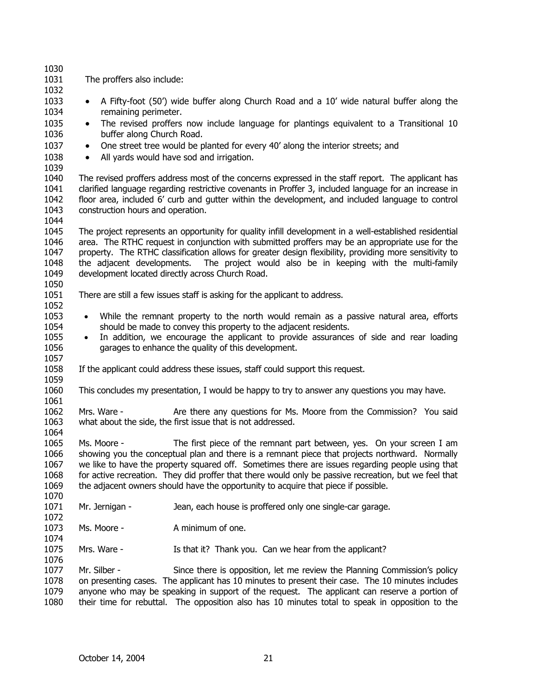| 1030<br>1031                                                   | The proffers also include:                                                                                                                                                                                                                                                                                                                                                                                                                                                                |                                                                                                                                    |  |  |
|----------------------------------------------------------------|-------------------------------------------------------------------------------------------------------------------------------------------------------------------------------------------------------------------------------------------------------------------------------------------------------------------------------------------------------------------------------------------------------------------------------------------------------------------------------------------|------------------------------------------------------------------------------------------------------------------------------------|--|--|
| 1032<br>1033<br>$\bullet$<br>1034                              | A Fifty-foot (50') wide buffer along Church Road and a 10' wide natural buffer along the<br>remaining perimeter.                                                                                                                                                                                                                                                                                                                                                                          |                                                                                                                                    |  |  |
| 1035<br>$\bullet$<br>1036                                      | The revised proffers now include language for plantings equivalent to a Transitional 10<br>buffer along Church Road.                                                                                                                                                                                                                                                                                                                                                                      |                                                                                                                                    |  |  |
| 1037<br>$\bullet$<br>1038<br>$\bullet$                         | One street tree would be planted for every 40' along the interior streets; and<br>All yards would have sod and irrigation.                                                                                                                                                                                                                                                                                                                                                                |                                                                                                                                    |  |  |
| 1039<br>1040<br>1041<br>1042<br>1043<br>1044                   | The revised proffers address most of the concerns expressed in the staff report. The applicant has<br>clarified language regarding restrictive covenants in Proffer 3, included language for an increase in<br>floor area, included 6' curb and gutter within the development, and included language to control<br>construction hours and operation.                                                                                                                                      |                                                                                                                                    |  |  |
| 1045<br>1046<br>1047<br>1048<br>1049<br>1050                   | The project represents an opportunity for quality infill development in a well-established residential<br>area. The RTHC request in conjunction with submitted proffers may be an appropriate use for the<br>property. The RTHC classification allows for greater design flexibility, providing more sensitivity to<br>the adjacent developments.<br>The project would also be in keeping with the multi-family<br>development located directly across Church Road.                       |                                                                                                                                    |  |  |
| 1051<br>1052                                                   | There are still a few issues staff is asking for the applicant to address.                                                                                                                                                                                                                                                                                                                                                                                                                |                                                                                                                                    |  |  |
| 1053<br>$\bullet$<br>1054<br>1055<br>$\bullet$<br>1056<br>1057 | While the remnant property to the north would remain as a passive natural area, efforts<br>should be made to convey this property to the adjacent residents.<br>In addition, we encourage the applicant to provide assurances of side and rear loading<br>garages to enhance the quality of this development.                                                                                                                                                                             |                                                                                                                                    |  |  |
| 1058<br>1059                                                   | If the applicant could address these issues, staff could support this request.                                                                                                                                                                                                                                                                                                                                                                                                            |                                                                                                                                    |  |  |
| 1060<br>1061                                                   | This concludes my presentation, I would be happy to try to answer any questions you may have.                                                                                                                                                                                                                                                                                                                                                                                             |                                                                                                                                    |  |  |
| 1062<br>1063<br>1064                                           | Mrs. Ware -                                                                                                                                                                                                                                                                                                                                                                                                                                                                               | Are there any questions for Ms. Moore from the Commission? You said<br>what about the side, the first issue that is not addressed. |  |  |
| 1065<br>1066<br>1067<br>1068<br>1069<br>1070                   | Ms. Moore -<br>The first piece of the remnant part between, yes. On your screen I am<br>showing you the conceptual plan and there is a remnant piece that projects northward. Normally<br>we like to have the property squared off. Sometimes there are issues regarding people using that<br>for active recreation. They did proffer that there would only be passive recreation, but we feel that<br>the adjacent owners should have the opportunity to acquire that piece if possible. |                                                                                                                                    |  |  |
| 1071<br>1072                                                   | Mr. Jernigan -                                                                                                                                                                                                                                                                                                                                                                                                                                                                            | Jean, each house is proffered only one single-car garage.                                                                          |  |  |
| 1073<br>1074                                                   | Ms. Moore -                                                                                                                                                                                                                                                                                                                                                                                                                                                                               | A minimum of one.                                                                                                                  |  |  |
| 1075<br>1076                                                   | Mrs. Ware -                                                                                                                                                                                                                                                                                                                                                                                                                                                                               | Is that it? Thank you. Can we hear from the applicant?                                                                             |  |  |
| 1077<br>1078<br>1079<br>1080                                   | Mr. Silber -<br>Since there is opposition, let me review the Planning Commission's policy<br>on presenting cases. The applicant has 10 minutes to present their case. The 10 minutes includes<br>anyone who may be speaking in support of the request. The applicant can reserve a portion of<br>their time for rebuttal. The opposition also has 10 minutes total to speak in opposition to the                                                                                          |                                                                                                                                    |  |  |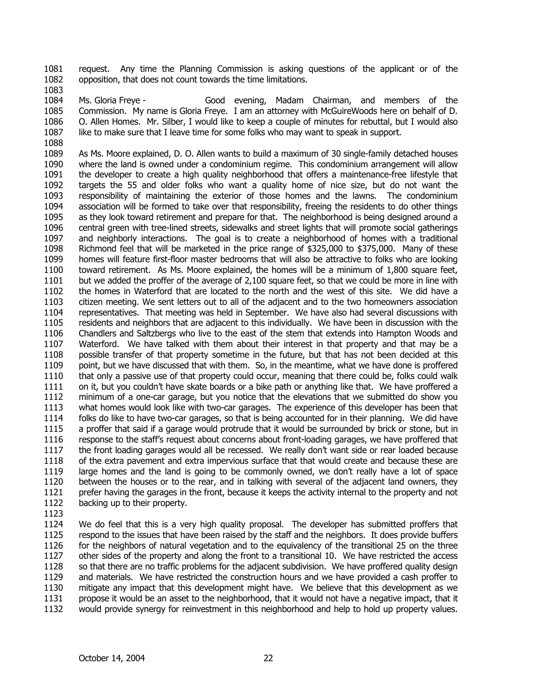1081 1082 request. Any time the Planning Commission is asking questions of the applicant or of the opposition, that does not count towards the time limitations.

1083

1084 1085

1086 1087

1088

Ms. Gloria Freye - Good evening, Madam Chairman, and members of the Commission. My name is Gloria Freye. I am an attorney with McGuireWoods here on behalf of D. O. Allen Homes. Mr. Silber, I would like to keep a couple of minutes for rebuttal, but I would also like to make sure that I leave time for some folks who may want to speak in support.

1089 1090 1091 1092 1093 1094 1095 1096 1097 1098 1099 1100 1101 1102 1103 1104 1105 1106 1107 1108 1109 1110 1111 1112 1113 1114 1115 1116 1117 1118 1119 1120 1121 1122 As Ms. Moore explained, D. O. Allen wants to build a maximum of 30 single-family detached houses where the land is owned under a condominium regime. This condominium arrangement will allow the developer to create a high quality neighborhood that offers a maintenance-free lifestyle that targets the 55 and older folks who want a quality home of nice size, but do not want the responsibility of maintaining the exterior of those homes and the lawns. The condominium association will be formed to take over that responsibility, freeing the residents to do other things as they look toward retirement and prepare for that. The neighborhood is being designed around a central green with tree-lined streets, sidewalks and street lights that will promote social gatherings and neighborly interactions. The goal is to create a neighborhood of homes with a traditional Richmond feel that will be marketed in the price range of \$325,000 to \$375,000. Many of these homes will feature first-floor master bedrooms that will also be attractive to folks who are looking toward retirement. As Ms. Moore explained, the homes will be a minimum of 1,800 square feet, but we added the proffer of the average of 2,100 square feet, so that we could be more in line with the homes in Waterford that are located to the north and the west of this site. We did have a citizen meeting. We sent letters out to all of the adjacent and to the two homeowners association representatives. That meeting was held in September. We have also had several discussions with residents and neighbors that are adjacent to this individually. We have been in discussion with the Chandlers and Saltzbergs who live to the east of the stem that extends into Hampton Woods and Waterford. We have talked with them about their interest in that property and that may be a possible transfer of that property sometime in the future, but that has not been decided at this point, but we have discussed that with them. So, in the meantime, what we have done is proffered that only a passive use of that property could occur, meaning that there could be, folks could walk on it, but you couldn't have skate boards or a bike path or anything like that. We have proffered a minimum of a one-car garage, but you notice that the elevations that we submitted do show you what homes would look like with two-car garages. The experience of this developer has been that folks do like to have two-car garages, so that is being accounted for in their planning. We did have a proffer that said if a garage would protrude that it would be surrounded by brick or stone, but in response to the staff's request about concerns about front-loading garages, we have proffered that the front loading garages would all be recessed. We really don't want side or rear loaded because of the extra pavement and extra impervious surface that that would create and because these are large homes and the land is going to be commonly owned, we don't really have a lot of space between the houses or to the rear, and in talking with several of the adjacent land owners, they prefer having the garages in the front, because it keeps the activity internal to the property and not backing up to their property.

1123

1124 1125 1126 1127 1128 1129 1130 1131 1132 We do feel that this is a very high quality proposal. The developer has submitted proffers that respond to the issues that have been raised by the staff and the neighbors. It does provide buffers for the neighbors of natural vegetation and to the equivalency of the transitional 25 on the three other sides of the property and along the front to a transitional 10. We have restricted the access so that there are no traffic problems for the adjacent subdivision. We have proffered quality design and materials. We have restricted the construction hours and we have provided a cash proffer to mitigate any impact that this development might have. We believe that this development as we propose it would be an asset to the neighborhood, that it would not have a negative impact, that it would provide synergy for reinvestment in this neighborhood and help to hold up property values.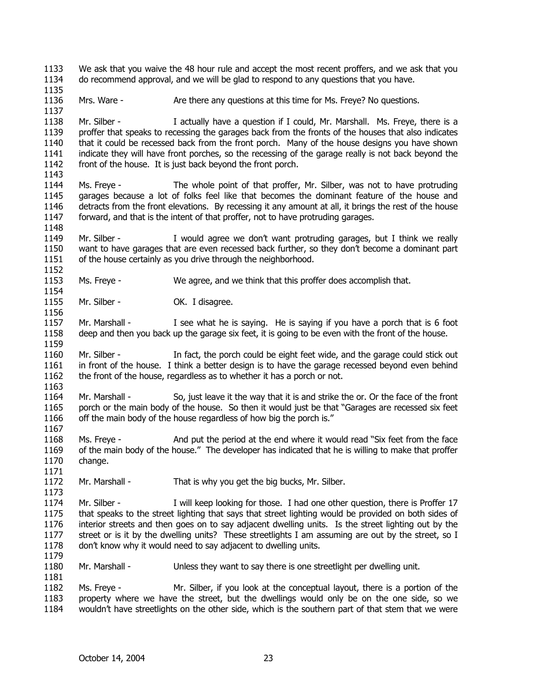1133 1134 We ask that you waive the 48 hour rule and accept the most recent proffers, and we ask that you do recommend approval, and we will be glad to respond to any questions that you have.

1136 Mrs. Ware - Are there any questions at this time for Ms. Freye? No questions.

1138 1139 1140 1141 1142 1143 Mr. Silber - I actually have a question if I could, Mr. Marshall. Ms. Freye, there is a proffer that speaks to recessing the garages back from the fronts of the houses that also indicates that it could be recessed back from the front porch. Many of the house designs you have shown indicate they will have front porches, so the recessing of the garage really is not back beyond the front of the house. It is just back beyond the front porch.

- 1144 1145 1146 1147 Ms. Freye - The whole point of that proffer, Mr. Silber, was not to have protruding garages because a lot of folks feel like that becomes the dominant feature of the house and detracts from the front elevations. By recessing it any amount at all, it brings the rest of the house forward, and that is the intent of that proffer, not to have protruding garages.
- 1149 1150 1151 1152 Mr. Silber - I would agree we don't want protruding garages, but I think we really want to have garages that are even recessed back further, so they don't become a dominant part of the house certainly as you drive through the neighborhood.
- 1153 1154 Ms. Freye - We agree, and we think that this proffer does accomplish that.
- 1155 Mr. Silber - **OK. I disagree.**

1135

1137

1148

1156

1159

1163

1171

1173

1179

- 1157 1158 Mr. Marshall - I see what he is saying. He is saying if you have a porch that is 6 foot deep and then you back up the garage six feet, it is going to be even with the front of the house.
- 1160 1161 1162 Mr. Silber - In fact, the porch could be eight feet wide, and the garage could stick out in front of the house. I think a better design is to have the garage recessed beyond even behind the front of the house, regardless as to whether it has a porch or not.
- 1164 1165 1166 1167 Mr. Marshall - So, just leave it the way that it is and strike the or. Or the face of the front porch or the main body of the house. So then it would just be that "Garages are recessed six feet off the main body of the house regardless of how big the porch is."
- 1168 1169 1170 Ms. Freye - And put the period at the end where it would read "Six feet from the face of the main body of the house." The developer has indicated that he is willing to make that proffer change.
- 1172 Mr. Marshall - That is why you get the big bucks, Mr. Silber.
- 1174 1175 1176 1177 1178 Mr. Silber - I will keep looking for those. I had one other question, there is Proffer 17 that speaks to the street lighting that says that street lighting would be provided on both sides of interior streets and then goes on to say adjacent dwelling units. Is the street lighting out by the street or is it by the dwelling units? These streetlights I am assuming are out by the street, so I don't know why it would need to say adjacent to dwelling units.
- 1180 Mr. Marshall - Unless they want to say there is one streetlight per dwelling unit.
- 1182 1183 1184 Ms. Freye - Mr. Silber, if you look at the conceptual layout, there is a portion of the property where we have the street, but the dwellings would only be on the one side, so we wouldn't have streetlights on the other side, which is the southern part of that stem that we were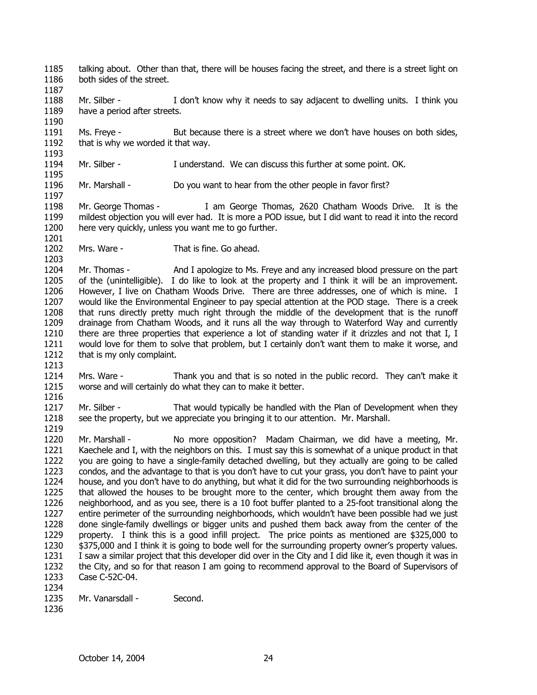- 1185 1186 talking about. Other than that, there will be houses facing the street, and there is a street light on both sides of the street.
- 1188 1189 1190 Mr. Silber - I don't know why it needs to say adjacent to dwelling units. I think you have a period after streets.
- 1191 1192 Ms. Freye - But because there is a street where we don't have houses on both sides, that is why we worded it that way.
- 1194 Mr. Silber - I understand. We can discuss this further at some point. OK.
- 1196 Mr. Marshall - Do you want to hear from the other people in favor first?
- 1198 1199 1200 Mr. George Thomas - I am George Thomas, 2620 Chatham Woods Drive. It is the mildest objection you will ever had. It is more a POD issue, but I did want to read it into the record here very quickly, unless you want me to go further.
- 1202 Mrs. Ware - That is fine. Go ahead.
- 1204 1205 1206 1207 1208 1209 1210 1211 1212 Mr. Thomas - And I apologize to Ms. Freye and any increased blood pressure on the part of the (unintelligible). I do like to look at the property and I think it will be an improvement. However, I live on Chatham Woods Drive. There are three addresses, one of which is mine. I would like the Environmental Engineer to pay special attention at the POD stage. There is a creek that runs directly pretty much right through the middle of the development that is the runoff drainage from Chatham Woods, and it runs all the way through to Waterford Way and currently there are three properties that experience a lot of standing water if it drizzles and not that I, I would love for them to solve that problem, but I certainly don't want them to make it worse, and that is my only complaint.
- 1213

1187

1193

1195

1197

1201

- 1214 1215 1216 Mrs. Ware - Thank you and that is so noted in the public record. They can't make it worse and will certainly do what they can to make it better.
- 1217 1218 1219 Mr. Silber - That would typically be handled with the Plan of Development when they see the property, but we appreciate you bringing it to our attention. Mr. Marshall.
- 1220 1221 1222 1223 1224 1225 1226 1227 1228 1229 1230 1231 1232 1233 1234 Mr. Marshall - No more opposition? Madam Chairman, we did have a meeting, Mr. Kaechele and I, with the neighbors on this. I must say this is somewhat of a unique product in that you are going to have a single-family detached dwelling, but they actually are going to be called condos, and the advantage to that is you don't have to cut your grass, you don't have to paint your house, and you don't have to do anything, but what it did for the two surrounding neighborhoods is that allowed the houses to be brought more to the center, which brought them away from the neighborhood, and as you see, there is a 10 foot buffer planted to a 25-foot transitional along the entire perimeter of the surrounding neighborhoods, which wouldn't have been possible had we just done single-family dwellings or bigger units and pushed them back away from the center of the property. I think this is a good infill project. The price points as mentioned are \$325,000 to \$375,000 and I think it is going to bode well for the surrounding property owner's property values. I saw a similar project that this developer did over in the City and I did like it, even though it was in the City, and so for that reason I am going to recommend approval to the Board of Supervisors of Case C-52C-04.
- 1235 Mr. Vanarsdall - Second.
- 1236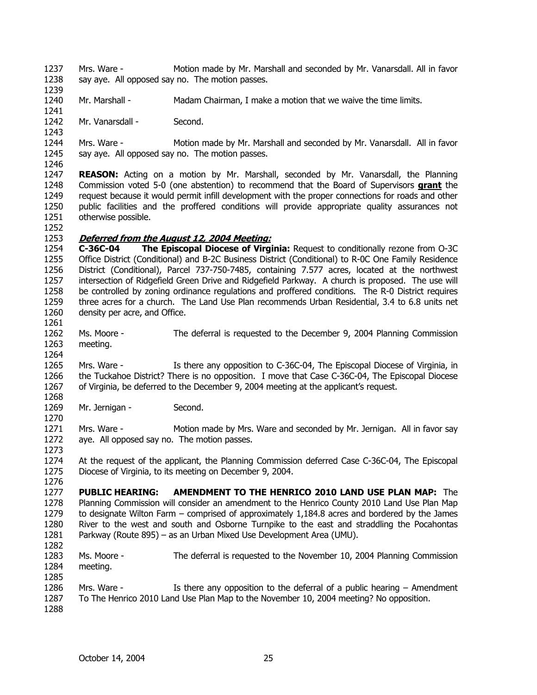1237 1238 Mrs. Ware - Motion made by Mr. Marshall and seconded by Mr. Vanarsdall. All in favor say aye. All opposed say no. The motion passes.

1240 Mr. Marshall - Madam Chairman, I make a motion that we waive the time limits.

1242 Mr. Vanarsdall - Second.

1244 1245 1246 Mrs. Ware - Motion made by Mr. Marshall and seconded by Mr. Vanarsdall. All in favor say aye. All opposed say no. The motion passes.

1247 **REASON:** Acting on a motion by Mr. Marshall, seconded by Mr. Vanarsdall, the Planning Commission voted 5-0 (one abstention) to recommend that the Board of Supervisors **grant** the request because it would permit infill development with the proper connections for roads and other public facilities and the proffered conditions will provide appropriate quality assurances not otherwise possible. 1248 1249 1250 1251

1252

1264

1270

1239

1241

1243

### 1253 **Deferred from the August 12, 2004 Meeting:**

1254 1255 1256 1257 1258 1259 1260 1261 **C-36C-04 The Episcopal Diocese of Virginia:** Request to conditionally rezone from O-3C Office District (Conditional) and B-2C Business District (Conditional) to R-0C One Family Residence District (Conditional), Parcel 737-750-7485, containing 7.577 acres, located at the northwest intersection of Ridgefield Green Drive and Ridgefield Parkway. A church is proposed. The use will be controlled by zoning ordinance regulations and proffered conditions. The R-0 District requires three acres for a church. The Land Use Plan recommends Urban Residential, 3.4 to 6.8 units net density per acre, and Office.

- 1262 1263 Ms. Moore - The deferral is requested to the December 9, 2004 Planning Commission meeting.
- 1265 1266 1267 1268 Mrs. Ware - Is there any opposition to C-36C-04, The Episcopal Diocese of Virginia, in the Tuckahoe District? There is no opposition. I move that Case C-36C-04, The Episcopal Diocese of Virginia, be deferred to the December 9, 2004 meeting at the applicant's request.
- 1269 Mr. Jernigan - Second.

1271 1272 1273 Mrs. Ware - Motion made by Mrs. Ware and seconded by Mr. Jernigan. All in favor say aye. All opposed say no. The motion passes.

1274 1275 At the request of the applicant, the Planning Commission deferred Case C-36C-04, The Episcopal Diocese of Virginia, to its meeting on December 9, 2004.

1276

1277 1278 1279 1280 1281 1282 **PUBLIC HEARING: AMENDMENT TO THE HENRICO 2010 LAND USE PLAN MAP:** The Planning Commission will consider an amendment to the Henrico County 2010 Land Use Plan Map to designate Wilton Farm – comprised of approximately 1,184.8 acres and bordered by the James River to the west and south and Osborne Turnpike to the east and straddling the Pocahontas Parkway (Route 895) – as an Urban Mixed Use Development Area (UMU).

- 1283 1284 Ms. Moore - The deferral is requested to the November 10, 2004 Planning Commission meeting.
- 1285 1286 1287 Mrs. Ware - Is there any opposition to the deferral of a public hearing – Amendment To The Henrico 2010 Land Use Plan Map to the November 10, 2004 meeting? No opposition.
- 1288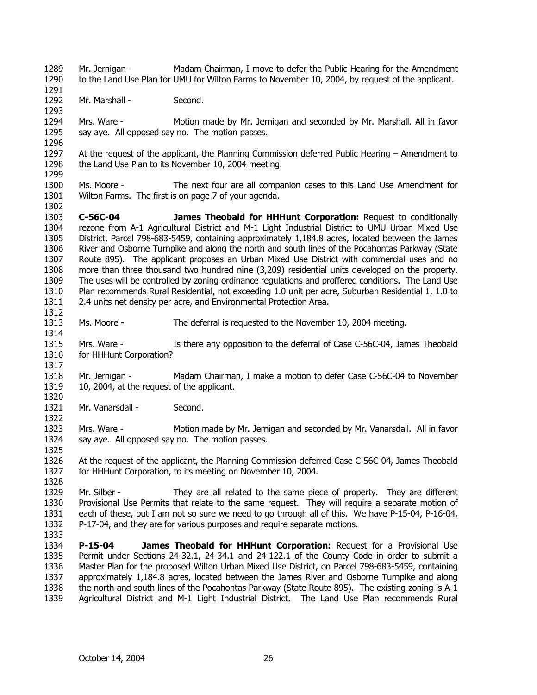1289 1290 1291 1292 1293 1294 1295 1296 1297 1298 1299 1300 1301 1302 1303 1304 1305 1306 1307 1308 1309 1310 1311 1312 1313 1314 1315 1316 1317 1318 1319 1320 1321 1322 1323 1324 1325 1326 1327 1328 1329 1330 1331 1332 1333 1334 1335 1336 1337 1338 1339 Mr. Jernigan - Madam Chairman, I move to defer the Public Hearing for the Amendment to the Land Use Plan for UMU for Wilton Farms to November 10, 2004, by request of the applicant. Mr. Marshall - Second. Mrs. Ware - Motion made by Mr. Jernigan and seconded by Mr. Marshall. All in favor say aye. All opposed say no. The motion passes. At the request of the applicant, the Planning Commission deferred Public Hearing – Amendment to the Land Use Plan to its November 10, 2004 meeting. Ms. Moore - The next four are all companion cases to this Land Use Amendment for Wilton Farms. The first is on page 7 of your agenda. **C-56C-04 James Theobald for HHHunt Corporation:** Request to conditionally rezone from A-1 Agricultural District and M-1 Light Industrial District to UMU Urban Mixed Use District, Parcel 798-683-5459, containing approximately 1,184.8 acres, located between the James River and Osborne Turnpike and along the north and south lines of the Pocahontas Parkway (State Route 895). The applicant proposes an Urban Mixed Use District with commercial uses and no more than three thousand two hundred nine (3,209) residential units developed on the property. The uses will be controlled by zoning ordinance regulations and proffered conditions. The Land Use Plan recommends Rural Residential, not exceeding 1.0 unit per acre, Suburban Residential 1, 1.0 to 2.4 units net density per acre, and Environmental Protection Area. Ms. Moore - The deferral is requested to the November 10, 2004 meeting. Mrs. Ware - Is there any opposition to the deferral of Case C-56C-04, James Theobald for HHHunt Corporation? Mr. Jernigan - Madam Chairman, I make a motion to defer Case C-56C-04 to November 10, 2004, at the request of the applicant. Mr. Vanarsdall - Second. Mrs. Ware - Motion made by Mr. Jernigan and seconded by Mr. Vanarsdall. All in favor say aye. All opposed say no. The motion passes. At the request of the applicant, the Planning Commission deferred Case C-56C-04, James Theobald for HHHunt Corporation, to its meeting on November 10, 2004. Mr. Silber - They are all related to the same piece of property. They are different Provisional Use Permits that relate to the same request. They will require a separate motion of each of these, but I am not so sure we need to go through all of this. We have P-15-04, P-16-04, P-17-04, and they are for various purposes and require separate motions. **P-15-04 James Theobald for HHHunt Corporation:** Request for a Provisional Use Permit under Sections 24-32.1, 24-34.1 and 24-122.1 of the County Code in order to submit a Master Plan for the proposed Wilton Urban Mixed Use District, on Parcel 798-683-5459, containing approximately 1,184.8 acres, located between the James River and Osborne Turnpike and along the north and south lines of the Pocahontas Parkway (State Route 895). The existing zoning is A-1 Agricultural District and M-1 Light Industrial District. The Land Use Plan recommends Rural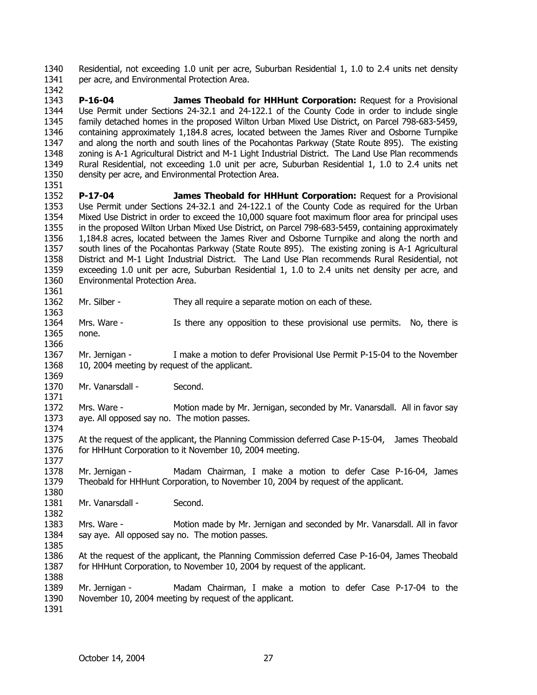1340 1341 Residential, not exceeding 1.0 unit per acre, Suburban Residential 1, 1.0 to 2.4 units net density per acre, and Environmental Protection Area.

1343 1344 1345 1346 1347 1348 1349 1350 1351 **P-16-04 James Theobald for HHHunt Corporation:** Request for a Provisional Use Permit under Sections 24-32.1 and 24-122.1 of the County Code in order to include single family detached homes in the proposed Wilton Urban Mixed Use District, on Parcel 798-683-5459, containing approximately 1,184.8 acres, located between the James River and Osborne Turnpike and along the north and south lines of the Pocahontas Parkway (State Route 895). The existing zoning is A-1 Agricultural District and M-1 Light Industrial District. The Land Use Plan recommends Rural Residential, not exceeding 1.0 unit per acre, Suburban Residential 1, 1.0 to 2.4 units net density per acre, and Environmental Protection Area.

1352 1353 1354 1355 1356 1357 1358 1359 1360 **P-17-04 James Theobald for HHHunt Corporation:** Request for a Provisional Use Permit under Sections 24-32.1 and 24-122.1 of the County Code as required for the Urban Mixed Use District in order to exceed the 10,000 square foot maximum floor area for principal uses in the proposed Wilton Urban Mixed Use District, on Parcel 798-683-5459, containing approximately 1,184.8 acres, located between the James River and Osborne Turnpike and along the north and south lines of the Pocahontas Parkway (State Route 895). The existing zoning is A-1 Agricultural District and M-1 Light Industrial District. The Land Use Plan recommends Rural Residential, not exceeding 1.0 unit per acre, Suburban Residential 1, 1.0 to 2.4 units net density per acre, and Environmental Protection Area.

1362 Mr. Silber - They all require a separate motion on each of these.

1364 1365 1366 Mrs. Ware - Is there any opposition to these provisional use permits. No, there is none.

1367 1368 1369 Mr. Jernigan - I make a motion to defer Provisional Use Permit P-15-04 to the November 10, 2004 meeting by request of the applicant.

1370 1371 Mr. Vanarsdall - Second.

1372 1373 Mrs. Ware - Motion made by Mr. Jernigan, seconded by Mr. Vanarsdall. All in favor say aye. All opposed say no. The motion passes.

1375 1376 At the request of the applicant, the Planning Commission deferred Case P-15-04, James Theobald for HHHunt Corporation to it November 10, 2004 meeting.

1378 1379 1380 Mr. Jernigan - Madam Chairman, I make a motion to defer Case P-16-04, James Theobald for HHHunt Corporation, to November 10, 2004 by request of the applicant.

1381 Mr. Vanarsdall - Second.

1383 1384 1385 Mrs. Ware - Motion made by Mr. Jernigan and seconded by Mr. Vanarsdall. All in favor say aye. All opposed say no. The motion passes.

1386 1387 At the request of the applicant, the Planning Commission deferred Case P-16-04, James Theobald for HHHunt Corporation, to November 10, 2004 by request of the applicant.

1389 1390 Mr. Jernigan - Madam Chairman, I make a motion to defer Case P-17-04 to the November 10, 2004 meeting by request of the applicant.

1391

1388

1342

1361

1363

1374

1377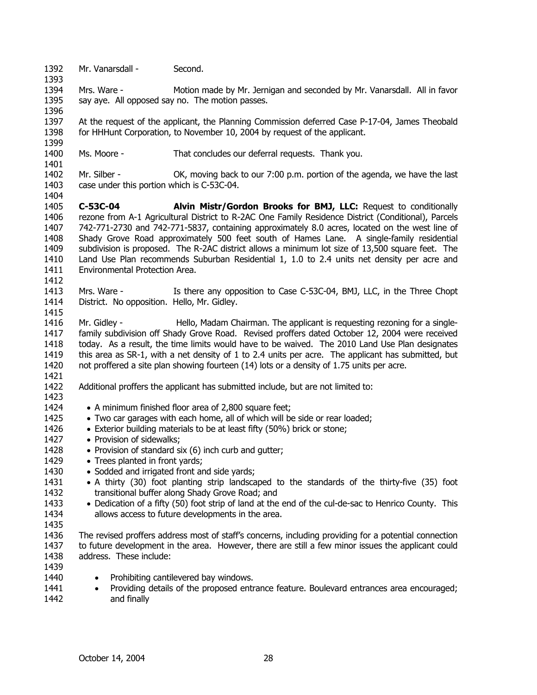1392 Mr. Vanarsdall - Second.

1394 1395 Mrs. Ware - Motion made by Mr. Jernigan and seconded by Mr. Vanarsdall. All in favor say aye. All opposed say no. The motion passes.

1397 1398 At the request of the applicant, the Planning Commission deferred Case P-17-04, James Theobald for HHHunt Corporation, to November 10, 2004 by request of the applicant.

- 1400 Ms. Moore - That concludes our deferral requests. Thank you.
- 1402 1403 1404 Mr. Silber - **OK, moving back to our 7:00 p.m. portion of the agenda, we have the last** case under this portion which is C-53C-04.

1405 1406 1407 1408 1409 1410 1411 **C-53C-04 Alvin Mistr/Gordon Brooks for BMJ, LLC:** Request to conditionally rezone from A-1 Agricultural District to R-2AC One Family Residence District (Conditional), Parcels 742-771-2730 and 742-771-5837, containing approximately 8.0 acres, located on the west line of Shady Grove Road approximately 500 feet south of Hames Lane. A single-family residential subdivision is proposed. The R-2AC district allows a minimum lot size of 13,500 square feet. The Land Use Plan recommends Suburban Residential 1, 1.0 to 2.4 units net density per acre and Environmental Protection Area.

1413 1414 Mrs. Ware - Is there any opposition to Case C-53C-04, BMJ, LLC, in the Three Chopt District. No opposition. Hello, Mr. Gidley.

1416 1417 1418 1419 1420 1421 Mr. Gidley - **Hello, Madam Chairman.** The applicant is requesting rezoning for a singlefamily subdivision off Shady Grove Road. Revised proffers dated October 12, 2004 were received today. As a result, the time limits would have to be waived. The 2010 Land Use Plan designates this area as SR-1, with a net density of 1 to 2.4 units per acre. The applicant has submitted, but not proffered a site plan showing fourteen (14) lots or a density of 1.75 units per acre.

- 1422 Additional proffers the applicant has submitted include, but are not limited to:
- 1423

1393

1396

1399

1401

1412

- 1424 • A minimum finished floor area of 2,800 square feet:
- 1425 • Two car garages with each home, all of which will be side or rear loaded;
- 1426 • Exterior building materials to be at least fifty (50%) brick or stone;
- 1427 • Provision of sidewalks;
- 1428 • Provision of standard six (6) inch curb and gutter;
- 1429 • Trees planted in front vards:
- 1430 • Sodded and irrigated front and side yards;
- 1431 1432 • A thirty (30) foot planting strip landscaped to the standards of the thirty-five (35) foot transitional buffer along Shady Grove Road; and
- 1433 1434 • Dedication of a fifty (50) foot strip of land at the end of the cul-de-sac to Henrico County. This allows access to future developments in the area.
- 1435
- 1436 1437 1438 The revised proffers address most of staff's concerns, including providing for a potential connection to future development in the area. However, there are still a few minor issues the applicant could address. These include:
- 1439 1440
- Prohibiting cantilevered bay windows.
- 1441 1442 • Providing details of the proposed entrance feature. Boulevard entrances area encouraged; and finally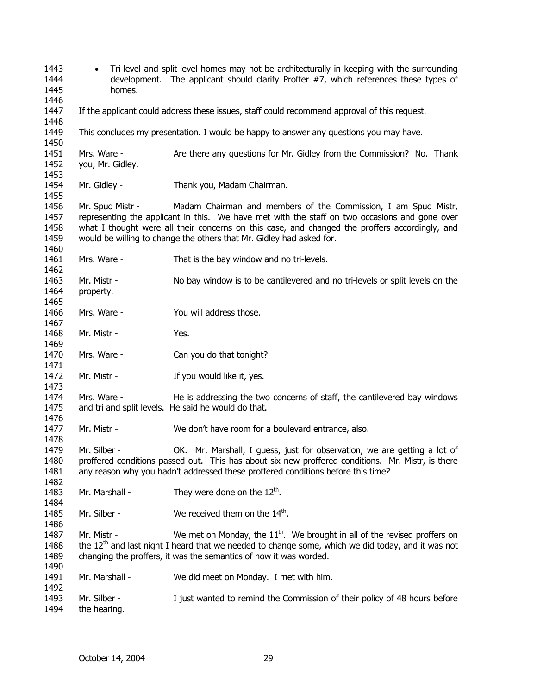• Tri-level and split-level homes may not be architecturally in keeping with the surrounding development. The applicant should clarify Proffer #7, which references these types of homes. If the applicant could address these issues, staff could recommend approval of this request. This concludes my presentation. I would be happy to answer any questions you may have. Mrs. Ware - Are there any questions for Mr. Gidley from the Commission? No. Thank you, Mr. Gidley. Mr. Gidley - Thank you, Madam Chairman. Mr. Spud Mistr - Madam Chairman and members of the Commission, I am Spud Mistr, representing the applicant in this. We have met with the staff on two occasions and gone over what I thought were all their concerns on this case, and changed the proffers accordingly, and would be willing to change the others that Mr. Gidley had asked for. Mrs. Ware - That is the bay window and no tri-levels. Mr. Mistr - No bay window is to be cantilevered and no tri-levels or split levels on the property. Mrs. Ware - The You will address those. Mr. Mistr - Yes. Mrs. Ware - Can you do that tonight? Mr. Mistr - The Mistr - If you would like it, yes. Mrs. Ware - He is addressing the two concerns of staff, the cantilevered bay windows and tri and split levels. He said he would do that. Mr. Mistr - We don't have room for a boulevard entrance, also. Mr. Silber - OK. Mr. Marshall, I guess, just for observation, we are getting a lot of proffered conditions passed out. This has about six new proffered conditions. Mr. Mistr, is there any reason why you hadn't addressed these proffered conditions before this time? Mr. Marshall - They were done on the  $12<sup>th</sup>$ . Mr. Silber -  $\mathsf{W}$ e received them on the 14<sup>th</sup>. Mr. Mistr - We met on Monday, the  $11<sup>th</sup>$ . We brought in all of the revised proffers on the  $12<sup>th</sup>$  and last night I heard that we needed to change some, which we did today, and it was not changing the proffers, it was the semantics of how it was worded. Mr. Marshall - We did meet on Monday. I met with him. Mr. Silber - I just wanted to remind the Commission of their policy of 48 hours before the hearing.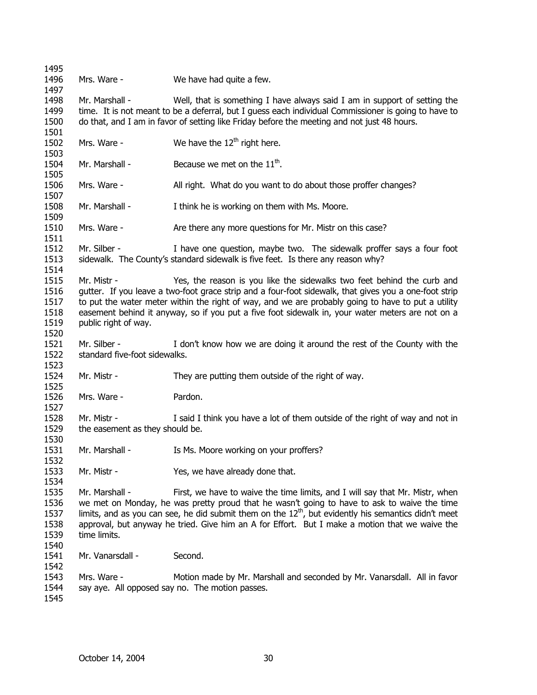Mrs. Ware - We have had quite a few. Mr. Marshall - Well, that is something I have always said I am in support of setting the time. It is not meant to be a deferral, but I guess each individual Commissioner is going to have to do that, and I am in favor of setting like Friday before the meeting and not just 48 hours. Mrs. Ware - We have the  $12<sup>th</sup>$  right here. Mr. Marshall - Because we met on the  $11<sup>th</sup>$ . Mrs. Ware - All right. What do you want to do about those proffer changes? Mr. Marshall - I think he is working on them with Ms. Moore. Mrs. Ware - Are there any more questions for Mr. Mistr on this case? Mr. Silber - I have one question, maybe two. The sidewalk proffer says a four foot sidewalk. The County's standard sidewalk is five feet. Is there any reason why? Mr. Mistr - Yes, the reason is you like the sidewalks two feet behind the curb and gutter. If you leave a two-foot grace strip and a four-foot sidewalk, that gives you a one-foot strip to put the water meter within the right of way, and we are probably going to have to put a utility easement behind it anyway, so if you put a five foot sidewalk in, your water meters are not on a public right of way. Mr. Silber - I don't know how we are doing it around the rest of the County with the standard five-foot sidewalks. Mr. Mistr - They are putting them outside of the right of way. Mrs. Ware - Pardon. Mr. Mistr - I said I think you have a lot of them outside of the right of way and not in the easement as they should be. Mr. Marshall - Is Ms. Moore working on your proffers? Mr. Mistr - Yes, we have already done that. Mr. Marshall - First, we have to waive the time limits, and I will say that Mr. Mistr, when we met on Monday, he was pretty proud that he wasn't going to have to ask to waive the time limits, and as you can see, he did submit them on the  $12<sup>th</sup>$ , but evidently his semantics didn't meet approval, but anyway he tried. Give him an A for Effort. But I make a motion that we waive the time limits. Mr. Vanarsdall - Second. Mrs. Ware - Motion made by Mr. Marshall and seconded by Mr. Vanarsdall. All in favor say aye. All opposed say no. The motion passes.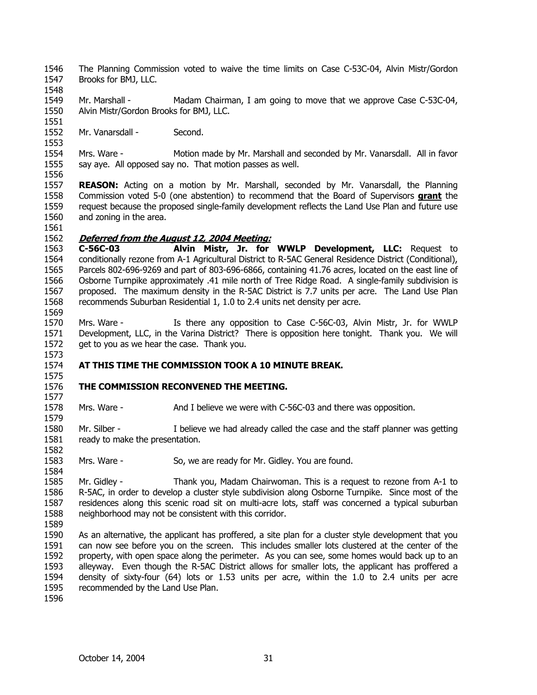- 1546 1547 The Planning Commission voted to waive the time limits on Case C-53C-04, Alvin Mistr/Gordon Brooks for BMJ, LLC.
- 1549 1550 Mr. Marshall - Madam Chairman, I am going to move that we approve Case C-53C-04, Alvin Mistr/Gordon Brooks for BMJ, LLC.
- 1552 Mr. Vanarsdall - Second.

1554 1555 1556 Mrs. Ware - Motion made by Mr. Marshall and seconded by Mr. Vanarsdall. All in favor say aye. All opposed say no. That motion passes as well.

- 1557 **REASON:** Acting on a motion by Mr. Marshall, seconded by Mr. Vanarsdall, the Planning Commission voted 5-0 (one abstention) to recommend that the Board of Supervisors **grant** the request because the proposed single-family development reflects the Land Use Plan and future use and zoning in the area. 1558 1559 1560
- 1561

1569

1573

1575

1577

1579

1582

1584

1548

1551

1553

### 1562 **Deferred from the August 12, 2004 Meeting:**

1563 1564 1565 1566 1567 1568 **C-56C-03 Alvin Mistr, Jr. for WWLP Development, LLC:** Request to conditionally rezone from A-1 Agricultural District to R-5AC General Residence District (Conditional), Parcels 802-696-9269 and part of 803-696-6866, containing 41.76 acres, located on the east line of Osborne Turnpike approximately .41 mile north of Tree Ridge Road. A single-family subdivision is proposed. The maximum density in the R-5AC District is 7.7 units per acre. The Land Use Plan recommends Suburban Residential 1, 1.0 to 2.4 units net density per acre.

- 1570 1571 1572 Mrs. Ware - Is there any opposition to Case C-56C-03, Alvin Mistr, Jr. for WWLP Development, LLC, in the Varina District? There is opposition here tonight. Thank you. We will get to you as we hear the case. Thank you.
- 1574 **AT THIS TIME THE COMMISSION TOOK A 10 MINUTE BREAK.**

#### 1576 **THE COMMISSION RECONVENED THE MEETING.**

1578 Mrs. Ware - And I believe we were with C-56C-03 and there was opposition.

1580 1581 Mr. Silber - I believe we had already called the case and the staff planner was getting ready to make the presentation.

1583 Mrs. Ware - So, we are ready for Mr. Gidley. You are found.

1585 1586 1587 1588 Mr. Gidley - Thank you, Madam Chairwoman. This is a request to rezone from A-1 to R-5AC, in order to develop a cluster style subdivision along Osborne Turnpike. Since most of the residences along this scenic road sit on multi-acre lots, staff was concerned a typical suburban neighborhood may not be consistent with this corridor.

- 1589
- 1590 1591 1592 1593 1594 1595 As an alternative, the applicant has proffered, a site plan for a cluster style development that you can now see before you on the screen. This includes smaller lots clustered at the center of the property, with open space along the perimeter. As you can see, some homes would back up to an alleyway. Even though the R-5AC District allows for smaller lots, the applicant has proffered a density of sixty-four (64) lots or 1.53 units per acre, within the 1.0 to 2.4 units per acre recommended by the Land Use Plan.
- 1596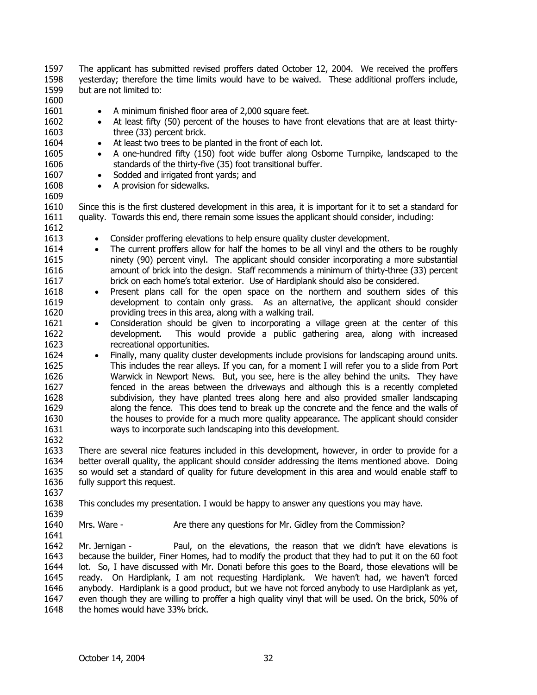1597 1598 1599 The applicant has submitted revised proffers dated October 12, 2004. We received the proffers yesterday; therefore the time limits would have to be waived. These additional proffers include, but are not limited to:

# 1600

1601 1602

1603 1604

- A minimum finished floor area of 2,000 square feet.
- At least fifty (50) percent of the houses to have front elevations that are at least thirtythree (33) percent brick.
- At least two trees to be planted in the front of each lot.
- 1605 1606 1607 • A one-hundred fifty (150) foot wide buffer along Osborne Turnpike, landscaped to the standards of the thirty-five (35) foot transitional buffer.
	- Sodded and irrigated front yards; and
	- A provision for sidewalks.

1610 1611 Since this is the first clustered development in this area, it is important for it to set a standard for quality. Towards this end, there remain some issues the applicant should consider, including:

1612 1613

1608 1609

- Consider proffering elevations to help ensure quality cluster development.
- 1614 1615 1616 1617 • The current proffers allow for half the homes to be all vinyl and the others to be roughly ninety (90) percent vinyl. The applicant should consider incorporating a more substantial amount of brick into the design. Staff recommends a minimum of thirty-three (33) percent brick on each home's total exterior. Use of Hardiplank should also be considered.
	- Present plans call for the open space on the northern and southern sides of this development to contain only grass. As an alternative, the applicant should consider providing trees in this area, along with a walking trail.
	- Consideration should be given to incorporating a village green at the center of this development. This would provide a public gathering area, along with increased recreational opportunities.
- 1624 1625 1626 1627 1628 1629 1630 1631 • Finally, many quality cluster developments include provisions for landscaping around units. This includes the rear alleys. If you can, for a moment I will refer you to a slide from Port Warwick in Newport News. But, you see, here is the alley behind the units. They have fenced in the areas between the driveways and although this is a recently completed subdivision, they have planted trees along here and also provided smaller landscaping along the fence. This does tend to break up the concrete and the fence and the walls of the houses to provide for a much more quality appearance. The applicant should consider ways to incorporate such landscaping into this development.

1633 1634 1635 1636 There are several nice features included in this development, however, in order to provide for a better overall quality, the applicant should consider addressing the items mentioned above. Doing so would set a standard of quality for future development in this area and would enable staff to fully support this request.

- 1638 This concludes my presentation. I would be happy to answer any questions you may have.
- 1639

1637

1632

- 1640 Mrs. Ware - Are there any questions for Mr. Gidley from the Commission?
- 1641

1642 1643 1644 1645 1646 1647 1648 Mr. Jernigan - Paul, on the elevations, the reason that we didn't have elevations is because the builder, Finer Homes, had to modify the product that they had to put it on the 60 foot lot. So, I have discussed with Mr. Donati before this goes to the Board, those elevations will be ready. On Hardiplank, I am not requesting Hardiplank. We haven't had, we haven't forced anybody. Hardiplank is a good product, but we have not forced anybody to use Hardiplank as yet, even though they are willing to proffer a high quality vinyl that will be used. On the brick, 50% of the homes would have 33% brick.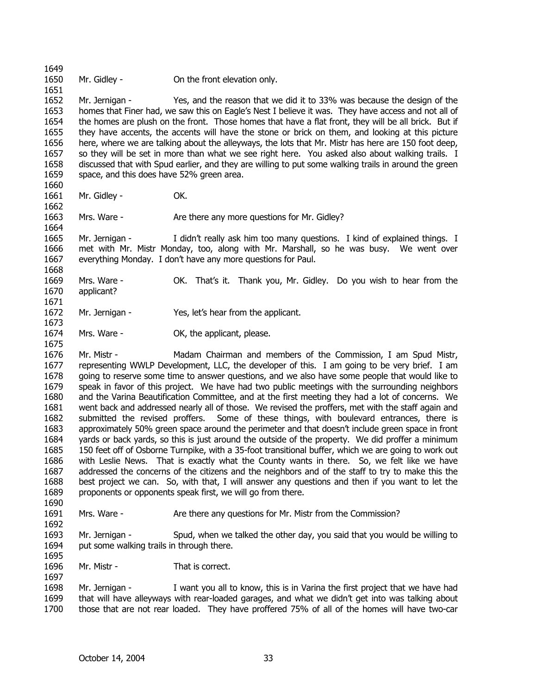1649 1650

1651

1662

1664

1668

1675

Mr. Gidley - Con the front elevation only.

1652 1653 1654 1655 1656 1657 1658 1659 1660 Mr. Jernigan - Yes, and the reason that we did it to 33% was because the design of the homes that Finer had, we saw this on Eagle's Nest I believe it was. They have access and not all of the homes are plush on the front. Those homes that have a flat front, they will be all brick. But if they have accents, the accents will have the stone or brick on them, and looking at this picture here, where we are talking about the alleyways, the lots that Mr. Mistr has here are 150 foot deep, so they will be set in more than what we see right here. You asked also about walking trails. I discussed that with Spud earlier, and they are willing to put some walking trails in around the green space, and this does have 52% green area.

1661 Mr. Gidley - **OK.** 

1663 Mrs. Ware - There any more questions for Mr. Gidley?

1665 1666 1667 Mr. Jernigan - I didn't really ask him too many questions. I kind of explained things. I met with Mr. Mistr Monday, too, along with Mr. Marshall, so he was busy. We went over everything Monday. I don't have any more questions for Paul.

- 1669 1670 1671 Mrs. Ware - OK. That's it. Thank you, Mr. Gidley. Do you wish to hear from the applicant?
- 1672 1673 Mr. Jernigan - Yes, let's hear from the applicant.
- 1674 Mrs. Ware - **OK, the applicant, please.**

1676 1677 1678 1679 1680 1681 1682 1683 1684 1685 1686 1687 1688 1689 Mr. Mistr - Madam Chairman and members of the Commission, I am Spud Mistr, representing WWLP Development, LLC, the developer of this. I am going to be very brief. I am going to reserve some time to answer questions, and we also have some people that would like to speak in favor of this project. We have had two public meetings with the surrounding neighbors and the Varina Beautification Committee, and at the first meeting they had a lot of concerns. We went back and addressed nearly all of those. We revised the proffers, met with the staff again and submitted the revised proffers. Some of these things, with boulevard entrances, there is approximately 50% green space around the perimeter and that doesn't include green space in front yards or back yards, so this is just around the outside of the property. We did proffer a minimum 150 feet off of Osborne Turnpike, with a 35-foot transitional buffer, which we are going to work out with Leslie News. That is exactly what the County wants in there. So, we felt like we have addressed the concerns of the citizens and the neighbors and of the staff to try to make this the best project we can. So, with that, I will answer any questions and then if you want to let the proponents or opponents speak first, we will go from there.

1691 Mrs. Ware - Are there any questions for Mr. Mistr from the Commission?

1693 1694 Mr. Jernigan - Spud, when we talked the other day, you said that you would be willing to put some walking trails in through there.

1695 1696

1697

1690

1692

Mr. Mistr - That is correct.

1698 1699 1700 Mr. Jernigan - I want you all to know, this is in Varina the first project that we have had that will have alleyways with rear-loaded garages, and what we didn't get into was talking about those that are not rear loaded. They have proffered 75% of all of the homes will have two-car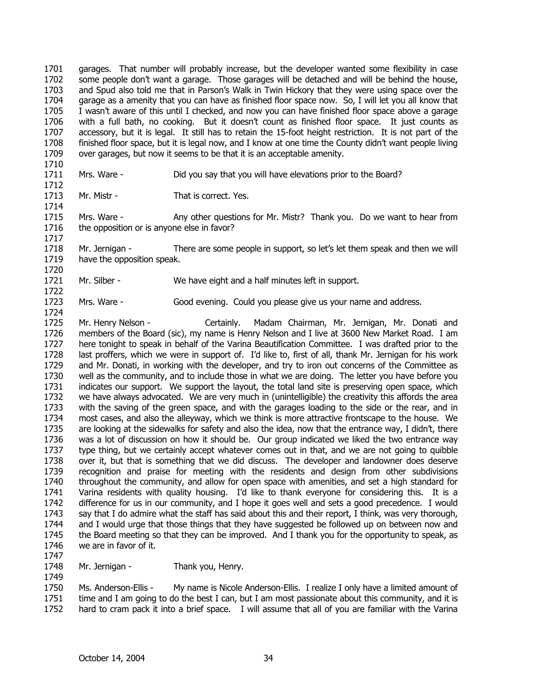1701 1702 1703 1704 1705 1706 1707 1708 1709 garages. That number will probably increase, but the developer wanted some flexibility in case some people don't want a garage. Those garages will be detached and will be behind the house, and Spud also told me that in Parson's Walk in Twin Hickory that they were using space over the garage as a amenity that you can have as finished floor space now. So, I will let you all know that I wasn't aware of this until I checked, and now you can have finished floor space above a garage with a full bath, no cooking. But it doesn't count as finished floor space. It just counts as accessory, but it is legal. It still has to retain the 15-foot height restriction. It is not part of the finished floor space, but it is legal now, and I know at one time the County didn't want people living over garages, but now it seems to be that it is an acceptable amenity.

1710 1711 Mrs. Ware - Did you say that you will have elevations prior to the Board?

1713 1714

1722

1724

1712

Mr. Mistr - That is correct. Yes.

1715 1716 1717 Mrs. Ware - Any other questions for Mr. Mistr? Thank you. Do we want to hear from the opposition or is anyone else in favor?

1718 1719 1720 Mr. Jernigan - There are some people in support, so let's let them speak and then we will have the opposition speak.

1721 Mr. Silber - We have eight and a half minutes left in support.

1723 Mrs. Ware - Good evening. Could you please give us your name and address.

1725 1726 1727 1728 1729 1730 1731 1732 1733 1734 1735 1736 1737 1738 1739 1740 1741 1742 1743 1744 1745 1746 Mr. Henry Nelson - Certainly. Madam Chairman, Mr. Jernigan, Mr. Donati and members of the Board (sic), my name is Henry Nelson and I live at 3600 New Market Road. I am here tonight to speak in behalf of the Varina Beautification Committee. I was drafted prior to the last proffers, which we were in support of. I'd like to, first of all, thank Mr. Jernigan for his work and Mr. Donati, in working with the developer, and try to iron out concerns of the Committee as well as the community, and to include those in what we are doing. The letter you have before you indicates our support. We support the layout, the total land site is preserving open space, which we have always advocated. We are very much in (unintelligible) the creativity this affords the area with the saving of the green space, and with the garages loading to the side or the rear, and in most cases, and also the alleyway, which we think is more attractive frontscape to the house. We are looking at the sidewalks for safety and also the idea, now that the entrance way, I didn't, there was a lot of discussion on how it should be. Our group indicated we liked the two entrance way type thing, but we certainly accept whatever comes out in that, and we are not going to quibble over it, but that is something that we did discuss. The developer and landowner does deserve recognition and praise for meeting with the residents and design from other subdivisions throughout the community, and allow for open space with amenities, and set a high standard for Varina residents with quality housing. I'd like to thank everyone for considering this. It is a difference for us in our community, and I hope it goes well and sets a good precedence. I would say that I do admire what the staff has said about this and their report, I think, was very thorough, and I would urge that those things that they have suggested be followed up on between now and the Board meeting so that they can be improved. And I thank you for the opportunity to speak, as we are in favor of it.

1747

1749

1748 Mr. Jernigan - Thank you, Henry.

1750 1751 1752 Ms. Anderson-Ellis - My name is Nicole Anderson-Ellis. I realize I only have a limited amount of time and I am going to do the best I can, but I am most passionate about this community, and it is hard to cram pack it into a brief space. I will assume that all of you are familiar with the Varina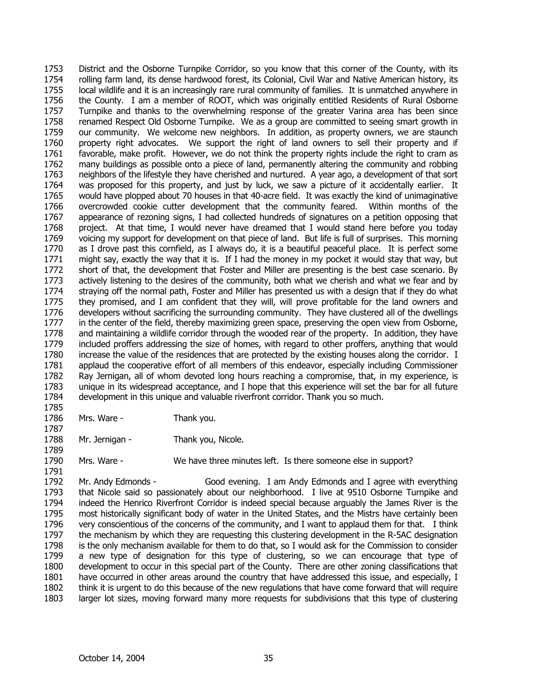1753 1754 1755 1756 1757 1758 1759 1760 1761 1762 1763 1764 1765 1766 1767 1768 1769 1770 1771 1772 1773 1774 1775 1776 1777 1778 1779 1780 1781 1782 1783 1784 District and the Osborne Turnpike Corridor, so you know that this corner of the County, with its rolling farm land, its dense hardwood forest, its Colonial, Civil War and Native American history, its local wildlife and it is an increasingly rare rural community of families. It is unmatched anywhere in the County. I am a member of ROOT, which was originally entitled Residents of Rural Osborne Turnpike and thanks to the overwhelming response of the greater Varina area has been since renamed Respect Old Osborne Turnpike. We as a group are committed to seeing smart growth in our community. We welcome new neighbors. In addition, as property owners, we are staunch property right advocates. We support the right of land owners to sell their property and if favorable, make profit. However, we do not think the property rights include the right to cram as many buildings as possible onto a piece of land, permanently altering the community and robbing neighbors of the lifestyle they have cherished and nurtured. A year ago, a development of that sort was proposed for this property, and just by luck, we saw a picture of it accidentally earlier. It would have plopped about 70 houses in that 40-acre field. It was exactly the kind of unimaginative overcrowded cookie cutter development that the community feared. Within months of the appearance of rezoning signs, I had collected hundreds of signatures on a petition opposing that project. At that time, I would never have dreamed that I would stand here before you today voicing my support for development on that piece of land. But life is full of surprises. This morning as I drove past this cornfield, as I always do, it is a beautiful peaceful place. It is perfect some might say, exactly the way that it is. If I had the money in my pocket it would stay that way, but short of that, the development that Foster and Miller are presenting is the best case scenario. By actively listening to the desires of the community, both what we cherish and what we fear and by straying off the normal path, Foster and Miller has presented us with a design that if they do what they promised, and I am confident that they will, will prove profitable for the land owners and developers without sacrificing the surrounding community. They have clustered all of the dwellings in the center of the field, thereby maximizing green space, preserving the open view from Osborne, and maintaining a wildlife corridor through the wooded rear of the property. In addition, they have included proffers addressing the size of homes, with regard to other proffers, anything that would increase the value of the residences that are protected by the existing houses along the corridor. I applaud the cooperative effort of all members of this endeavor, especially including Commissioner Ray Jernigan, all of whom devoted long hours reaching a compromise, that, in my experience, is unique in its widespread acceptance, and I hope that this experience will set the bar for all future development in this unique and valuable riverfront corridor. Thank you so much.

1786 Mrs. Ware - Thank you.

1785

1787

1791

1788 1789 Mr. Jernigan - Thank you, Nicole.

1790 Mrs. Ware - We have three minutes left. Is there someone else in support?

1792 1793 1794 1795 1796 1797 1798 1799 1800 1801 1802 1803 Mr. Andy Edmonds - Good evening. I am Andy Edmonds and I agree with everything that Nicole said so passionately about our neighborhood. I live at 9510 Osborne Turnpike and indeed the Henrico Riverfront Corridor is indeed special because arguably the James River is the most historically significant body of water in the United States, and the Mistrs have certainly been very conscientious of the concerns of the community, and I want to applaud them for that. I think the mechanism by which they are requesting this clustering development in the R-5AC designation is the only mechanism available for them to do that, so I would ask for the Commission to consider a new type of designation for this type of clustering, so we can encourage that type of development to occur in this special part of the County. There are other zoning classifications that have occurred in other areas around the country that have addressed this issue, and especially, I think it is urgent to do this because of the new regulations that have come forward that will require larger lot sizes, moving forward many more requests for subdivisions that this type of clustering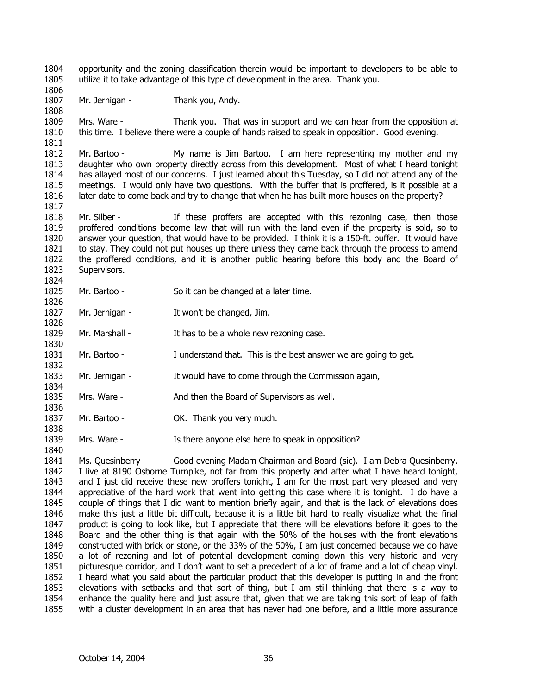1804 1805 1806 1807 1808 1809 1810 1811 1812 1813 1814 1815 1816 1817 1818 1819 1820 1821 1822 1823 1824 1825 1826 1827 1828 1829 1830 1831 1832 1833 1834 1835 1836 1837 1838 1839 opportunity and the zoning classification therein would be important to developers to be able to utilize it to take advantage of this type of development in the area. Thank you. Mr. Jernigan - Thank you, Andy. Mrs. Ware - Thank you. That was in support and we can hear from the opposition at this time. I believe there were a couple of hands raised to speak in opposition. Good evening. Mr. Bartoo - My name is Jim Bartoo. I am here representing my mother and my daughter who own property directly across from this development. Most of what I heard tonight has allayed most of our concerns. I just learned about this Tuesday, so I did not attend any of the meetings. I would only have two questions. With the buffer that is proffered, is it possible at a later date to come back and try to change that when he has built more houses on the property? Mr. Silber - The state proffers are accepted with this rezoning case, then those proffered conditions become law that will run with the land even if the property is sold, so to answer your question, that would have to be provided. I think it is a 150-ft. buffer. It would have to stay. They could not put houses up there unless they came back through the process to amend the proffered conditions, and it is another public hearing before this body and the Board of Supervisors. Mr. Bartoo - So it can be changed at a later time. Mr. Jernigan - It won't be changed, Jim. Mr. Marshall - It has to be a whole new rezoning case. Mr. Bartoo - I understand that. This is the best answer we are going to get. Mr. Jernigan - It would have to come through the Commission again, Mrs. Ware - The And then the Board of Supervisors as well. Mr. Bartoo - **OK.** Thank you very much. Mrs. Ware - Is there anyone else here to speak in opposition?

1841 1842 1843 1844 1845 1846 1847 1848 1849 1850 1851 1852 1853 1854 1855 Ms. Quesinberry - Good evening Madam Chairman and Board (sic). I am Debra Quesinberry. I live at 8190 Osborne Turnpike, not far from this property and after what I have heard tonight, and I just did receive these new proffers tonight, I am for the most part very pleased and very appreciative of the hard work that went into getting this case where it is tonight. I do have a couple of things that I did want to mention briefly again, and that is the lack of elevations does make this just a little bit difficult, because it is a little bit hard to really visualize what the final product is going to look like, but I appreciate that there will be elevations before it goes to the Board and the other thing is that again with the 50% of the houses with the front elevations constructed with brick or stone, or the 33% of the 50%, I am just concerned because we do have a lot of rezoning and lot of potential development coming down this very historic and very picturesque corridor, and I don't want to set a precedent of a lot of frame and a lot of cheap vinyl. I heard what you said about the particular product that this developer is putting in and the front elevations with setbacks and that sort of thing, but I am still thinking that there is a way to enhance the quality here and just assure that, given that we are taking this sort of leap of faith with a cluster development in an area that has never had one before, and a little more assurance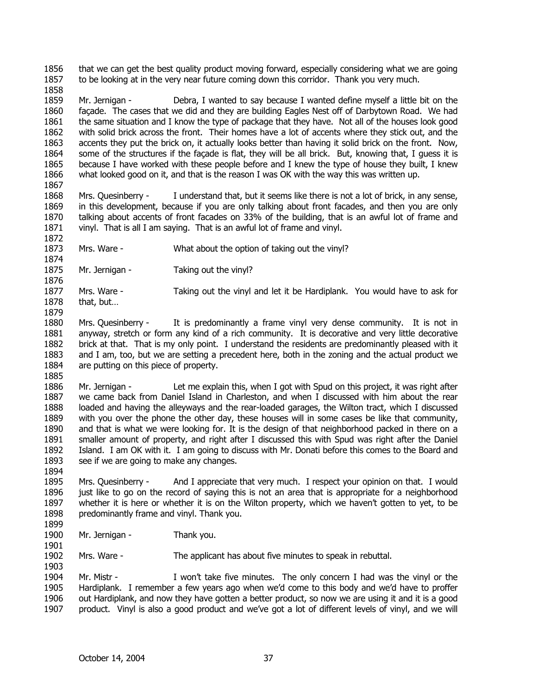1856 1857 that we can get the best quality product moving forward, especially considering what we are going to be looking at in the very near future coming down this corridor. Thank you very much.

1859 1860 1861 1862 1863 1864 1865 1866 1867 Mr. Jernigan - Debra, I wanted to say because I wanted define myself a little bit on the façade. The cases that we did and they are building Eagles Nest off of Darbytown Road. We had the same situation and I know the type of package that they have. Not all of the houses look good with solid brick across the front. Their homes have a lot of accents where they stick out, and the accents they put the brick on, it actually looks better than having it solid brick on the front. Now, some of the structures if the façade is flat, they will be all brick. But, knowing that, I guess it is because I have worked with these people before and I knew the type of house they built, I knew what looked good on it, and that is the reason I was OK with the way this was written up.

1868 1869 1870 1871 Mrs. Quesinberry - I understand that, but it seems like there is not a lot of brick, in any sense, in this development, because if you are only talking about front facades, and then you are only talking about accents of front facades on 33% of the building, that is an awful lot of frame and vinyl. That is all I am saying. That is an awful lot of frame and vinyl.

- 1873 Mrs. Ware - What about the option of taking out the vinyl?
- 1875 Mr. Jernigan - Taking out the vinyl?

1877 1878 Mrs. Ware - Taking out the vinyl and let it be Hardiplank. You would have to ask for that, but…

1880 1881 1882 1883 1884 1885 Mrs. Quesinberry - It is predominantly a frame vinyl very dense community. It is not in anyway, stretch or form any kind of a rich community. It is decorative and very little decorative brick at that. That is my only point. I understand the residents are predominantly pleased with it and I am, too, but we are setting a precedent here, both in the zoning and the actual product we are putting on this piece of property.

1886 1887 1888 1889 1890 1891 1892 1893 Mr. Jernigan - Let me explain this, when I got with Spud on this project, it was right after we came back from Daniel Island in Charleston, and when I discussed with him about the rear loaded and having the alleyways and the rear-loaded garages, the Wilton tract, which I discussed with you over the phone the other day, these houses will in some cases be like that community, and that is what we were looking for. It is the design of that neighborhood packed in there on a smaller amount of property, and right after I discussed this with Spud was right after the Daniel Island. I am OK with it. I am going to discuss with Mr. Donati before this comes to the Board and see if we are going to make any changes.

1895 1896 1897 1898 Mrs. Quesinberry - And I appreciate that very much. I respect your opinion on that. I would just like to go on the record of saying this is not an area that is appropriate for a neighborhood whether it is here or whether it is on the Wilton property, which we haven't gotten to yet, to be predominantly frame and vinyl. Thank you.

1899 1900

1858

1872

1874

1876

1879

1894

1901

Mr. Jernigan - Thank you.

1902 1903 Mrs. Ware - The applicant has about five minutes to speak in rebuttal.

1904 1905 1906 1907 Mr. Mistr - I won't take five minutes. The only concern I had was the vinyl or the Hardiplank. I remember a few years ago when we'd come to this body and we'd have to proffer out Hardiplank, and now they have gotten a better product, so now we are using it and it is a good product. Vinyl is also a good product and we've got a lot of different levels of vinyl, and we will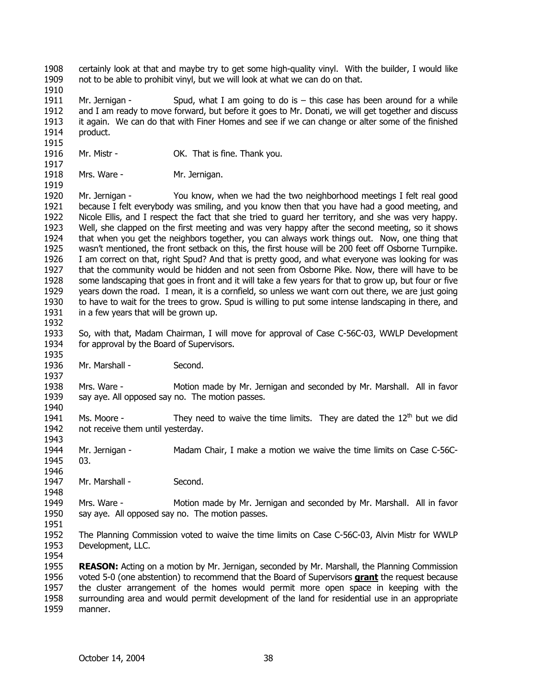1908 1909 certainly look at that and maybe try to get some high-quality vinyl. With the builder, I would like not to be able to prohibit vinyl, but we will look at what we can do on that.

1910

1915

1919

1935

1937

1940

1943

1946

1948

1911 1912 1913 1914 Mr. Jernigan - Spud, what I am going to do is  $-$  this case has been around for a while and I am ready to move forward, but before it goes to Mr. Donati, we will get together and discuss it again. We can do that with Finer Homes and see if we can change or alter some of the finished product.

- 1916 1917 Mr. Mistr - **OK.** That is fine. Thank you.
- 1918 Mrs. Ware - Mr. Jernigan.

1920 1921 1922 1923 1924 1925 1926 1927 1928 1929 1930 1931 1932 Mr. Jernigan - You know, when we had the two neighborhood meetings I felt real good because I felt everybody was smiling, and you know then that you have had a good meeting, and Nicole Ellis, and I respect the fact that she tried to guard her territory, and she was very happy. Well, she clapped on the first meeting and was very happy after the second meeting, so it shows that when you get the neighbors together, you can always work things out. Now, one thing that wasn't mentioned, the front setback on this, the first house will be 200 feet off Osborne Turnpike. I am correct on that, right Spud? And that is pretty good, and what everyone was looking for was that the community would be hidden and not seen from Osborne Pike. Now, there will have to be some landscaping that goes in front and it will take a few years for that to grow up, but four or five years down the road. I mean, it is a cornfield, so unless we want corn out there, we are just going to have to wait for the trees to grow. Spud is willing to put some intense landscaping in there, and in a few years that will be grown up.

1933 1934 So, with that, Madam Chairman, I will move for approval of Case C-56C-03, WWLP Development for approval by the Board of Supervisors.

1936 Mr. Marshall - Second.

1938 1939 Mrs. Ware - Motion made by Mr. Jernigan and seconded by Mr. Marshall. All in favor say aye. All opposed say no. The motion passes.

1941 1942 Ms. Moore - They need to waive the time limits. They are dated the  $12<sup>th</sup>$  but we did not receive them until yesterday.

- 1944 1945 Mr. Jernigan - Madam Chair, I make a motion we waive the time limits on Case C-56C-03.
- 1947 Mr. Marshall - Second.

1949 1950 Mrs. Ware - Motion made by Mr. Jernigan and seconded by Mr. Marshall. All in favor say aye. All opposed say no. The motion passes.

1951

1952 1953 The Planning Commission voted to waive the time limits on Case C-56C-03, Alvin Mistr for WWLP Development, LLC.

1954

1955 **REASON:** Acting on a motion by Mr. Jernigan, seconded by Mr. Marshall, the Planning Commission voted 5-0 (one abstention) to recommend that the Board of Supervisors **grant** the request because the cluster arrangement of the homes would permit more open space in keeping with the surrounding area and would permit development of the land for residential use in an appropriate manner. 1956 1957 1958 1959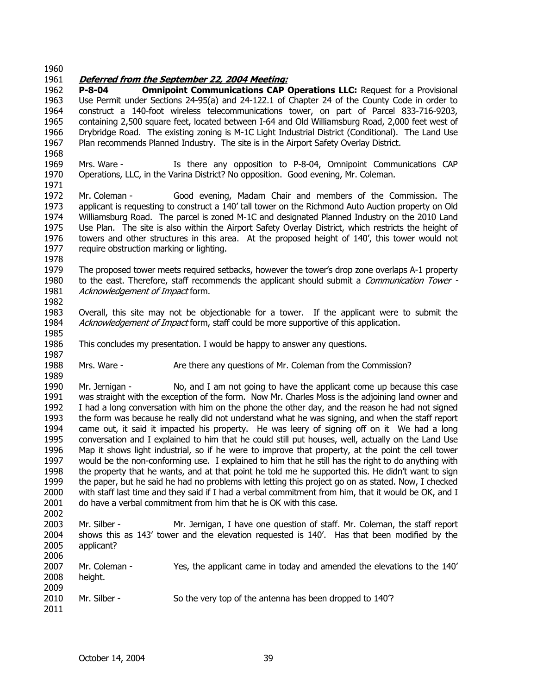1960

1978

1985

1987

1989

### 1961 **Deferred from the September 22, 2004 Meeting:**

1962 1963 1964 1965 1966 1967 1968 **P-8-04 Omnipoint Communications CAP Operations LLC:** Request for a Provisional Use Permit under Sections 24-95(a) and 24-122.1 of Chapter 24 of the County Code in order to construct a 140-foot wireless telecommunications tower, on part of Parcel 833-716-9203, containing 2,500 square feet, located between I-64 and Old Williamsburg Road, 2,000 feet west of Drybridge Road. The existing zoning is M-1C Light Industrial District (Conditional). The Land Use Plan recommends Planned Industry. The site is in the Airport Safety Overlay District.

1969 1970 1971 Mrs. Ware - Is there any opposition to P-8-04, Omnipoint Communications CAP Operations, LLC, in the Varina District? No opposition. Good evening, Mr. Coleman.

1972 1973 1974 1975 1976 1977 Mr. Coleman - Good evening, Madam Chair and members of the Commission. The applicant is requesting to construct a 140' tall tower on the Richmond Auto Auction property on Old Williamsburg Road. The parcel is zoned M-1C and designated Planned Industry on the 2010 Land Use Plan. The site is also within the Airport Safety Overlay District, which restricts the height of towers and other structures in this area. At the proposed height of 140', this tower would not require obstruction marking or lighting.

1979 1980 1981 1982 The proposed tower meets required setbacks, however the tower's drop zone overlaps A-1 property to the east. Therefore, staff recommends the applicant should submit a *Communication Tower* -Acknowledgement of Impact form.

1983 1984 Overall, this site may not be objectionable for a tower. If the applicant were to submit the Acknowledgement of Impact form, staff could be more supportive of this application.

1986 This concludes my presentation. I would be happy to answer any questions.

1988 Mrs. Ware - Are there any questions of Mr. Coleman from the Commission?

1990 1991 1992 1993 1994 1995 1996 1997 1998 1999 2000 2001 2002 Mr. Jernigan - No, and I am not going to have the applicant come up because this case was straight with the exception of the form. Now Mr. Charles Moss is the adjoining land owner and I had a long conversation with him on the phone the other day, and the reason he had not signed the form was because he really did not understand what he was signing, and when the staff report came out, it said it impacted his property. He was leery of signing off on it We had a long conversation and I explained to him that he could still put houses, well, actually on the Land Use Map it shows light industrial, so if he were to improve that property, at the point the cell tower would be the non-conforming use. I explained to him that he still has the right to do anything with the property that he wants, and at that point he told me he supported this. He didn't want to sign the paper, but he said he had no problems with letting this project go on as stated. Now, I checked with staff last time and they said if I had a verbal commitment from him, that it would be OK, and I do have a verbal commitment from him that he is OK with this case.

2003 2004 2005 2006 Mr. Silber - Mr. Jernigan, I have one question of staff. Mr. Coleman, the staff report shows this as 143' tower and the elevation requested is 140'. Has that been modified by the applicant?

2007 2008 2009 2010 2011 Mr. Coleman - Yes, the applicant came in today and amended the elevations to the 140' height. Mr. Silber - So the very top of the antenna has been dropped to 140<sup>'?</sup>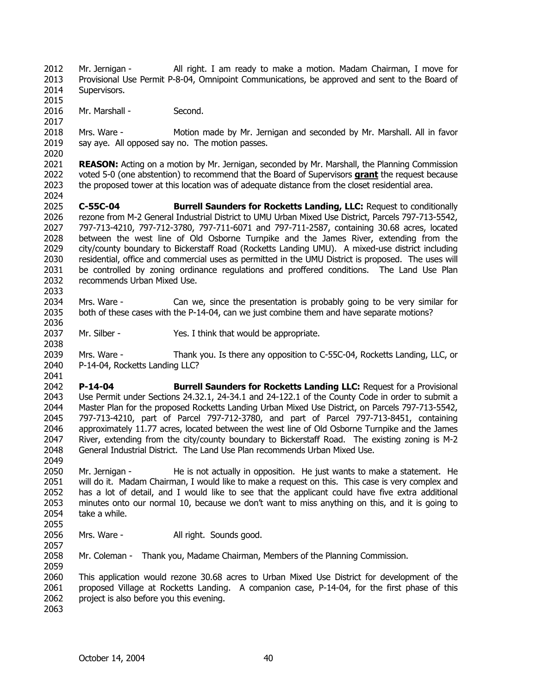2012 2013 2014 Mr. Jernigan - All right. I am ready to make a motion. Madam Chairman, I move for Provisional Use Permit P-8-04, Omnipoint Communications, be approved and sent to the Board of Supervisors.

2015 2016 Mr. Marshall - Second.

2017 2018 2019 Mrs. Ware - Motion made by Mr. Jernigan and seconded by Mr. Marshall. All in favor say aye. All opposed say no. The motion passes.

2020 2021 **REASON:** Acting on a motion by Mr. Jernigan, seconded by Mr. Marshall, the Planning Commission voted 5-0 (one abstention) to recommend that the Board of Supervisors **grant** the request because the proposed tower at this location was of adequate distance from the closet residential area. 2022 2023 2024

2025 2026 2027 2028 2029 2030 2031 2032 2033 **C-55C-04 Burrell Saunders for Rocketts Landing, LLC:** Request to conditionally rezone from M-2 General Industrial District to UMU Urban Mixed Use District, Parcels 797-713-5542, 797-713-4210, 797-712-3780, 797-711-6071 and 797-711-2587, containing 30.68 acres, located between the west line of Old Osborne Turnpike and the James River, extending from the city/county boundary to Bickerstaff Road (Rocketts Landing UMU). A mixed-use district including residential, office and commercial uses as permitted in the UMU District is proposed. The uses will be controlled by zoning ordinance regulations and proffered conditions. The Land Use Plan recommends Urban Mixed Use.

2034 2035 2036 Mrs. Ware - Can we, since the presentation is probably going to be very similar for both of these cases with the P-14-04, can we just combine them and have separate motions?

2037 Mr. Silber - Yes. I think that would be appropriate.

2039 2040 2041 Mrs. Ware - Thank you. Is there any opposition to C-55C-04, Rocketts Landing, LLC, or P-14-04, Rocketts Landing LLC?

2042 2043 2044 2045 2046 2047 2048 2049 **P-14-04 Burrell Saunders for Rocketts Landing LLC:** Request for a Provisional Use Permit under Sections 24.32.1, 24-34.1 and 24-122.1 of the County Code in order to submit a Master Plan for the proposed Rocketts Landing Urban Mixed Use District, on Parcels 797-713-5542, 797-713-4210, part of Parcel 797-712-3780, and part of Parcel 797-713-8451, containing approximately 11.77 acres, located between the west line of Old Osborne Turnpike and the James River, extending from the city/county boundary to Bickerstaff Road. The existing zoning is M-2 General Industrial District. The Land Use Plan recommends Urban Mixed Use.

2050 2051 2052 2053 2054 Mr. Jernigan - He is not actually in opposition. He just wants to make a statement. He will do it. Madam Chairman, I would like to make a request on this. This case is very complex and has a lot of detail, and I would like to see that the applicant could have five extra additional minutes onto our normal 10, because we don't want to miss anything on this, and it is going to take a while.

2056 2057 Mrs. Ware - All right. Sounds good.

2058 Mr. Coleman - Thank you, Madame Chairman, Members of the Planning Commission.

2060 2061 2062 This application would rezone 30.68 acres to Urban Mixed Use District for development of the proposed Village at Rocketts Landing. A companion case, P-14-04, for the first phase of this project is also before you this evening.

2063

2055

2059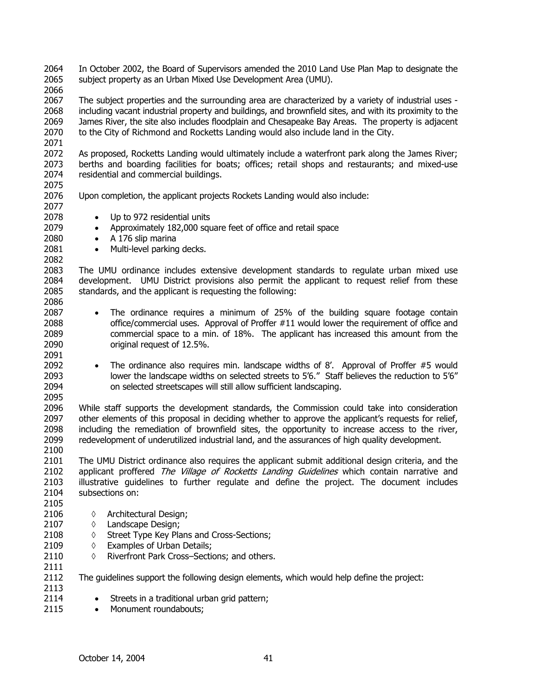2064 2065 In October 2002, the Board of Supervisors amended the 2010 Land Use Plan Map to designate the subject property as an Urban Mixed Use Development Area (UMU).

2066

2067 2068 2069 2070 2071 The subject properties and the surrounding area are characterized by a variety of industrial uses including vacant industrial property and buildings, and brownfield sites, and with its proximity to the James River, the site also includes floodplain and Chesapeake Bay Areas. The property is adjacent to the City of Richmond and Rocketts Landing would also include land in the City.

2072 2073 2074 2075 As proposed, Rocketts Landing would ultimately include a waterfront park along the James River; berths and boarding facilities for boats; offices; retail shops and restaurants; and mixed-use residential and commercial buildings.

- 2076 Upon completion, the applicant projects Rockets Landing would also include:
- 2077 2078

2111

2113 2114 2115

- Up to 972 residential units
- Approximately 182,000 square feet of office and retail space
- A 176 slip marina
- Multi-level parking decks.

2083 2084 2085 2086 The UMU ordinance includes extensive development standards to regulate urban mixed use development. UMU District provisions also permit the applicant to request relief from these standards, and the applicant is requesting the following:

- The ordinance requires a minimum of 25% of the building square footage contain office/commercial uses. Approval of Proffer #11 would lower the requirement of office and commercial space to a min. of 18%. The applicant has increased this amount from the original request of 12.5%.
- The ordinance also requires min. landscape widths of 8'. Approval of Proffer #5 would lower the landscape widths on selected streets to 5'6." Staff believes the reduction to 5'6" on selected streetscapes will still allow sufficient landscaping.

2096 2097 2098 2099 2100 While staff supports the development standards, the Commission could take into consideration other elements of this proposal in deciding whether to approve the applicant's requests for relief, including the remediation of brownfield sites, the opportunity to increase access to the river, redevelopment of underutilized industrial land, and the assurances of high quality development.

2101 2102 2103 2104 2105 The UMU District ordinance also requires the applicant submit additional design criteria, and the applicant proffered The Village of Rocketts Landing Guidelines which contain narrative and illustrative guidelines to further regulate and define the project. The document includes subsections on:

- 2106 ◊ Architectural Design;
- 2107 ◊ Landscape Design;
- 2108 ◊ Street Type Key Plans and Cross-Sections;
- 2109 ◊ Examples of Urban Details;
- 2110 ◊ Riverfront Park Cross–Sections; and others.

2112 The guidelines support the following design elements, which would help define the project:

- Streets in a traditional urban grid pattern;
- Monument roundabouts;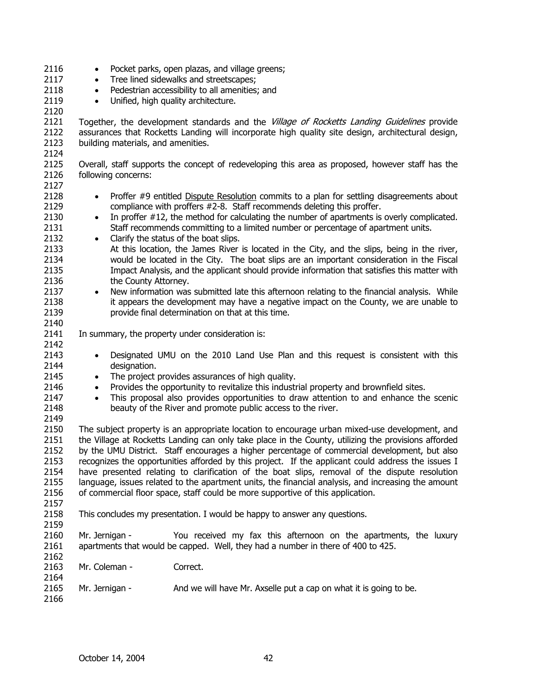2116 2117 2118 2119 2120 2121 2122 2123 2124 2125 2126 2127 • Pocket parks, open plazas, and village greens; • Tree lined sidewalks and streetscapes; • Pedestrian accessibility to all amenities; and • Unified, high quality architecture. Together, the development standards and the Village of Rocketts Landing Guidelines provide assurances that Rocketts Landing will incorporate high quality site design, architectural design, building materials, and amenities. Overall, staff supports the concept of redeveloping this area as proposed, however staff has the following concerns: 2128 2129 2130 2131 2132 2133 2134 2135 2136 2137 2138 2139 2140 2141 2142 2143 2144 2145 2146 2147 2148 2149 2150 2151 2152 2153 2154 2155 2156 2157 2158 2159 2160 2161 2162 2163 2164 2165 2166 • Proffer #9 entitled Dispute Resolution commits to a plan for settling disagreements about compliance with proffers #2-8. Staff recommends deleting this proffer. • In proffer #12, the method for calculating the number of apartments is overly complicated. Staff recommends committing to a limited number or percentage of apartment units. • Clarify the status of the boat slips. At this location, the James River is located in the City, and the slips, being in the river, would be located in the City. The boat slips are an important consideration in the Fiscal Impact Analysis, and the applicant should provide information that satisfies this matter with the County Attorney. • New information was submitted late this afternoon relating to the financial analysis. While it appears the development may have a negative impact on the County, we are unable to provide final determination on that at this time. In summary, the property under consideration is: • Designated UMU on the 2010 Land Use Plan and this request is consistent with this designation. • The project provides assurances of high quality. • Provides the opportunity to revitalize this industrial property and brownfield sites. • This proposal also provides opportunities to draw attention to and enhance the scenic beauty of the River and promote public access to the river. The subject property is an appropriate location to encourage urban mixed-use development, and the Village at Rocketts Landing can only take place in the County, utilizing the provisions afforded by the UMU District. Staff encourages a higher percentage of commercial development, but also recognizes the opportunities afforded by this project. If the applicant could address the issues I have presented relating to clarification of the boat slips, removal of the dispute resolution language, issues related to the apartment units, the financial analysis, and increasing the amount of commercial floor space, staff could be more supportive of this application. This concludes my presentation. I would be happy to answer any questions. Mr. Jernigan - You received my fax this afternoon on the apartments, the luxury apartments that would be capped. Well, they had a number in there of 400 to 425. Mr. Coleman - Correct. Mr. Jernigan - And we will have Mr. Axselle put a cap on what it is going to be.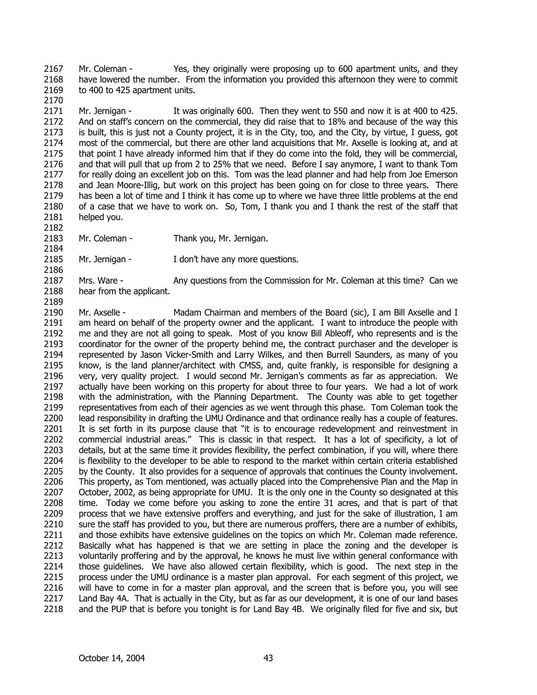2167 2168 2169 Mr. Coleman - Yes, they originally were proposing up to 600 apartment units, and they have lowered the number. From the information you provided this afternoon they were to commit to 400 to 425 apartment units.

2171 2172 2173 2174 2175 2176 2177 2178 2179 2180 2181 Mr. Jernigan - It was originally 600. Then they went to 550 and now it is at 400 to 425. And on staff's concern on the commercial, they did raise that to 18% and because of the way this is built, this is just not a County project, it is in the City, too, and the City, by virtue, I guess, got most of the commercial, but there are other land acquisitions that Mr. Axselle is looking at, and at that point I have already informed him that if they do come into the fold, they will be commercial, and that will pull that up from 2 to 25% that we need. Before I say anymore, I want to thank Tom for really doing an excellent job on this. Tom was the lead planner and had help from Joe Emerson and Jean Moore-Illig, but work on this project has been going on for close to three years. There has been a lot of time and I think it has come up to where we have three little problems at the end of a case that we have to work on. So, Tom, I thank you and I thank the rest of the staff that helped you.

2182 2183

2170

- Mr. Coleman Thank you, Mr. Jernigan.
- 2184 2185 2186

Mr. Jernigan - I don't have any more questions.

2187 2188 2189 Mrs. Ware - Any questions from the Commission for Mr. Coleman at this time? Can we hear from the applicant.

2190 2191 2192 2193 2194 2195 2196 2197 2198 2199 2200 2201 2202 2203 2204 2205 2206 2207 2208 2209 2210 2211 2212 2213 2214 2215 2216 2217 2218 Mr. Axselle - Madam Chairman and members of the Board (sic), I am Bill Axselle and I am heard on behalf of the property owner and the applicant. I want to introduce the people with me and they are not all going to speak. Most of you know Bill Ableoff, who represents and is the coordinator for the owner of the property behind me, the contract purchaser and the developer is represented by Jason Vicker-Smith and Larry Wilkes, and then Burrell Saunders, as many of you know, is the land planner/architect with CMSS, and, quite frankly, is responsible for designing a very, very quality project. I would second Mr. Jernigan's comments as far as appreciation. We actually have been working on this property for about three to four years. We had a lot of work with the administration, with the Planning Department. The County was able to get together representatives from each of their agencies as we went through this phase. Tom Coleman took the lead responsibility in drafting the UMU Ordinance and that ordinance really has a couple of features. It is set forth in its purpose clause that "it is to encourage redevelopment and reinvestment in commercial industrial areas." This is classic in that respect. It has a lot of specificity, a lot of details, but at the same time it provides flexibility, the perfect combination, if you will, where there is flexibility to the developer to be able to respond to the market within certain criteria established by the County. It also provides for a sequence of approvals that continues the County involvement. This property, as Tom mentioned, was actually placed into the Comprehensive Plan and the Map in October, 2002, as being appropriate for UMU. It is the only one in the County so designated at this time. Today we come before you asking to zone the entire 31 acres, and that is part of that process that we have extensive proffers and everything, and just for the sake of illustration, I am sure the staff has provided to you, but there are numerous proffers, there are a number of exhibits, and those exhibits have extensive guidelines on the topics on which Mr. Coleman made reference. Basically what has happened is that we are setting in place the zoning and the developer is voluntarily proffering and by the approval, he knows he must live within general conformance with those guidelines. We have also allowed certain flexibility, which is good. The next step in the process under the UMU ordinance is a master plan approval. For each segment of this project, we will have to come in for a master plan approval, and the screen that is before you, you will see Land Bay 4A. That is actually in the City, but as far as our development, it is one of our land bases and the PUP that is before you tonight is for Land Bay 4B. We originally filed for five and six, but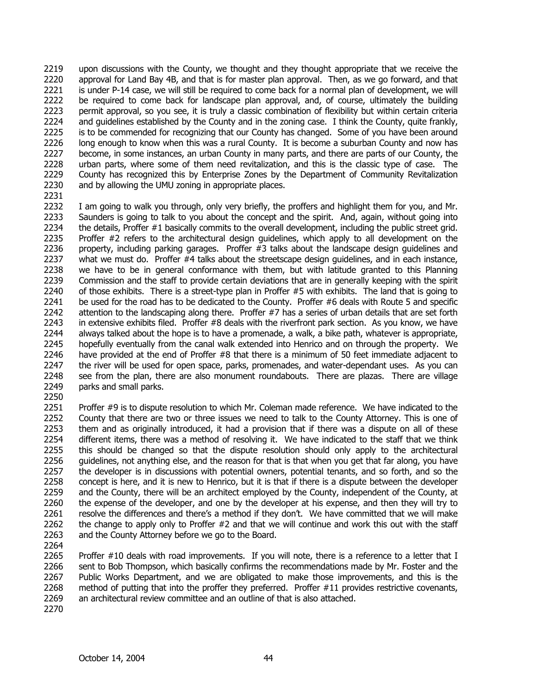2219 2220 2221 2222 2223 2224 2225 2226 2227 2228 2229 2230 upon discussions with the County, we thought and they thought appropriate that we receive the approval for Land Bay 4B, and that is for master plan approval. Then, as we go forward, and that is under P-14 case, we will still be required to come back for a normal plan of development, we will be required to come back for landscape plan approval, and, of course, ultimately the building permit approval, so you see, it is truly a classic combination of flexibility but within certain criteria and guidelines established by the County and in the zoning case. I think the County, quite frankly, is to be commended for recognizing that our County has changed. Some of you have been around long enough to know when this was a rural County. It is become a suburban County and now has become, in some instances, an urban County in many parts, and there are parts of our County, the urban parts, where some of them need revitalization, and this is the classic type of case. The County has recognized this by Enterprise Zones by the Department of Community Revitalization and by allowing the UMU zoning in appropriate places.

2231

2232 2233 2234 2235 2236 2237 2238 2239 2240 2241 2242 2243 2244 2245 2246 2247 2248 2249 I am going to walk you through, only very briefly, the proffers and highlight them for you, and Mr. Saunders is going to talk to you about the concept and the spirit. And, again, without going into the details, Proffer #1 basically commits to the overall development, including the public street grid. Proffer #2 refers to the architectural design guidelines, which apply to all development on the property, including parking garages. Proffer #3 talks about the landscape design guidelines and what we must do. Proffer #4 talks about the streetscape design guidelines, and in each instance, we have to be in general conformance with them, but with latitude granted to this Planning Commission and the staff to provide certain deviations that are in generally keeping with the spirit of those exhibits. There is a street-type plan in Proffer #5 with exhibits. The land that is going to be used for the road has to be dedicated to the County. Proffer #6 deals with Route 5 and specific attention to the landscaping along there. Proffer #7 has a series of urban details that are set forth in extensive exhibits filed. Proffer #8 deals with the riverfront park section. As you know, we have always talked about the hope is to have a promenade, a walk, a bike path, whatever is appropriate, hopefully eventually from the canal walk extended into Henrico and on through the property. We have provided at the end of Proffer #8 that there is a minimum of 50 feet immediate adjacent to the river will be used for open space, parks, promenades, and water-dependant uses. As you can see from the plan, there are also monument roundabouts. There are plazas. There are village parks and small parks.

2250

2251 2252 2253 2254 2255 2256 2257 2258 2259 2260 2261 2262 2263 Proffer #9 is to dispute resolution to which Mr. Coleman made reference. We have indicated to the County that there are two or three issues we need to talk to the County Attorney. This is one of them and as originally introduced, it had a provision that if there was a dispute on all of these different items, there was a method of resolving it. We have indicated to the staff that we think this should be changed so that the dispute resolution should only apply to the architectural guidelines, not anything else, and the reason for that is that when you get that far along, you have the developer is in discussions with potential owners, potential tenants, and so forth, and so the concept is here, and it is new to Henrico, but it is that if there is a dispute between the developer and the County, there will be an architect employed by the County, independent of the County, at the expense of the developer, and one by the developer at his expense, and then they will try to resolve the differences and there's a method if they don't. We have committed that we will make the change to apply only to Proffer #2 and that we will continue and work this out with the staff and the County Attorney before we go to the Board.

2264

2265 2266 2267 2268 2269 Proffer #10 deals with road improvements. If you will note, there is a reference to a letter that I sent to Bob Thompson, which basically confirms the recommendations made by Mr. Foster and the Public Works Department, and we are obligated to make those improvements, and this is the method of putting that into the proffer they preferred. Proffer #11 provides restrictive covenants, an architectural review committee and an outline of that is also attached.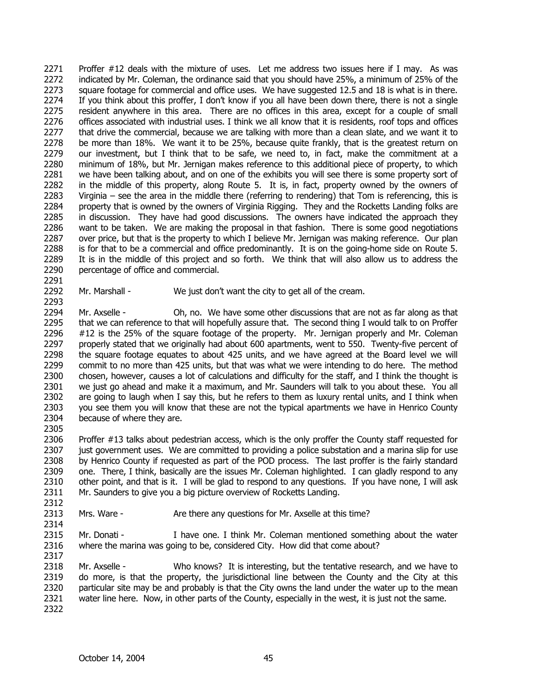2271 2272 2273 2274 2275 2276 2277 2278 2279 2280 2281 2282 2283 2284 2285 2286 2287 2288 2289 2290 Proffer #12 deals with the mixture of uses. Let me address two issues here if I may. As was indicated by Mr. Coleman, the ordinance said that you should have 25%, a minimum of 25% of the square footage for commercial and office uses. We have suggested 12.5 and 18 is what is in there. If you think about this proffer, I don't know if you all have been down there, there is not a single resident anywhere in this area. There are no offices in this area, except for a couple of small offices associated with industrial uses. I think we all know that it is residents, roof tops and offices that drive the commercial, because we are talking with more than a clean slate, and we want it to be more than 18%. We want it to be 25%, because quite frankly, that is the greatest return on our investment, but I think that to be safe, we need to, in fact, make the commitment at a minimum of 18%, but Mr. Jernigan makes reference to this additional piece of property, to which we have been talking about, and on one of the exhibits you will see there is some property sort of in the middle of this property, along Route 5. It is, in fact, property owned by the owners of Virginia – see the area in the middle there (referring to rendering) that Tom is referencing, this is property that is owned by the owners of Virginia Rigging. They and the Rocketts Landing folks are in discussion. They have had good discussions. The owners have indicated the approach they want to be taken. We are making the proposal in that fashion. There is some good negotiations over price, but that is the property to which I believe Mr. Jernigan was making reference. Our plan is for that to be a commercial and office predominantly. It is on the going-home side on Route 5. It is in the middle of this project and so forth. We think that will also allow us to address the percentage of office and commercial.

2292 Mr. Marshall - We just don't want the city to get all of the cream.

2294 2295 2296 2297 2298 2299 2300 2301 2302 2303 2304 Mr. Axselle - Oh, no. We have some other discussions that are not as far along as that that we can reference to that will hopefully assure that. The second thing I would talk to on Proffer #12 is the 25% of the square footage of the property. Mr. Jernigan properly and Mr. Coleman properly stated that we originally had about 600 apartments, went to 550. Twenty-five percent of the square footage equates to about 425 units, and we have agreed at the Board level we will commit to no more than 425 units, but that was what we were intending to do here. The method chosen, however, causes a lot of calculations and difficulty for the staff, and I think the thought is we just go ahead and make it a maximum, and Mr. Saunders will talk to you about these. You all are going to laugh when I say this, but he refers to them as luxury rental units, and I think when you see them you will know that these are not the typical apartments we have in Henrico County because of where they are.

2306 2307 2308 2309 2310 2311 Proffer #13 talks about pedestrian access, which is the only proffer the County staff requested for just government uses. We are committed to providing a police substation and a marina slip for use by Henrico County if requested as part of the POD process. The last proffer is the fairly standard one. There, I think, basically are the issues Mr. Coleman highlighted. I can gladly respond to any other point, and that is it. I will be glad to respond to any questions. If you have none, I will ask Mr. Saunders to give you a big picture overview of Rocketts Landing.

2313 Mrs. Ware - Are there any questions for Mr. Axselle at this time?

2315 2316 Mr. Donati - I have one. I think Mr. Coleman mentioned something about the water where the marina was going to be, considered City. How did that come about?

2318 2319 2320 2321 2322 Mr. Axselle - Who knows? It is interesting, but the tentative research, and we have to do more, is that the property, the jurisdictional line between the County and the City at this particular site may be and probably is that the City owns the land under the water up to the mean water line here. Now, in other parts of the County, especially in the west, it is just not the same.

2291

2293

2305

2312

2314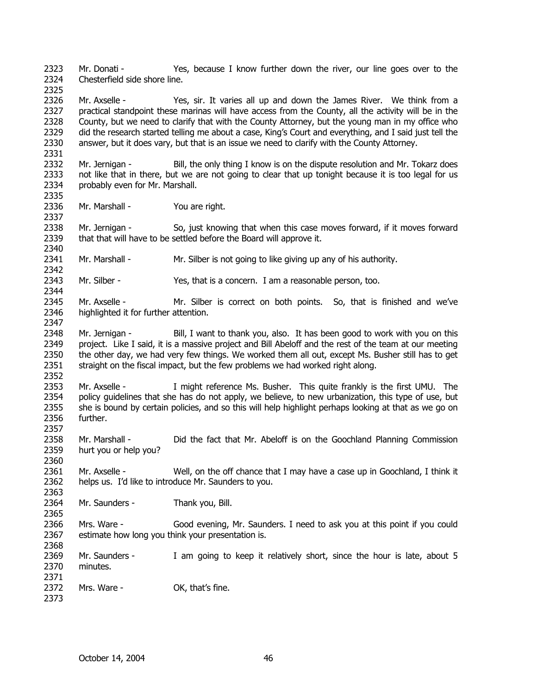2323 2324 Mr. Donati - Yes, because I know further down the river, our line goes over to the Chesterfield side shore line.

2326 2327 2328 2329 2330 Mr. Axselle - Yes, sir. It varies all up and down the James River. We think from a practical standpoint these marinas will have access from the County, all the activity will be in the County, but we need to clarify that with the County Attorney, but the young man in my office who did the research started telling me about a case, King's Court and everything, and I said just tell the answer, but it does vary, but that is an issue we need to clarify with the County Attorney.

- 2332 2333 2334 Mr. Jernigan - Bill, the only thing I know is on the dispute resolution and Mr. Tokarz does not like that in there, but we are not going to clear that up tonight because it is too legal for us probably even for Mr. Marshall.
- 2336 Mr. Marshall - You are right.

2325

2331

2335

2337

2340

2342

2344

2357

2360

2363

2365

2368

2373

2338 2339 Mr. Jernigan - So, just knowing that when this case moves forward, if it moves forward that that will have to be settled before the Board will approve it.

2341 Mr. Marshall - Mr. Silber is not going to like giving up any of his authority.

2343 Mr. Silber - Yes, that is a concern. I am a reasonable person, too.

- 2345 2346 2347 Mr. Axselle - Mr. Silber is correct on both points. So, that is finished and we've highlighted it for further attention.
- 2348 2349 2350 2351 2352 Mr. Jernigan - Bill, I want to thank you, also. It has been good to work with you on this project. Like I said, it is a massive project and Bill Abeloff and the rest of the team at our meeting the other day, we had very few things. We worked them all out, except Ms. Busher still has to get straight on the fiscal impact, but the few problems we had worked right along.

2353 2354 2355 2356 Mr. Axselle - I might reference Ms. Busher. This quite frankly is the first UMU. The policy guidelines that she has do not apply, we believe, to new urbanization, this type of use, but she is bound by certain policies, and so this will help highlight perhaps looking at that as we go on further.

2358 2359 Mr. Marshall - Did the fact that Mr. Abeloff is on the Goochland Planning Commission hurt you or help you?

2361 2362 Mr. Axselle - Well, on the off chance that I may have a case up in Goochland, I think it helps us. I'd like to introduce Mr. Saunders to you.

2364 Mr. Saunders - Thank you, Bill.

2366 2367 Mrs. Ware - Good evening, Mr. Saunders. I need to ask you at this point if you could estimate how long you think your presentation is.

2369 2370 Mr. Saunders - I am going to keep it relatively short, since the hour is late, about 5 minutes.

2371 2372 Mrs. Ware - OK, that's fine.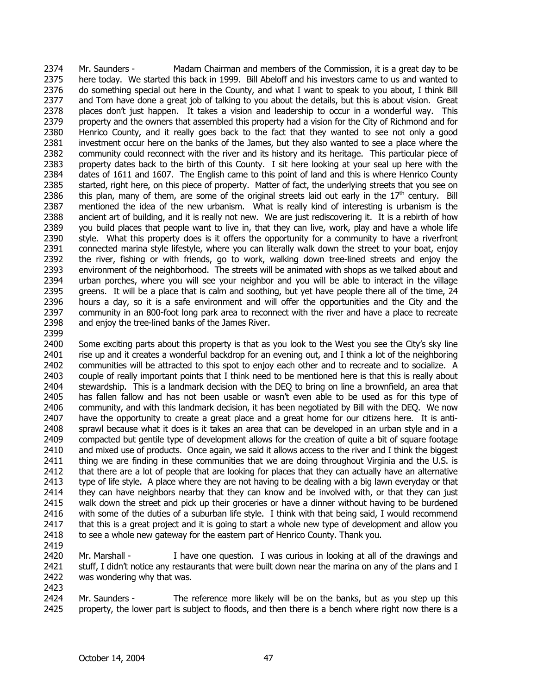Mr. Saunders - Madam Chairman and members of the Commission, it is a great day to be here today. We started this back in 1999. Bill Abeloff and his investors came to us and wanted to do something special out here in the County, and what I want to speak to you about, I think Bill and Tom have done a great job of talking to you about the details, but this is about vision. Great places don't just happen. It takes a vision and leadership to occur in a wonderful way. This property and the owners that assembled this property had a vision for the City of Richmond and for Henrico County, and it really goes back to the fact that they wanted to see not only a good investment occur here on the banks of the James, but they also wanted to see a place where the community could reconnect with the river and its history and its heritage. This particular piece of property dates back to the birth of this County. I sit here looking at your seal up here with the dates of 1611 and 1607. The English came to this point of land and this is where Henrico County started, right here, on this piece of property. Matter of fact, the underlying streets that you see on this plan, many of them, are some of the original streets laid out early in the  $17<sup>th</sup>$  century. Bill 2374 2375 2376 2377 2378 2379 2380 2381 2382 2383 2384 2385 2386 2387 2388 2389 2390 2391 2392 2393 2394 2395 2396 2397 2398 2399 mentioned the idea of the new urbanism. What is really kind of interesting is urbanism is the ancient art of building, and it is really not new. We are just rediscovering it. It is a rebirth of how you build places that people want to live in, that they can live, work, play and have a whole life style. What this property does is it offers the opportunity for a community to have a riverfront connected marina style lifestyle, where you can literally walk down the street to your boat, enjoy the river, fishing or with friends, go to work, walking down tree-lined streets and enjoy the environment of the neighborhood. The streets will be animated with shops as we talked about and urban porches, where you will see your neighbor and you will be able to interact in the village greens. It will be a place that is calm and soothing, but yet have people there all of the time, 24 hours a day, so it is a safe environment and will offer the opportunities and the City and the community in an 800-foot long park area to reconnect with the river and have a place to recreate and enjoy the tree-lined banks of the James River.

- 2400 2401 2402 2403 2404 2405 2406 2407 2408 2409 2410 2411 2412 2413 2414 2415 2416 2417 2418 Some exciting parts about this property is that as you look to the West you see the City's sky line rise up and it creates a wonderful backdrop for an evening out, and I think a lot of the neighboring communities will be attracted to this spot to enjoy each other and to recreate and to socialize. A couple of really important points that I think need to be mentioned here is that this is really about stewardship. This is a landmark decision with the DEQ to bring on line a brownfield, an area that has fallen fallow and has not been usable or wasn't even able to be used as for this type of community, and with this landmark decision, it has been negotiated by Bill with the DEQ. We now have the opportunity to create a great place and a great home for our citizens here. It is antisprawl because what it does is it takes an area that can be developed in an urban style and in a compacted but gentile type of development allows for the creation of quite a bit of square footage and mixed use of products. Once again, we said it allows access to the river and I think the biggest thing we are finding in these communities that we are doing throughout Virginia and the U.S. is that there are a lot of people that are looking for places that they can actually have an alternative type of life style. A place where they are not having to be dealing with a big lawn everyday or that they can have neighbors nearby that they can know and be involved with, or that they can just walk down the street and pick up their groceries or have a dinner without having to be burdened with some of the duties of a suburban life style. I think with that being said, I would recommend that this is a great project and it is going to start a whole new type of development and allow you to see a whole new gateway for the eastern part of Henrico County. Thank you.
- 2419

2420 2421 2422 2423 Mr. Marshall - I have one question. I was curious in looking at all of the drawings and stuff, I didn't notice any restaurants that were built down near the marina on any of the plans and I was wondering why that was.

2424 2425 Mr. Saunders - The reference more likely will be on the banks, but as you step up this property, the lower part is subject to floods, and then there is a bench where right now there is a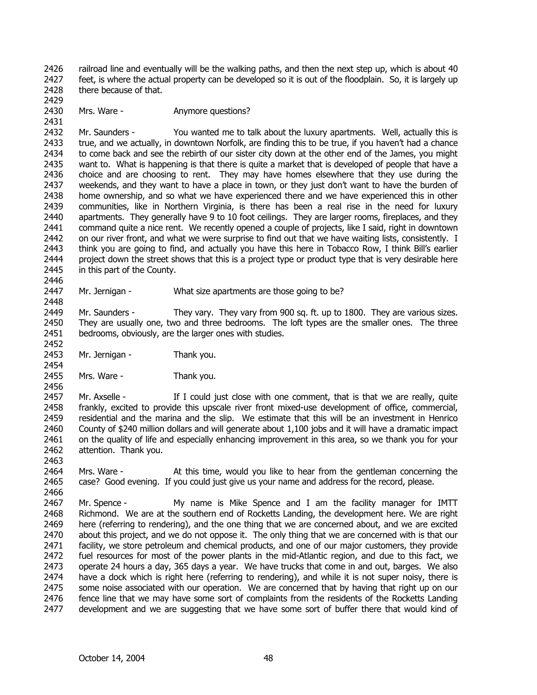2426 2427 2428 railroad line and eventually will be the walking paths, and then the next step up, which is about 40 feet, is where the actual property can be developed so it is out of the floodplain. So, it is largely up there because of that.

2430 Mrs. Ware - **Anymore questions?** 

2429

2431

2446

2448

2452

2454

2456

2463

2432 2433 2434 2435 2436 2437 2438 2439 2440 2441 2442 2443 2444 2445 Mr. Saunders - You wanted me to talk about the luxury apartments. Well, actually this is true, and we actually, in downtown Norfolk, are finding this to be true, if you haven't had a chance to come back and see the rebirth of our sister city down at the other end of the James, you might want to. What is happening is that there is quite a market that is developed of people that have a choice and are choosing to rent. They may have homes elsewhere that they use during the weekends, and they want to have a place in town, or they just don't want to have the burden of home ownership, and so what we have experienced there and we have experienced this in other communities, like in Northern Virginia, is there has been a real rise in the need for luxury apartments. They generally have 9 to 10 foot ceilings. They are larger rooms, fireplaces, and they command quite a nice rent. We recently opened a couple of projects, like I said, right in downtown on our river front, and what we were surprise to find out that we have waiting lists, consistently. I think you are going to find, and actually you have this here in Tobacco Row, I think Bill's earlier project down the street shows that this is a project type or product type that is very desirable here in this part of the County.

2447 Mr. Jernigan - What size apartments are those going to be?

2449 2450 2451 Mr. Saunders - They vary. They vary from 900 sq. ft. up to 1800. They are various sizes. They are usually one, two and three bedrooms. The loft types are the smaller ones. The three bedrooms, obviously, are the larger ones with studies.

2453 Mr. Jernigan - Thank you.

2455 Mrs. Ware - Thank you.

2457 2458 2459 2460 2461 2462 Mr. Axselle - If I could just close with one comment, that is that we are really, quite frankly, excited to provide this upscale river front mixed-use development of office, commercial, residential and the marina and the slip. We estimate that this will be an investment in Henrico County of \$240 million dollars and will generate about 1,100 jobs and it will have a dramatic impact on the quality of life and especially enhancing improvement in this area, so we thank you for your attention. Thank you.

2464 2465 2466 Mrs. Ware - At this time, would you like to hear from the gentleman concerning the case? Good evening. If you could just give us your name and address for the record, please.

2467 2468 2469 2470 2471 2472 2473 2474 2475 2476 2477 Mr. Spence - My name is Mike Spence and I am the facility manager for IMTT Richmond. We are at the southern end of Rocketts Landing, the development here. We are right here (referring to rendering), and the one thing that we are concerned about, and we are excited about this project, and we do not oppose it. The only thing that we are concerned with is that our facility, we store petroleum and chemical products, and one of our major customers, they provide fuel resources for most of the power plants in the mid-Atlantic region, and due to this fact, we operate 24 hours a day, 365 days a year. We have trucks that come in and out, barges. We also have a dock which is right here (referring to rendering), and while it is not super noisy, there is some noise associated with our operation. We are concerned that by having that right up on our fence line that we may have some sort of complaints from the residents of the Rocketts Landing development and we are suggesting that we have some sort of buffer there that would kind of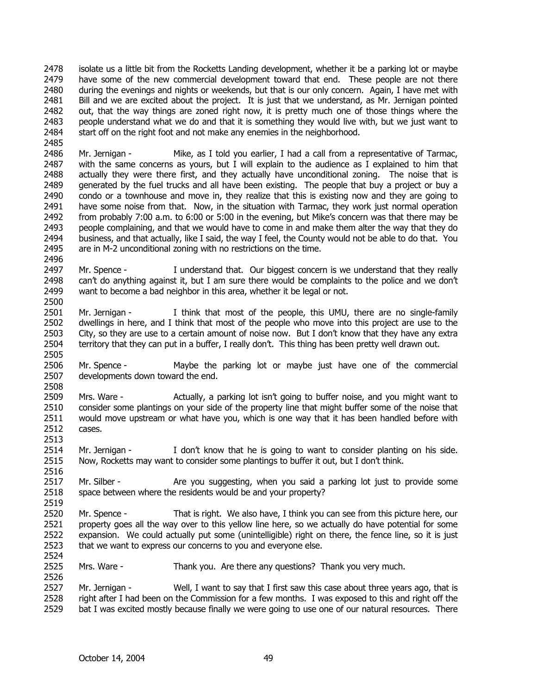2478 2479 2480 2481 2482 2483 2484 isolate us a little bit from the Rocketts Landing development, whether it be a parking lot or maybe have some of the new commercial development toward that end. These people are not there during the evenings and nights or weekends, but that is our only concern. Again, I have met with Bill and we are excited about the project. It is just that we understand, as Mr. Jernigan pointed out, that the way things are zoned right now, it is pretty much one of those things where the people understand what we do and that it is something they would live with, but we just want to start off on the right foot and not make any enemies in the neighborhood.

2486 2487 2488 2489 2490 2491 2492 2493 2494 2495 Mr. Jernigan - Mike, as I told you earlier, I had a call from a representative of Tarmac, with the same concerns as yours, but I will explain to the audience as I explained to him that actually they were there first, and they actually have unconditional zoning. The noise that is generated by the fuel trucks and all have been existing. The people that buy a project or buy a condo or a townhouse and move in, they realize that this is existing now and they are going to have some noise from that. Now, in the situation with Tarmac, they work just normal operation from probably 7:00 a.m. to 6:00 or 5:00 in the evening, but Mike's concern was that there may be people complaining, and that we would have to come in and make them alter the way that they do business, and that actually, like I said, the way I feel, the County would not be able to do that. You are in M-2 unconditional zoning with no restrictions on the time.

2497 2498 2499 2500 Mr. Spence - I understand that. Our biggest concern is we understand that they really can't do anything against it, but I am sure there would be complaints to the police and we don't want to become a bad neighbor in this area, whether it be legal or not.

- 2501 2502 2503 2504 Mr. Jernigan - I think that most of the people, this UMU, there are no single-family dwellings in here, and I think that most of the people who move into this project are use to the City, so they are use to a certain amount of noise now. But I don't know that they have any extra territory that they can put in a buffer, I really don't. This thing has been pretty well drawn out.
- 2506 2507 Mr. Spence - Maybe the parking lot or maybe just have one of the commercial developments down toward the end.

2509 2510 2511 2512 Mrs. Ware - Actually, a parking lot isn't going to buffer noise, and you might want to consider some plantings on your side of the property line that might buffer some of the noise that would move upstream or what have you, which is one way that it has been handled before with cases.

2514 2515 Mr. Jernigan - I don't know that he is going to want to consider planting on his side. Now, Rocketts may want to consider some plantings to buffer it out, but I don't think.

2517 2518 Mr. Silber - Are you suggesting, when you said a parking lot just to provide some space between where the residents would be and your property?

2520 2521 2522 2523 Mr. Spence - That is right. We also have, I think you can see from this picture here, our property goes all the way over to this yellow line here, so we actually do have potential for some expansion. We could actually put some (unintelligible) right on there, the fence line, so it is just that we want to express our concerns to you and everyone else.

2525 Mrs. Ware - Thank you. Are there any questions? Thank you very much.

2527 2528 2529 Mr. Jernigan - Well, I want to say that I first saw this case about three years ago, that is right after I had been on the Commission for a few months. I was exposed to this and right off the bat I was excited mostly because finally we were going to use one of our natural resources. There

2485

2496

2505

2508

2513

2516

2519

2524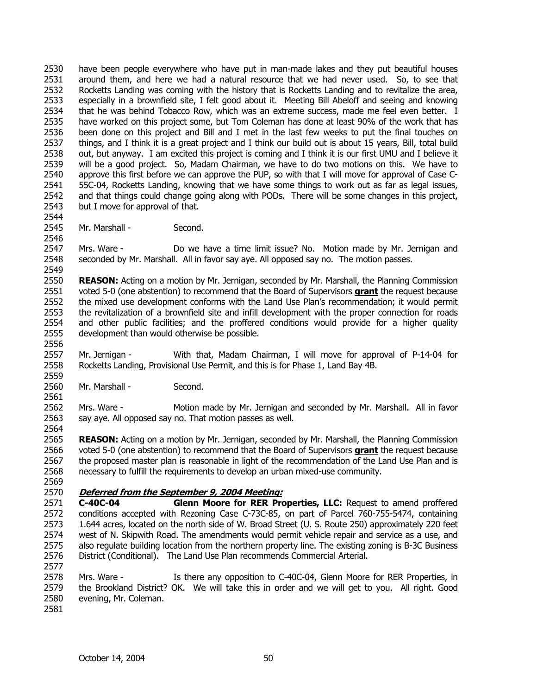2530 2531 2532 2533 2534 2535 2536 2537 2538 2539 2540 2541 2542 2543 have been people everywhere who have put in man-made lakes and they put beautiful houses around them, and here we had a natural resource that we had never used. So, to see that Rocketts Landing was coming with the history that is Rocketts Landing and to revitalize the area, especially in a brownfield site, I felt good about it. Meeting Bill Abeloff and seeing and knowing that he was behind Tobacco Row, which was an extreme success, made me feel even better. I have worked on this project some, but Tom Coleman has done at least 90% of the work that has been done on this project and Bill and I met in the last few weeks to put the final touches on things, and I think it is a great project and I think our build out is about 15 years, Bill, total build out, but anyway. I am excited this project is coming and I think it is our first UMU and I believe it will be a good project. So, Madam Chairman, we have to do two motions on this. We have to approve this first before we can approve the PUP, so with that I will move for approval of Case C-55C-04, Rocketts Landing, knowing that we have some things to work out as far as legal issues, and that things could change going along with PODs. There will be some changes in this project, but I move for approval of that.

2545 Mr. Marshall - Second.

2547 2548 2549 Mrs. Ware - Do we have a time limit issue? No. Motion made by Mr. Jernigan and seconded by Mr. Marshall. All in favor say aye. All opposed say no. The motion passes.

2550 **REASON:** Acting on a motion by Mr. Jernigan, seconded by Mr. Marshall, the Planning Commission voted 5-0 (one abstention) to recommend that the Board of Supervisors **grant** the request because the mixed use development conforms with the Land Use Plan's recommendation; it would permit the revitalization of a brownfield site and infill development with the proper connection for roads and other public facilities; and the proffered conditions would provide for a higher quality development than would otherwise be possible. 2551 2552 2553 2554 2555

2557 2558 2559 Mr. Jernigan - With that, Madam Chairman, I will move for approval of P-14-04 for Rocketts Landing, Provisional Use Permit, and this is for Phase 1, Land Bay 4B.

2560 Mr. Marshall - Second.

2562 2563 Mrs. Ware - Motion made by Mr. Jernigan and seconded by Mr. Marshall. All in favor say aye. All opposed say no. That motion passes as well.

2565 **REASON:** Acting on a motion by Mr. Jernigan, seconded by Mr. Marshall, the Planning Commission voted 5-0 (one abstention) to recommend that the Board of Supervisors **grant** the request because the proposed master plan is reasonable in light of the recommendation of the Land Use Plan and is necessary to fulfill the requirements to develop an urban mixed-use community. 2566 2567 2568

2569

2544

2546

2556

2561

2564

### 2570 **Deferred from the September 9, 2004 Meeting:**

2571 2572 2573 2574 2575 2576 **C-40C-04 Glenn Moore for RER Properties, LLC:** Request to amend proffered conditions accepted with Rezoning Case C-73C-85, on part of Parcel 760-755-5474, containing 1.644 acres, located on the north side of W. Broad Street (U. S. Route 250) approximately 220 feet west of N. Skipwith Road. The amendments would permit vehicle repair and service as a use, and also regulate building location from the northern property line. The existing zoning is B-3C Business District (Conditional). The Land Use Plan recommends Commercial Arterial.

2578 2579 2580 Mrs. Ware - Is there any opposition to C-40C-04, Glenn Moore for RER Properties, in the Brookland District? OK. We will take this in order and we will get to you. All right. Good evening, Mr. Coleman.

2581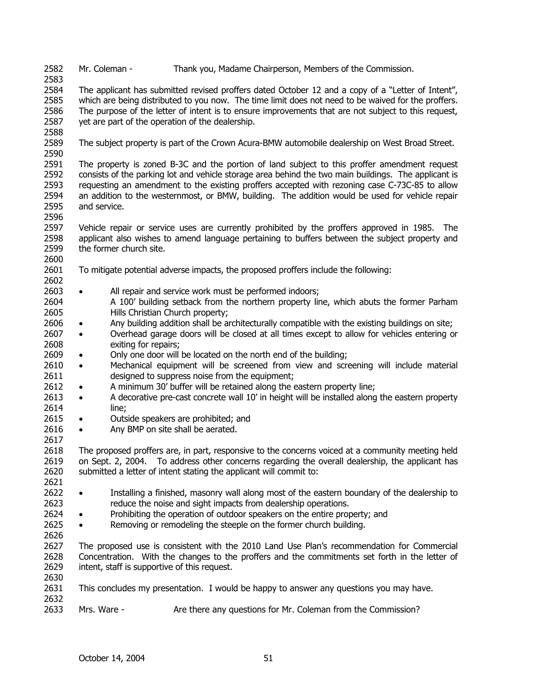2582 Mr. Coleman - Thank you, Madame Chairperson, Members of the Commission.

2583

2584 2585 2586 2587 The applicant has submitted revised proffers dated October 12 and a copy of a "Letter of Intent", which are being distributed to you now. The time limit does not need to be waived for the proffers. The purpose of the letter of intent is to ensure improvements that are not subject to this request, yet are part of the operation of the dealership.

2588

2589 2590 The subject property is part of the Crown Acura-BMW automobile dealership on West Broad Street.

2591 2592 2593 2594 2595 The property is zoned B-3C and the portion of land subject to this proffer amendment request consists of the parking lot and vehicle storage area behind the two main buildings. The applicant is requesting an amendment to the existing proffers accepted with rezoning case C-73C-85 to allow an addition to the westernmost, or BMW, building. The addition would be used for vehicle repair and service.

2596

2597 2598 2599 2600 Vehicle repair or service uses are currently prohibited by the proffers approved in 1985. The applicant also wishes to amend language pertaining to buffers between the subject property and the former church site.

- 2601 To mitigate potential adverse impacts, the proposed proffers include the following:
- 2602 2603
- 2604 2605 All repair and service work must be performed indoors; A 100' building setback from the northern property line, which abuts the former Parham Hills Christian Church property;
- 2606 • Any building addition shall be architecturally compatible with the existing buildings on site;
- 2607 2608 • Overhead garage doors will be closed at all times except to allow for vehicles entering or exiting for repairs;
- 2609 • Only one door will be located on the north end of the building;

2610 2611 • Mechanical equipment will be screened from view and screening will include material designed to suppress noise from the equipment;

- 2612 • A minimum 30' buffer will be retained along the eastern property line;
- 2613 2614 • A decorative pre-cast concrete wall 10' in height will be installed along the eastern property line;
- 2615 • Outside speakers are prohibited; and
- 2616 2617 • Any BMP on site shall be aerated.
- 2618 2619 2620 The proposed proffers are, in part, responsive to the concerns voiced at a community meeting held on Sept. 2, 2004. To address other concerns regarding the overall dealership, the applicant has submitted a letter of intent stating the applicant will commit to:
- 2621 2622 2623 • Installing a finished, masonry wall along most of the eastern boundary of the dealership to reduce the noise and sight impacts from dealership operations.
- 2624 • Prohibiting the operation of outdoor speakers on the entire property; and
- 2625 • Removing or remodeling the steeple on the former church building.
- 2626

2630

2627 2628 2629 The proposed use is consistent with the 2010 Land Use Plan's recommendation for Commercial Concentration. With the changes to the proffers and the commitments set forth in the letter of intent, staff is supportive of this request.

- 2631 2632 This concludes my presentation. I would be happy to answer any questions you may have.
- 2633 Mrs. Ware - Are there any questions for Mr. Coleman from the Commission?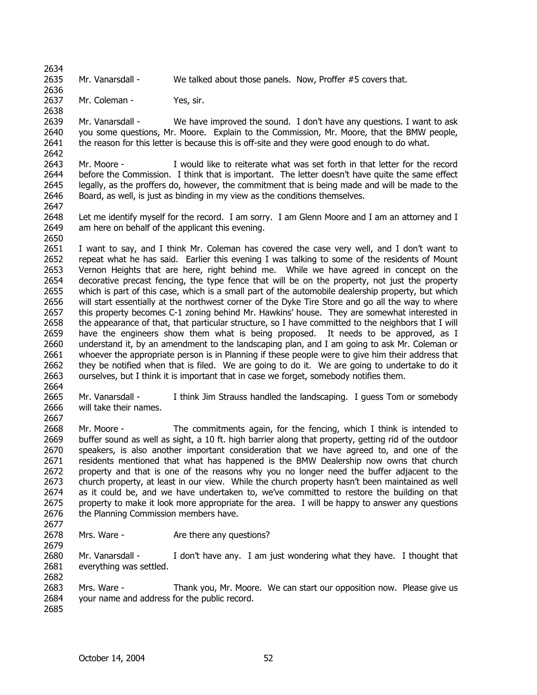2635 Mr. Vanarsdall - We talked about those panels. Now, Proffer #5 covers that.

2637 Mr. Coleman - Yes, sir.

2639 2640 2641 Mr. Vanarsdall - We have improved the sound. I don't have any questions. I want to ask you some questions, Mr. Moore. Explain to the Commission, Mr. Moore, that the BMW people, the reason for this letter is because this is off-site and they were good enough to do what.

2643 2644 2645 2646 Mr. Moore - I would like to reiterate what was set forth in that letter for the record before the Commission. I think that is important. The letter doesn't have quite the same effect legally, as the proffers do, however, the commitment that is being made and will be made to the Board, as well, is just as binding in my view as the conditions themselves.

2647

2650

2634

2636

2638

2642

2648 2649 Let me identify myself for the record. I am sorry. I am Glenn Moore and I am an attorney and I am here on behalf of the applicant this evening.

2651 2652 2653 2654 2655 2656 2657 2658 2659 2660 2661 2662 2663 I want to say, and I think Mr. Coleman has covered the case very well, and I don't want to repeat what he has said. Earlier this evening I was talking to some of the residents of Mount Vernon Heights that are here, right behind me. While we have agreed in concept on the decorative precast fencing, the type fence that will be on the property, not just the property which is part of this case, which is a small part of the automobile dealership property, but which will start essentially at the northwest corner of the Dyke Tire Store and go all the way to where this property becomes C-1 zoning behind Mr. Hawkins' house. They are somewhat interested in the appearance of that, that particular structure, so I have committed to the neighbors that I will have the engineers show them what is being proposed. It needs to be approved, as I understand it, by an amendment to the landscaping plan, and I am going to ask Mr. Coleman or whoever the appropriate person is in Planning if these people were to give him their address that they be notified when that is filed. We are going to do it. We are going to undertake to do it ourselves, but I think it is important that in case we forget, somebody notifies them.

2665 2666 Mr. Vanarsdall - I think Jim Strauss handled the landscaping. I quess Tom or somebody will take their names.

2668 2669 2670 2671 2672 2673 2674 2675 2676 Mr. Moore - The commitments again, for the fencing, which I think is intended to buffer sound as well as sight, a 10 ft. high barrier along that property, getting rid of the outdoor speakers, is also another important consideration that we have agreed to, and one of the residents mentioned that what has happened is the BMW Dealership now owns that church property and that is one of the reasons why you no longer need the buffer adjacent to the church property, at least in our view. While the church property hasn't been maintained as well as it could be, and we have undertaken to, we've committed to restore the building on that property to make it look more appropriate for the area. I will be happy to answer any questions the Planning Commission members have.

2677

2679

2682

2664

2667

2678 Mrs. Ware - The Are there any questions?

2680 2681 Mr. Vanarsdall - I don't have any. I am just wondering what they have. I thought that everything was settled.

2683 2684 Mrs. Ware - Thank you, Mr. Moore. We can start our opposition now. Please give us your name and address for the public record.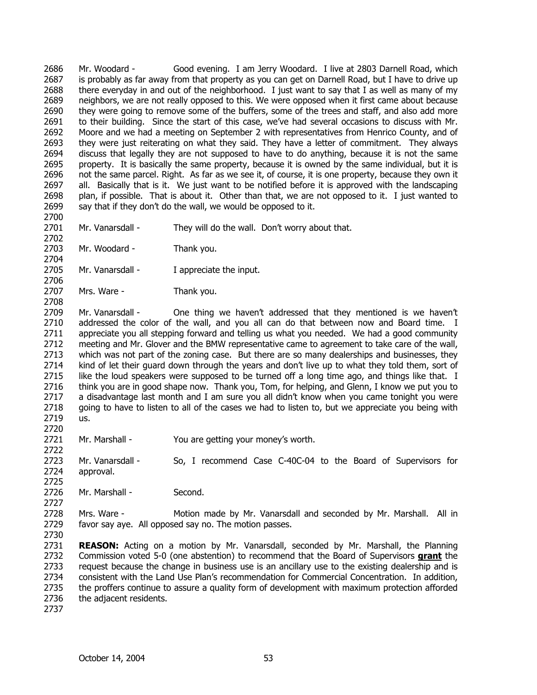2686 2687 2688 2689 2690 2691 2692 2693 2694 2695 2696 2697 2698 2699 Mr. Woodard - Good evening. I am Jerry Woodard. I live at 2803 Darnell Road, which is probably as far away from that property as you can get on Darnell Road, but I have to drive up there everyday in and out of the neighborhood. I just want to say that I as well as many of my neighbors, we are not really opposed to this. We were opposed when it first came about because they were going to remove some of the buffers, some of the trees and staff, and also add more to their building. Since the start of this case, we've had several occasions to discuss with Mr. Moore and we had a meeting on September 2 with representatives from Henrico County, and of they were just reiterating on what they said. They have a letter of commitment. They always discuss that legally they are not supposed to have to do anything, because it is not the same property. It is basically the same property, because it is owned by the same individual, but it is not the same parcel. Right. As far as we see it, of course, it is one property, because they own it all. Basically that is it. We just want to be notified before it is approved with the landscaping plan, if possible. That is about it. Other than that, we are not opposed to it. I just wanted to say that if they don't do the wall, we would be opposed to it.

2701 Mr. Vanarsdall - They will do the wall. Don't worry about that.

2703 Mr. Woodard - Thank you.

2705 Mr. Vanarsdall - I appreciate the input.

2707 Mrs. Ware - Thank you.

2709 2710 2711 2712 2713 2714 2715 2716 2717 2718 2719 Mr. Vanarsdall - One thing we haven't addressed that they mentioned is we haven't addressed the color of the wall, and you all can do that between now and Board time. I appreciate you all stepping forward and telling us what you needed. We had a good community meeting and Mr. Glover and the BMW representative came to agreement to take care of the wall, which was not part of the zoning case. But there are so many dealerships and businesses, they kind of let their guard down through the years and don't live up to what they told them, sort of like the loud speakers were supposed to be turned off a long time ago, and things like that. I think you are in good shape now. Thank you, Tom, for helping, and Glenn, I know we put you to a disadvantage last month and I am sure you all didn't know when you came tonight you were going to have to listen to all of the cases we had to listen to, but we appreciate you being with us.

2721 Mr. Marshall - You are getting your money's worth.

2722 2723 2724 Mr. Vanarsdall - So, I recommend Case C-40C-04 to the Board of Supervisors for approval.

2726 Mr. Marshall - Second.

2728 2729 Mrs. Ware - Motion made by Mr. Vanarsdall and seconded by Mr. Marshall. All in favor say aye. All opposed say no. The motion passes.

2730

2700

2702

2704

2706

2708

2720

2725

2727

2731 **REASON:** Acting on a motion by Mr. Vanarsdall, seconded by Mr. Marshall, the Planning Commission voted 5-0 (one abstention) to recommend that the Board of Supervisors **grant** the request because the change in business use is an ancillary use to the existing dealership and is consistent with the Land Use Plan's recommendation for Commercial Concentration. In addition, the proffers continue to assure a quality form of development with maximum protection afforded the adjacent residents. 2732 2733 2734 2735 2736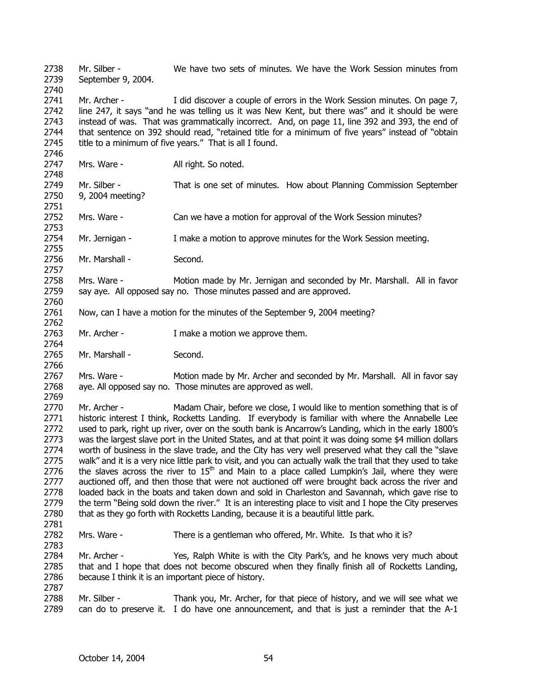2738 2739 2740 2741 2742 2743 2744 2745 2746 2747 2748 2749 2750 2751 2752 2753 2754 2755 2756 2757 2758 2759 2760 2761 2762 2763 2764 2765 2766 2767 2768 2769 2770 2771 2772 2773 2774 2775 2776 2777 2778 2779 2780 2781 2782 2783 2784 2785 2786 2787 2788 2789 Mr. Silber - We have two sets of minutes. We have the Work Session minutes from September 9, 2004. Mr. Archer - I did discover a couple of errors in the Work Session minutes. On page 7, line 247, it says "and he was telling us it was New Kent, but there was" and it should be were instead of was. That was grammatically incorrect. And, on page 11, line 392 and 393, the end of that sentence on 392 should read, "retained title for a minimum of five years" instead of "obtain title to a minimum of five years." That is all I found. Mrs. Ware - **All right.** So noted. Mr. Silber - That is one set of minutes. How about Planning Commission September 9, 2004 meeting? Mrs. Ware - Can we have a motion for approval of the Work Session minutes? Mr. Jernigan - I make a motion to approve minutes for the Work Session meeting. Mr. Marshall - Second. Mrs. Ware - Motion made by Mr. Jernigan and seconded by Mr. Marshall. All in favor say aye. All opposed say no. Those minutes passed and are approved. Now, can I have a motion for the minutes of the September 9, 2004 meeting? Mr. Archer - Trake a motion we approve them. Mr. Marshall - Second. Mrs. Ware - Motion made by Mr. Archer and seconded by Mr. Marshall. All in favor say aye. All opposed say no. Those minutes are approved as well. Mr. Archer - Madam Chair, before we close, I would like to mention something that is of historic interest I think, Rocketts Landing. If everybody is familiar with where the Annabelle Lee used to park, right up river, over on the south bank is Ancarrow's Landing, which in the early 1800's was the largest slave port in the United States, and at that point it was doing some \$4 million dollars worth of business in the slave trade, and the City has very well preserved what they call the "slave walk" and it is a very nice little park to visit, and you can actually walk the trail that they used to take the slaves across the river to  $15<sup>th</sup>$  and Main to a place called Lumpkin's Jail, where they were auctioned off, and then those that were not auctioned off were brought back across the river and loaded back in the boats and taken down and sold in Charleston and Savannah, which gave rise to the term "Being sold down the river." It is an interesting place to visit and I hope the City preserves that as they go forth with Rocketts Landing, because it is a beautiful little park. Mrs. Ware - There is a gentleman who offered, Mr. White. Is that who it is? Mr. Archer - Yes, Ralph White is with the City Park's, and he knows very much about that and I hope that does not become obscured when they finally finish all of Rocketts Landing, because I think it is an important piece of history. Mr. Silber - Thank you, Mr. Archer, for that piece of history, and we will see what we can do to preserve it. I do have one announcement, and that is just a reminder that the A-1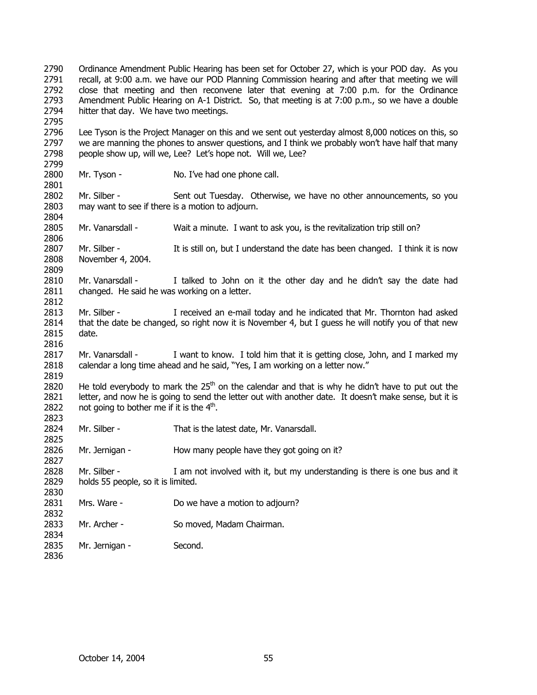2790 2791 2792 2793 2794 2795 2796 2797 2798 2799 2800 2801 2802 2803 2804 2805 2806 2807 2808 2809 2810 2811 2812 2813 2814 2815 2816 2817 2818 2819 2820 2821 2822 2823 2824 2825 2826 2827 2828 2829 2830 2831 2832 2833 2834 2835 2836 Ordinance Amendment Public Hearing has been set for October 27, which is your POD day. As you recall, at 9:00 a.m. we have our POD Planning Commission hearing and after that meeting we will close that meeting and then reconvene later that evening at 7:00 p.m. for the Ordinance Amendment Public Hearing on A-1 District. So, that meeting is at 7:00 p.m., so we have a double hitter that day. We have two meetings. Lee Tyson is the Project Manager on this and we sent out yesterday almost 8,000 notices on this, so we are manning the phones to answer questions, and I think we probably won't have half that many people show up, will we, Lee? Let's hope not. Will we, Lee? Mr. Tyson - No. I've had one phone call. Mr. Silber - Sent out Tuesday. Otherwise, we have no other announcements, so you may want to see if there is a motion to adjourn. Mr. Vanarsdall - Wait a minute. I want to ask you, is the revitalization trip still on? Mr. Silber - It is still on, but I understand the date has been changed. I think it is now November 4, 2004. Mr. Vanarsdall - I talked to John on it the other day and he didn't say the date had changed. He said he was working on a letter. Mr. Silber - I received an e-mail today and he indicated that Mr. Thornton had asked that the date be changed, so right now it is November 4, but I guess he will notify you of that new date. Mr. Vanarsdall - I want to know. I told him that it is getting close, John, and I marked my calendar a long time ahead and he said, "Yes, I am working on a letter now." He told everybody to mark the  $25<sup>th</sup>$  on the calendar and that is why he didn't have to put out the letter, and now he is going to send the letter out with another date. It doesn't make sense, but it is not going to bother me if it is the  $4<sup>th</sup>$ . Mr. Silber - That is the latest date, Mr. Vanarsdall. Mr. Jernigan - How many people have they got going on it? Mr. Silber - I am not involved with it, but my understanding is there is one bus and it holds 55 people, so it is limited. Mrs. Ware - Do we have a motion to adjourn? Mr. Archer - So moved, Madam Chairman. Mr. Jernigan - Second.